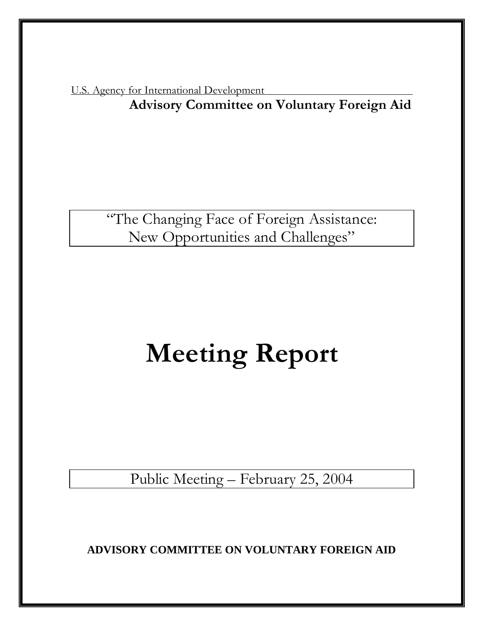U.S. Agency for International Development **Advisory Committee on Voluntary Foreign Aid** 

> "The Changing Face of Foreign Assistance: New Opportunities and Challenges"

# **Meeting Report**

Public Meeting – February 25, 2004

**ADVISORY COMMITTEE ON VOLUNTARY FOREIGN AID**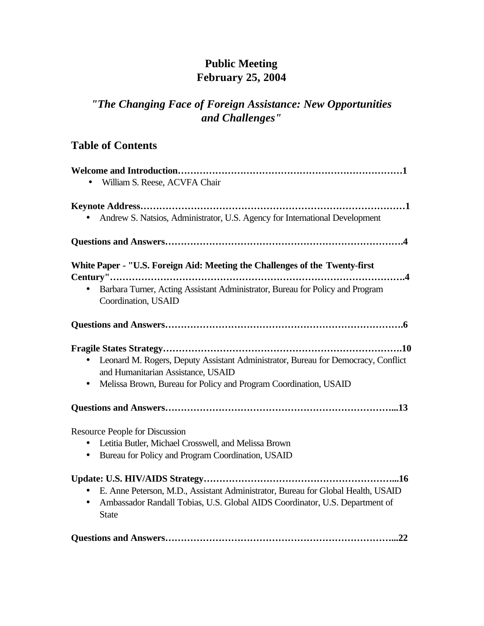# **Public Meeting February 25, 2004**

# *"The Changing Face of Foreign Assistance: New Opportunities and Challenges"*

# **Table of Contents**

| William S. Reese, ACVFA Chair                                                                                                        |
|--------------------------------------------------------------------------------------------------------------------------------------|
|                                                                                                                                      |
| Andrew S. Natsios, Administrator, U.S. Agency for International Development                                                          |
|                                                                                                                                      |
| White Paper - "U.S. Foreign Aid: Meeting the Challenges of the Twenty-first                                                          |
|                                                                                                                                      |
| Barbara Turner, Acting Assistant Administrator, Bureau for Policy and Program<br>$\bullet$<br>Coordination, USAID                    |
|                                                                                                                                      |
|                                                                                                                                      |
| Leonard M. Rogers, Deputy Assistant Administrator, Bureau for Democracy, Conflict<br>$\bullet$<br>and Humanitarian Assistance, USAID |
| Melissa Brown, Bureau for Policy and Program Coordination, USAID<br>$\bullet$                                                        |
|                                                                                                                                      |
| <b>Resource People for Discussion</b>                                                                                                |
| Letitia Butler, Michael Crosswell, and Melissa Brown<br>$\bullet$                                                                    |
| Bureau for Policy and Program Coordination, USAID<br>$\bullet$                                                                       |
|                                                                                                                                      |
| E. Anne Peterson, M.D., Assistant Administrator, Bureau for Global Health, USAID                                                     |
| Ambassador Randall Tobias, U.S. Global AIDS Coordinator, U.S. Department of<br>$\bullet$<br><b>State</b>                             |
|                                                                                                                                      |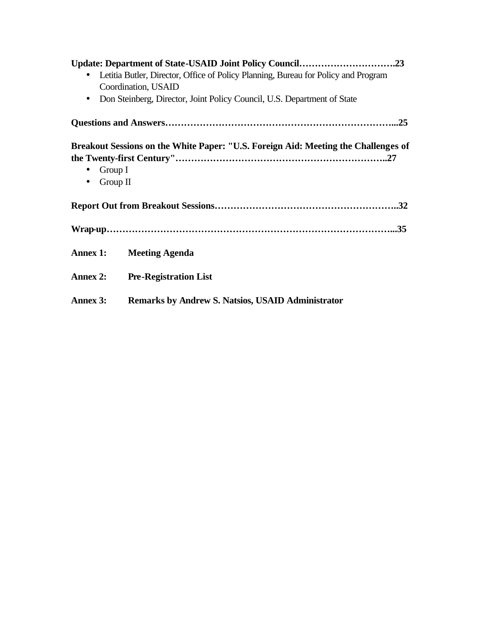| Letitia Butler, Director, Office of Policy Planning, Bureau for Policy and Program |                                                                                    |  |
|------------------------------------------------------------------------------------|------------------------------------------------------------------------------------|--|
|                                                                                    | Coordination, USAID                                                                |  |
| $\bullet$                                                                          | Don Steinberg, Director, Joint Policy Council, U.S. Department of State            |  |
|                                                                                    |                                                                                    |  |
| Group I<br>$\bullet$<br>Group II<br>$\bullet$                                      | Breakout Sessions on the White Paper: "U.S. Foreign Aid: Meeting the Challenges of |  |
|                                                                                    |                                                                                    |  |
|                                                                                    |                                                                                    |  |
| Annex 1:                                                                           | <b>Meeting Agenda</b>                                                              |  |
| Annex 2:                                                                           | <b>Pre-Registration List</b>                                                       |  |
| Annex 3:                                                                           | <b>Remarks by Andrew S. Natsios, USAID Administrator</b>                           |  |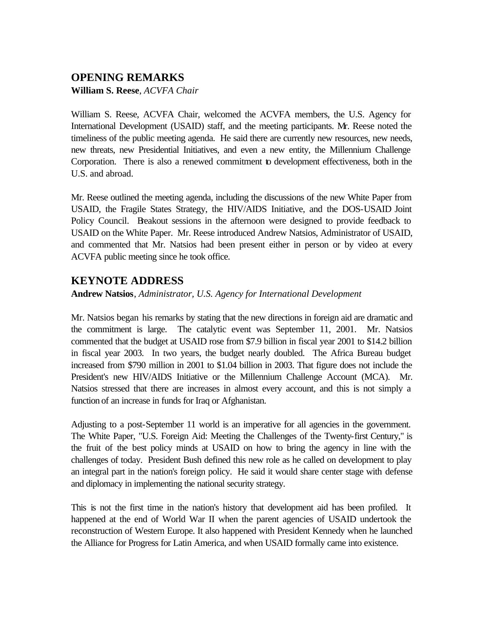# **OPENING REMARKS**

**William S. Reese**, *ACVFA Chair* 

William S. Reese, ACVFA Chair, welcomed the ACVFA members, the U.S. Agency for International Development (USAID) staff, and the meeting participants. Mr. Reese noted the timeliness of the public meeting agenda. He said there are currently new resources, new needs, new threats, new Presidential Initiatives, and even a new entity, the Millennium Challenge Corporation. There is also a renewed commitment to development effectiveness, both in the U.S. and abroad.

Mr. Reese outlined the meeting agenda, including the discussions of the new White Paper from USAID, the Fragile States Strategy, the HIV/AIDS Initiative, and the DOS-USAID Joint Policy Council. Breakout sessions in the afternoon were designed to provide feedback to USAID on the White Paper. Mr. Reese introduced Andrew Natsios, Administrator of USAID, and commented that Mr. Natsios had been present either in person or by video at every ACVFA public meeting since he took office.

## **KEYNOTE ADDRESS**

## **Andrew Natsios**, *Administrator, U.S. Agency for International Development*

Mr. Natsios began his remarks by stating that the new directions in foreign aid are dramatic and the commitment is large. The catalytic event was September 11, 2001. Mr. Natsios commented that the budget at USAID rose from \$7.9 billion in fiscal year 2001 to \$14.2 billion in fiscal year 2003. In two years, the budget nearly doubled. The Africa Bureau budget increased from \$790 million in 2001 to \$1.04 billion in 2003. That figure does not include the President's new HIV/AIDS Initiative or the Millennium Challenge Account (MCA). Mr. Natsios stressed that there are increases in almost every account, and this is not simply a function of an increase in funds for Iraq or Afghanistan.

Adjusting to a post-September 11 world is an imperative for all agencies in the government. The White Paper, "U.S. Foreign Aid: Meeting the Challenges of the Twenty-first Century," is the fruit of the best policy minds at USAID on how to bring the agency in line with the challenges of today. President Bush defined this new role as he called on development to play an integral part in the nation's foreign policy. He said it would share center stage with defense and diplomacy in implementing the national security strategy.

This is not the first time in the nation's history that development aid has been profiled. It happened at the end of World War II when the parent agencies of USAID undertook the reconstruction of Western Europe. It also happened with President Kennedy when he launched the Alliance for Progress for Latin America, and when USAID formally came into existence.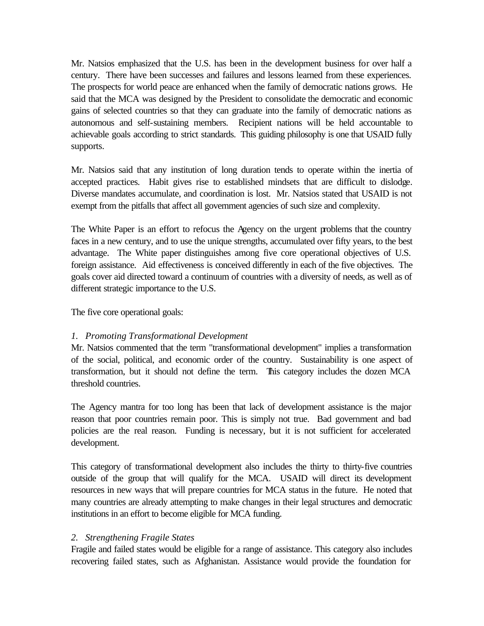Mr. Natsios emphasized that the U.S. has been in the development business for over half a century. There have been successes and failures and lessons learned from these experiences. The prospects for world peace are enhanced when the family of democratic nations grows. He said that the MCA was designed by the President to consolidate the democratic and economic gains of selected countries so that they can graduate into the family of democratic nations as autonomous and self-sustaining members. Recipient nations will be held accountable to achievable goals according to strict standards. This guiding philosophy is one that USAID fully supports.

Mr. Natsios said that any institution of long duration tends to operate within the inertia of accepted practices. Habit gives rise to established mindsets that are difficult to dislodge. Diverse mandates accumulate, and coordination is lost. Mr. Natsios stated that USAID is not exempt from the pitfalls that affect all government agencies of such size and complexity.

The White Paper is an effort to refocus the Agency on the urgent problems that the country faces in a new century, and to use the unique strengths, accumulated over fifty years, to the best advantage. The White paper distinguishes among five core operational objectives of U.S. foreign assistance. Aid effectiveness is conceived differently in each of the five objectives. The goals cover aid directed toward a continuum of countries with a diversity of needs, as well as of different strategic importance to the U.S.

The five core operational goals:

## *1. Promoting Transformational Development*

Mr. Natsios commented that the term "transformational development" implies a transformation of the social, political, and economic order of the country. Sustainability is one aspect of transformation, but it should not define the term. This category includes the dozen MCA threshold countries.

The Agency mantra for too long has been that lack of development assistance is the major reason that poor countries remain poor. This is simply not true. Bad government and bad policies are the real reason. Funding is necessary, but it is not sufficient for accelerated development.

This category of transformational development also includes the thirty to thirty-five countries outside of the group that will qualify for the MCA. USAID will direct its development resources in new ways that will prepare countries for MCA status in the future. He noted that many countries are already attempting to make changes in their legal structures and democratic institutions in an effort to become eligible for MCA funding.

## *2. Strengthening Fragile States*

Fragile and failed states would be eligible for a range of assistance. This category also includes recovering failed states, such as Afghanistan. Assistance would provide the foundation for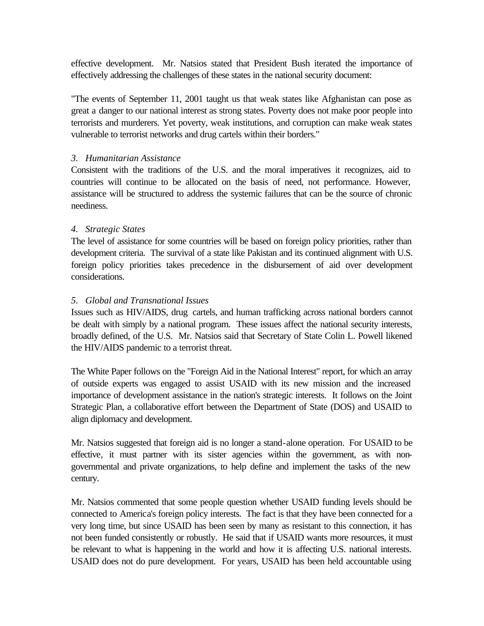effective development. Mr. Natsios stated that President Bush iterated the importance of effectively addressing the challenges of these states in the national security document:

"The events of September 11, 2001 taught us that weak states like Afghanistan can pose as great a danger to our national interest as strong states. Poverty does not make poor people into terrorists and murderers. Yet poverty, weak institutions, and corruption can make weak states vulnerable to terrorist networks and drug cartels within their borders."

## *3. Humanitarian Assistance*

Consistent with the traditions of the U.S. and the moral imperatives it recognizes, aid to countries will continue to be allocated on the basis of need, not performance. However, assistance will be structured to address the systemic failures that can be the source of chronic neediness.

## *4. Strategic States*

The level of assistance for some countries will be based on foreign policy priorities, rather than development criteria. The survival of a state like Pakistan and its continued alignment with U.S. foreign policy priorities takes precedence in the disbursement of aid over development considerations.

## *5. Global and Transnational Issues*

Issues such as HIV/AIDS, drug cartels, and human trafficking across national borders cannot be dealt with simply by a national program. These issues affect the national security interests, broadly defined, of the U.S. Mr. Natsios said that Secretary of State Colin L. Powell likened the HIV/AIDS pandemic to a terrorist threat.

The White Paper follows on the "Foreign Aid in the National Interest" report, for which an array of outside experts was engaged to assist USAID with its new mission and the increased importance of development assistance in the nation's strategic interests. It follows on the Joint Strategic Plan, a collaborative effort between the Department of State (DOS) and USAID to align diplomacy and development.

Mr. Natsios suggested that foreign aid is no longer a stand-alone operation. For USAID to be effective, it must partner with its sister agencies within the government, as with nongovernmental and private organizations, to help define and implement the tasks of the new century.

Mr. Natsios commented that some people question whether USAID funding levels should be connected to America's foreign policy interests. The fact is that they have been connected for a very long time, but since USAID has been seen by many as resistant to this connection, it has not been funded consistently or robustly. He said that if USAID wants more resources, it must be relevant to what is happening in the world and how it is affecting U.S. national interests. USAID does not do pure development. For years, USAID has been held accountable using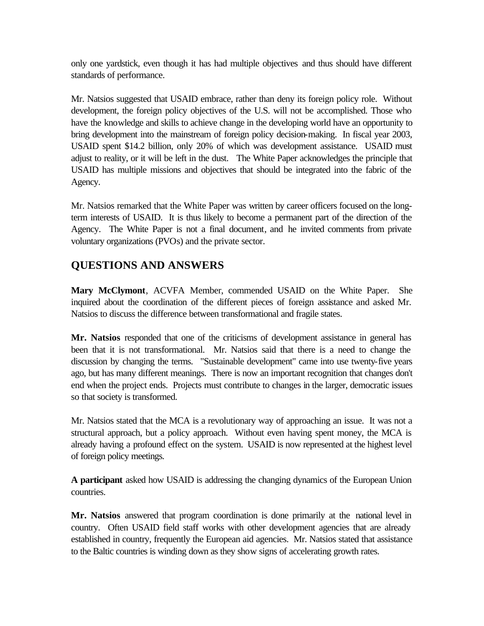only one yardstick, even though it has had multiple objectives and thus should have different standards of performance.

Mr. Natsios suggested that USAID embrace, rather than deny its foreign policy role. Without development, the foreign policy objectives of the U.S. will not be accomplished. Those who have the knowledge and skills to achieve change in the developing world have an opportunity to bring development into the mainstream of foreign policy decision-making. In fiscal year 2003, USAID spent \$14.2 billion, only 20% of which was development assistance. USAID must adjust to reality, or it will be left in the dust. The White Paper acknowledges the principle that USAID has multiple missions and objectives that should be integrated into the fabric of the Agency.

Mr. Natsios remarked that the White Paper was written by career officers focused on the longterm interests of USAID. It is thus likely to become a permanent part of the direction of the Agency. The White Paper is not a final document, and he invited comments from private voluntary organizations (PVOs) and the private sector.

# **QUESTIONS AND ANSWERS**

**Mary McClymont**, ACVFA Member, commended USAID on the White Paper. She inquired about the coordination of the different pieces of foreign assistance and asked Mr. Natsios to discuss the difference between transformational and fragile states.

**Mr. Natsios** responded that one of the criticisms of development assistance in general has been that it is not transformational. Mr. Natsios said that there is a need to change the discussion by changing the terms. "Sustainable development" came into use twenty-five years ago, but has many different meanings. There is now an important recognition that changes don't end when the project ends. Projects must contribute to changes in the larger, democratic issues so that society is transformed.

Mr. Natsios stated that the MCA is a revolutionary way of approaching an issue. It was not a structural approach, but a policy approach. Without even having spent money, the MCA is already having a profound effect on the system. USAID is now represented at the highest level of foreign policy meetings.

**A participant** asked how USAID is addressing the changing dynamics of the European Union countries.

**Mr. Natsios** answered that program coordination is done primarily at the national level in country. Often USAID field staff works with other development agencies that are already established in country, frequently the European aid agencies. Mr. Natsios stated that assistance to the Baltic countries is winding down as they show signs of accelerating growth rates.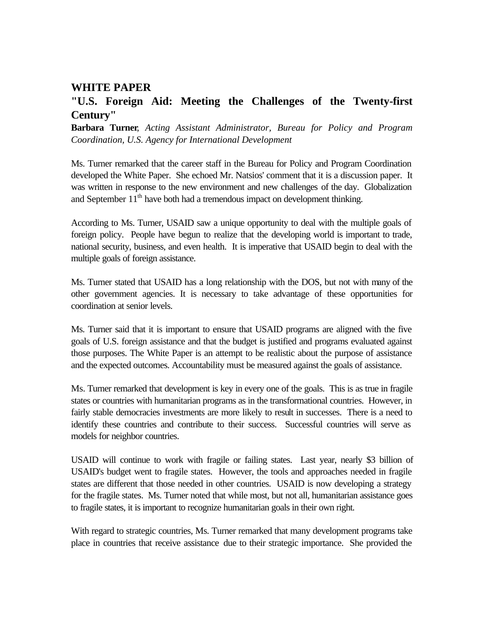## **WHITE PAPER**

# **"U.S. Foreign Aid: Meeting the Challenges of the Twenty-first Century"**

**Barbara Turner**, *Acting Assistant Administrator, Bureau for Policy and Program Coordination, U.S. Agency for International Development*

Ms. Turner remarked that the career staff in the Bureau for Policy and Program Coordination developed the White Paper. She echoed Mr. Natsios' comment that it is a discussion paper. It was written in response to the new environment and new challenges of the day. Globalization and September  $11<sup>th</sup>$  have both had a tremendous impact on development thinking.

According to Ms. Turner, USAID saw a unique opportunity to deal with the multiple goals of foreign policy. People have begun to realize that the developing world is important to trade, national security, business, and even health. It is imperative that USAID begin to deal with the multiple goals of foreign assistance.

Ms. Turner stated that USAID has a long relationship with the DOS, but not with many of the other government agencies. It is necessary to take advantage of these opportunities for coordination at senior levels.

Ms. Turner said that it is important to ensure that USAID programs are aligned with the five goals of U.S. foreign assistance and that the budget is justified and programs evaluated against those purposes. The White Paper is an attempt to be realistic about the purpose of assistance and the expected outcomes. Accountability must be measured against the goals of assistance.

Ms. Turner remarked that development is key in every one of the goals. This is as true in fragile states or countries with humanitarian programs as in the transformational countries. However, in fairly stable democracies investments are more likely to result in successes. There is a need to identify these countries and contribute to their success. Successful countries will serve as models for neighbor countries.

USAID will continue to work with fragile or failing states. Last year, nearly \$3 billion of USAID's budget went to fragile states. However, the tools and approaches needed in fragile states are different that those needed in other countries. USAID is now developing a strategy for the fragile states. Ms. Turner noted that while most, but not all, humanitarian assistance goes to fragile states, it is important to recognize humanitarian goals in their own right.

With regard to strategic countries, Ms. Turner remarked that many development programs take place in countries that receive assistance due to their strategic importance. She provided the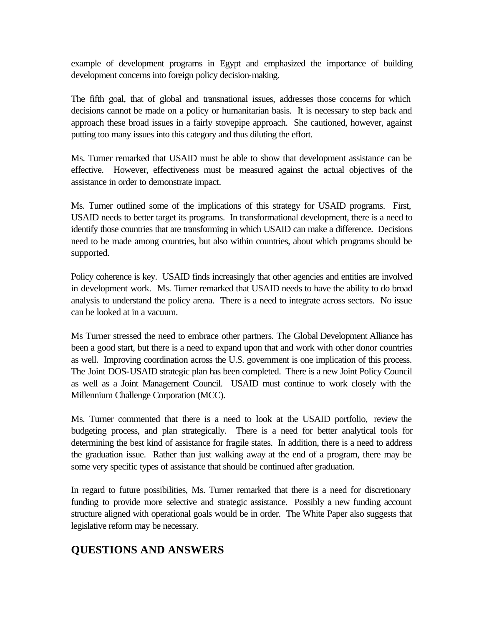example of development programs in Egypt and emphasized the importance of building development concerns into foreign policy decision-making.

The fifth goal, that of global and transnational issues, addresses those concerns for which decisions cannot be made on a policy or humanitarian basis. It is necessary to step back and approach these broad issues in a fairly stovepipe approach. She cautioned, however, against putting too many issues into this category and thus diluting the effort.

Ms. Turner remarked that USAID must be able to show that development assistance can be effective. However, effectiveness must be measured against the actual objectives of the assistance in order to demonstrate impact.

Ms. Turner outlined some of the implications of this strategy for USAID programs. First, USAID needs to better target its programs. In transformational development, there is a need to identify those countries that are transforming in which USAID can make a difference. Decisions need to be made among countries, but also within countries, about which programs should be supported.

Policy coherence is key. USAID finds increasingly that other agencies and entities are involved in development work. Ms. Turner remarked that USAID needs to have the ability to do broad analysis to understand the policy arena. There is a need to integrate across sectors. No issue can be looked at in a vacuum.

Ms Turner stressed the need to embrace other partners. The Global Development Alliance has been a good start, but there is a need to expand upon that and work with other donor countries as well. Improving coordination across the U.S. government is one implication of this process. The Joint DOS-USAID strategic plan has been completed. There is a new Joint Policy Council as well as a Joint Management Council. USAID must continue to work closely with the Millennium Challenge Corporation (MCC).

Ms. Turner commented that there is a need to look at the USAID portfolio, review the budgeting process, and plan strategically. There is a need for better analytical tools for determining the best kind of assistance for fragile states. In addition, there is a need to address the graduation issue. Rather than just walking away at the end of a program, there may be some very specific types of assistance that should be continued after graduation.

In regard to future possibilities, Ms. Turner remarked that there is a need for discretionary funding to provide more selective and strategic assistance. Possibly a new funding account structure aligned with operational goals would be in order. The White Paper also suggests that legislative reform may be necessary.

# **QUESTIONS AND ANSWERS**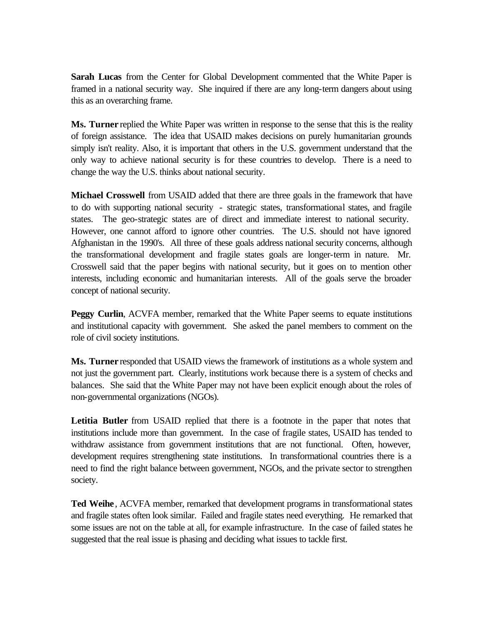**Sarah Lucas** from the Center for Global Development commented that the White Paper is framed in a national security way. She inquired if there are any long-term dangers about using this as an overarching frame.

**Ms. Turner** replied the White Paper was written in response to the sense that this is the reality of foreign assistance. The idea that USAID makes decisions on purely humanitarian grounds simply isn't reality. Also, it is important that others in the U.S. government understand that the only way to achieve national security is for these countries to develop. There is a need to change the way the U.S. thinks about national security.

**Michael Crosswell** from USAID added that there are three goals in the framework that have to do with supporting national security - strategic states, transformational states, and fragile states. The geo-strategic states are of direct and immediate interest to national security. However, one cannot afford to ignore other countries. The U.S. should not have ignored Afghanistan in the 1990's. All three of these goals address national security concerns, although the transformational development and fragile states goals are longer-term in nature. Mr. Crosswell said that the paper begins with national security, but it goes on to mention other interests, including economic and humanitarian interests. All of the goals serve the broader concept of national security.

**Peggy Curlin, ACVFA member, remarked that the White Paper seems to equate institutions** and institutional capacity with government. She asked the panel members to comment on the role of civil society institutions.

**Ms. Turner** responded that USAID views the framework of institutions as a whole system and not just the government part. Clearly, institutions work because there is a system of checks and balances. She said that the White Paper may not have been explicit enough about the roles of non-governmental organizations (NGOs).

**Letitia Butler** from USAID replied that there is a footnote in the paper that notes that institutions include more than government. In the case of fragile states, USAID has tended to withdraw assistance from government institutions that are not functional. Often, however, development requires strengthening state institutions. In transformational countries there is a need to find the right balance between government, NGOs, and the private sector to strengthen society.

Ted Weihe, ACVFA member, remarked that development programs in transformational states and fragile states often look similar. Failed and fragile states need everything. He remarked that some issues are not on the table at all, for example infrastructure. In the case of failed states he suggested that the real issue is phasing and deciding what issues to tackle first.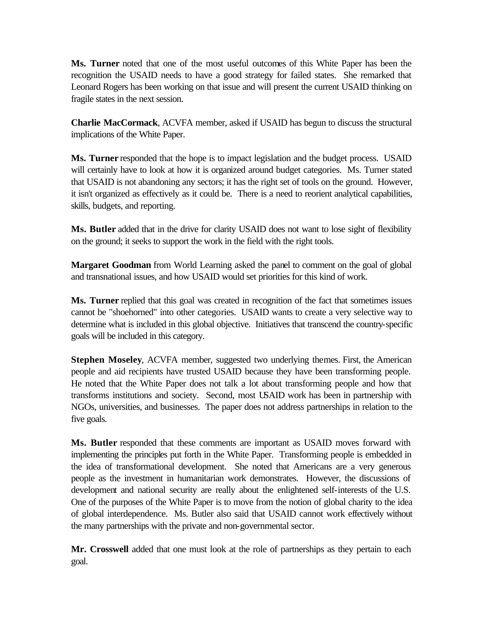**Ms. Turner** noted that one of the most useful outcomes of this White Paper has been the recognition the USAID needs to have a good strategy for failed states. She remarked that Leonard Rogers has been working on that issue and will present the current USAID thinking on fragile states in the next session.

**Charlie MacCormack**, ACVFA member, asked if USAID has begun to discuss the structural implications of the White Paper.

**Ms. Turner** responded that the hope is to impact legislation and the budget process. USAID will certainly have to look at how it is organized around budget categories. Ms. Turner stated that USAID is not abandoning any sectors; it has the right set of tools on the ground. However, it isn't organized as effectively as it could be. There is a need to reorient analytical capabilities, skills, budgets, and reporting.

**Ms. Butler** added that in the drive for clarity USAID does not want to lose sight of flexibility on the ground; it seeks to support the work in the field with the right tools.

**Margaret Goodman** from World Learning asked the panel to comment on the goal of global and transnational issues, and how USAID would set priorities for this kind of work.

**Ms. Turner** replied that this goal was created in recognition of the fact that sometimes issues cannot be "shoehorned" into other categories. USAID wants to create a very selective way to determine what is included in this global objective. Initiatives that transcend the country-specific goals will be included in this category.

**Stephen Moseley**, ACVFA member, suggested two underlying themes. First, the American people and aid recipients have trusted USAID because they have been transforming people. He noted that the White Paper does not talk a lot about transforming people and how that transforms institutions and society. Second, most USAID work has been in partnership with NGOs, universities, and businesses. The paper does not address partnerships in relation to the five goals.

**Ms. Butler** responded that these comments are important as USAID moves forward with implementing the principles put forth in the White Paper. Transforming people is embedded in the idea of transformational development. She noted that Americans are a very generous people as the investment in humanitarian work demonstrates. However, the discussions of development and national security are really about the enlightened self-interests of the U.S. One of the purposes of the White Paper is to move from the notion of global charity to the idea of global interdependence. Ms. Butler also said that USAID cannot work effectively without the many partnerships with the private and non-governmental sector.

**Mr. Crosswell** added that one must look at the role of partnerships as they pertain to each goal.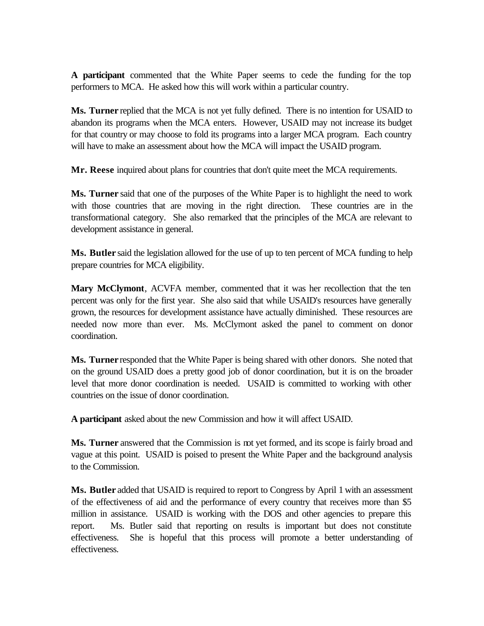**A participant** commented that the White Paper seems to cede the funding for the top performers to MCA. He asked how this will work within a particular country.

**Ms. Turner** replied that the MCA is not yet fully defined. There is no intention for USAID to abandon its programs when the MCA enters. However, USAID may not increase its budget for that country or may choose to fold its programs into a larger MCA program. Each country will have to make an assessment about how the MCA will impact the USAID program.

**Mr. Reese** inquired about plans for countries that don't quite meet the MCA requirements.

**Ms. Turner** said that one of the purposes of the White Paper is to highlight the need to work with those countries that are moving in the right direction. These countries are in the transformational category. She also remarked that the principles of the MCA are relevant to development assistance in general.

**Ms. Butler** said the legislation allowed for the use of up to ten percent of MCA funding to help prepare countries for MCA eligibility.

**Mary McClymont**, ACVFA member, commented that it was her recollection that the ten percent was only for the first year. She also said that while USAID's resources have generally grown, the resources for development assistance have actually diminished. These resources are needed now more than ever. Ms. McClymont asked the panel to comment on donor coordination.

**Ms. Turner** responded that the White Paper is being shared with other donors. She noted that on the ground USAID does a pretty good job of donor coordination, but it is on the broader level that more donor coordination is needed. USAID is committed to working with other countries on the issue of donor coordination.

**A participant** asked about the new Commission and how it will affect USAID.

**Ms. Turner** answered that the Commission is not yet formed, and its scope is fairly broad and vague at this point. USAID is poised to present the White Paper and the background analysis to the Commission.

**Ms. Butler** added that USAID is required to report to Congress by April 1 with an assessment of the effectiveness of aid and the performance of every country that receives more than \$5 million in assistance. USAID is working with the DOS and other agencies to prepare this report. Ms. Butler said that reporting on results is important but does not constitute effectiveness. She is hopeful that this process will promote a better understanding of effectiveness.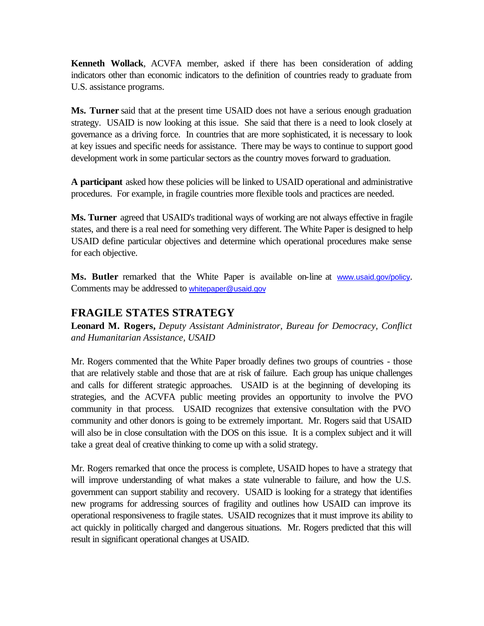**Kenneth Wollack**, ACVFA member, asked if there has been consideration of adding indicators other than economic indicators to the definition of countries ready to graduate from U.S. assistance programs.

**Ms. Turner** said that at the present time USAID does not have a serious enough graduation strategy. USAID is now looking at this issue. She said that there is a need to look closely at governance as a driving force. In countries that are more sophisticated, it is necessary to look at key issues and specific needs for assistance. There may be ways to continue to support good development work in some particular sectors as the country moves forward to graduation.

**A participant** asked how these policies will be linked to USAID operational and administrative procedures. For example, in fragile countries more flexible tools and practices are needed.

**Ms. Turner** agreed that USAID's traditional ways of working are not always effective in fragile states, and there is a real need for something very different. The White Paper is designed to help USAID define particular objectives and determine which operational procedures make sense for each objective.

Ms. Butler remarked that the White Paper is available on-line at www.usaid.gov/policy. Comments may be addressed to whitepaper@usaid.gov

# **FRAGILE STATES STRATEGY**

**Leonard M. Rogers,** *Deputy Assistant Administrator, Bureau for Democracy, Conflict and Humanitarian Assistance, USAID*

Mr. Rogers commented that the White Paper broadly defines two groups of countries - those that are relatively stable and those that are at risk of failure. Each group has unique challenges and calls for different strategic approaches. USAID is at the beginning of developing its strategies, and the ACVFA public meeting provides an opportunity to involve the PVO community in that process. USAID recognizes that extensive consultation with the PVO community and other donors is going to be extremely important. Mr. Rogers said that USAID will also be in close consultation with the DOS on this issue. It is a complex subject and it will take a great deal of creative thinking to come up with a solid strategy.

Mr. Rogers remarked that once the process is complete, USAID hopes to have a strategy that will improve understanding of what makes a state vulnerable to failure, and how the U.S. government can support stability and recovery. USAID is looking for a strategy that identifies new programs for addressing sources of fragility and outlines how USAID can improve its operational responsiveness to fragile states. USAID recognizes that it must improve its ability to act quickly in politically charged and dangerous situations. Mr. Rogers predicted that this will result in significant operational changes at USAID.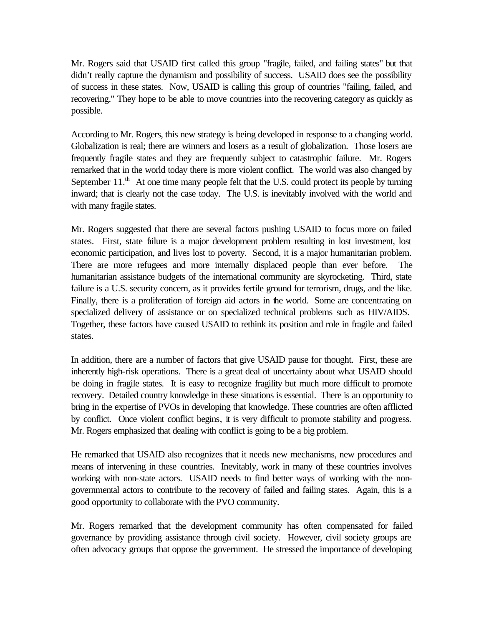Mr. Rogers said that USAID first called this group "fragile, failed, and failing states" but that didn't really capture the dynamism and possibility of success. USAID does see the possibility of success in these states. Now, USAID is calling this group of countries "failing, failed, and recovering." They hope to be able to move countries into the recovering category as quickly as possible.

According to Mr. Rogers, this new strategy is being developed in response to a changing world. Globalization is real; there are winners and losers as a result of globalization. Those losers are frequently fragile states and they are frequently subject to catastrophic failure. Mr. Rogers remarked that in the world today there is more violent conflict. The world was also changed by September  $11.^{\text{th}}$  At one time many people felt that the U.S. could protect its people by turning inward; that is clearly not the case today. The U.S. is inevitably involved with the world and with many fragile states.

Mr. Rogers suggested that there are several factors pushing USAID to focus more on failed states. First, state failure is a major development problem resulting in lost investment, lost economic participation, and lives lost to poverty. Second, it is a major humanitarian problem. There are more refugees and more internally displaced people than ever before. The humanitarian assistance budgets of the international community are skyrocketing. Third, state failure is a U.S. security concern, as it provides fertile ground for terrorism, drugs, and the like. Finally, there is a proliferation of foreign aid actors in the world. Some are concentrating on specialized delivery of assistance or on specialized technical problems such as HIV/AIDS. Together, these factors have caused USAID to rethink its position and role in fragile and failed states.

In addition, there are a number of factors that give USAID pause for thought. First, these are inherently high-risk operations. There is a great deal of uncertainty about what USAID should be doing in fragile states. It is easy to recognize fragility but much more difficult to promote recovery. Detailed country knowledge in these situations is essential. There is an opportunity to bring in the expertise of PVOs in developing that knowledge. These countries are often afflicted by conflict. Once violent conflict begins, it is very difficult to promote stability and progress. Mr. Rogers emphasized that dealing with conflict is going to be a big problem.

He remarked that USAID also recognizes that it needs new mechanisms, new procedures and means of intervening in these countries. Inevitably, work in many of these countries involves working with non-state actors. USAID needs to find better ways of working with the nongovernmental actors to contribute to the recovery of failed and failing states. Again, this is a good opportunity to collaborate with the PVO community.

Mr. Rogers remarked that the development community has often compensated for failed governance by providing assistance through civil society. However, civil society groups are often advocacy groups that oppose the government. He stressed the importance of developing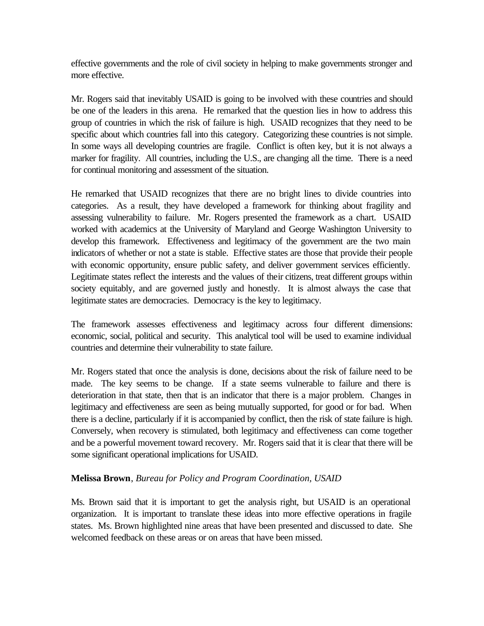effective governments and the role of civil society in helping to make governments stronger and more effective.

Mr. Rogers said that inevitably USAID is going to be involved with these countries and should be one of the leaders in this arena. He remarked that the question lies in how to address this group of countries in which the risk of failure is high. USAID recognizes that they need to be specific about which countries fall into this category. Categorizing these countries is not simple. In some ways all developing countries are fragile. Conflict is often key, but it is not always a marker for fragility. All countries, including the U.S., are changing all the time. There is a need for continual monitoring and assessment of the situation.

He remarked that USAID recognizes that there are no bright lines to divide countries into categories. As a result, they have developed a framework for thinking about fragility and assessing vulnerability to failure. Mr. Rogers presented the framework as a chart. USAID worked with academics at the University of Maryland and George Washington University to develop this framework. Effectiveness and legitimacy of the government are the two main indicators of whether or not a state is stable. Effective states are those that provide their people with economic opportunity, ensure public safety, and deliver government services efficiently. Legitimate states reflect the interests and the values of their citizens, treat different groups within society equitably, and are governed justly and honestly. It is almost always the case that legitimate states are democracies. Democracy is the key to legitimacy.

The framework assesses effectiveness and legitimacy across four different dimensions: economic, social, political and security. This analytical tool will be used to examine individual countries and determine their vulnerability to state failure.

Mr. Rogers stated that once the analysis is done, decisions about the risk of failure need to be made. The key seems to be change. If a state seems vulnerable to failure and there is deterioration in that state, then that is an indicator that there is a major problem. Changes in legitimacy and effectiveness are seen as being mutually supported, for good or for bad. When there is a decline, particularly if it is accompanied by conflict, then the risk of state failure is high. Conversely, when recovery is stimulated, both legitimacy and effectiveness can come together and be a powerful movement toward recovery. Mr. Rogers said that it is clear that there will be some significant operational implications for USAID.

## **Melissa Brown**, *Bureau for Policy and Program Coordination, USAID*

Ms. Brown said that it is important to get the analysis right, but USAID is an operational organization. It is important to translate these ideas into more effective operations in fragile states. Ms. Brown highlighted nine areas that have been presented and discussed to date. She welcomed feedback on these areas or on areas that have been missed.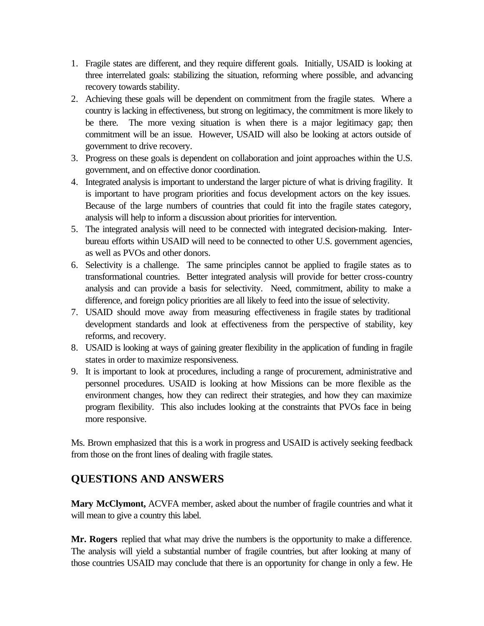- 1. Fragile states are different, and they require different goals. Initially, USAID is looking at three interrelated goals: stabilizing the situation, reforming where possible, and advancing recovery towards stability.
- 2. Achieving these goals will be dependent on commitment from the fragile states. Where a country is lacking in effectiveness, but strong on legitimacy, the commitment is more likely to be there. The more vexing situation is when there is a major legitimacy gap; then commitment will be an issue. However, USAID will also be looking at actors outside of government to drive recovery.
- 3. Progress on these goals is dependent on collaboration and joint approaches within the U.S. government, and on effective donor coordination.
- 4. Integrated analysis is important to understand the larger picture of what is driving fragility. It is important to have program priorities and focus development actors on the key issues. Because of the large numbers of countries that could fit into the fragile states category, analysis will help to inform a discussion about priorities for intervention.
- 5. The integrated analysis will need to be connected with integrated decision-making. Interbureau efforts within USAID will need to be connected to other U.S. government agencies, as well as PVOs and other donors.
- 6. Selectivity is a challenge. The same principles cannot be applied to fragile states as to transformational countries. Better integrated analysis will provide for better cross-country analysis and can provide a basis for selectivity. Need, commitment, ability to make a difference, and foreign policy priorities are all likely to feed into the issue of selectivity.
- 7. USAID should move away from measuring effectiveness in fragile states by traditional development standards and look at effectiveness from the perspective of stability, key reforms, and recovery.
- 8. USAID is looking at ways of gaining greater flexibility in the application of funding in fragile states in order to maximize responsiveness.
- 9. It is important to look at procedures, including a range of procurement, administrative and personnel procedures. USAID is looking at how Missions can be more flexible as the environment changes, how they can redirect their strategies, and how they can maximize program flexibility. This also includes looking at the constraints that PVOs face in being more responsive.

Ms. Brown emphasized that this is a work in progress and USAID is actively seeking feedback from those on the front lines of dealing with fragile states.

# **QUESTIONS AND ANSWERS**

**Mary McClymont,** ACVFA member, asked about the number of fragile countries and what it will mean to give a country this label.

**Mr. Rogers** replied that what may drive the numbers is the opportunity to make a difference. The analysis will yield a substantial number of fragile countries, but after looking at many of those countries USAID may conclude that there is an opportunity for change in only a few. He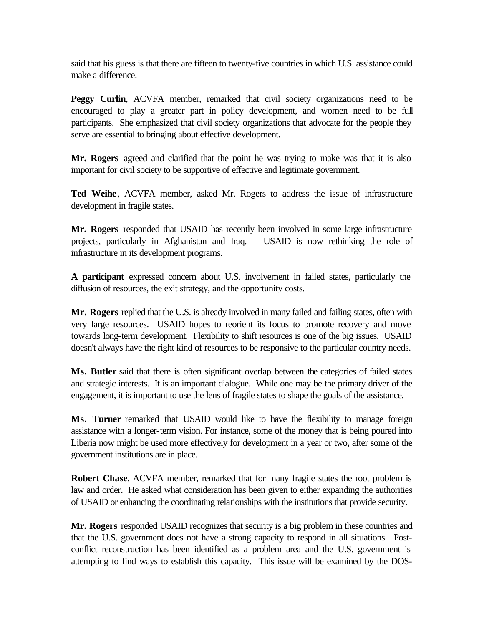said that his guess is that there are fifteen to twenty-five countries in which U.S. assistance could make a difference.

Peggy Curlin, ACVFA member, remarked that civil society organizations need to be encouraged to play a greater part in policy development, and women need to be full participants. She emphasized that civil society organizations that advocate for the people they serve are essential to bringing about effective development.

**Mr. Rogers** agreed and clarified that the point he was trying to make was that it is also important for civil society to be supportive of effective and legitimate government.

**Ted Weihe**, ACVFA member, asked Mr. Rogers to address the issue of infrastructure development in fragile states.

**Mr. Rogers** responded that USAID has recently been involved in some large infrastructure projects, particularly in Afghanistan and Iraq. USAID is now rethinking the role of infrastructure in its development programs.

**A participant** expressed concern about U.S. involvement in failed states, particularly the diffusion of resources, the exit strategy, and the opportunity costs.

**Mr. Rogers** replied that the U.S. is already involved in many failed and failing states, often with very large resources. USAID hopes to reorient its focus to promote recovery and move towards long-term development. Flexibility to shift resources is one of the big issues. USAID doesn't always have the right kind of resources to be responsive to the particular country needs.

**Ms. Butler** said that there is often significant overlap between the categories of failed states and strategic interests. It is an important dialogue. While one may be the primary driver of the engagement, it is important to use the lens of fragile states to shape the goals of the assistance.

**Ms. Turner** remarked that USAID would like to have the flexibility to manage foreign assistance with a longer-term vision. For instance, some of the money that is being poured into Liberia now might be used more effectively for development in a year or two, after some of the government institutions are in place.

**Robert Chase**, ACVFA member, remarked that for many fragile states the root problem is law and order. He asked what consideration has been given to either expanding the authorities of USAID or enhancing the coordinating relationships with the institutions that provide security.

**Mr. Rogers** responded USAID recognizes that security is a big problem in these countries and that the U.S. government does not have a strong capacity to respond in all situations. Postconflict reconstruction has been identified as a problem area and the U.S. government is attempting to find ways to establish this capacity. This issue will be examined by the DOS-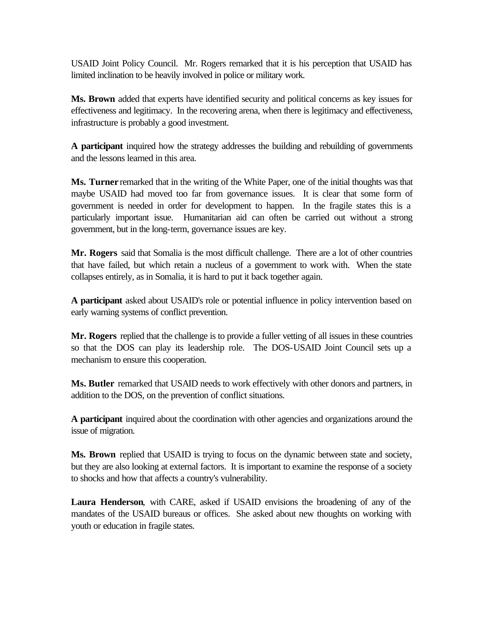USAID Joint Policy Council. Mr. Rogers remarked that it is his perception that USAID has limited inclination to be heavily involved in police or military work.

**Ms. Brown** added that experts have identified security and political concerns as key issues for effectiveness and legitimacy. In the recovering arena, when there is legitimacy and effectiveness, infrastructure is probably a good investment.

**A participant** inquired how the strategy addresses the building and rebuilding of governments and the lessons learned in this area.

**Ms. Turner** remarked that in the writing of the White Paper, one of the initial thoughts was that maybe USAID had moved too far from governance issues. It is clear that some form of government is needed in order for development to happen. In the fragile states this is a particularly important issue. Humanitarian aid can often be carried out without a strong government, but in the long-term, governance issues are key.

**Mr. Rogers** said that Somalia is the most difficult challenge. There are a lot of other countries that have failed, but which retain a nucleus of a government to work with. When the state collapses entirely, as in Somalia, it is hard to put it back together again.

**A participant** asked about USAID's role or potential influence in policy intervention based on early warning systems of conflict prevention.

**Mr. Rogers** replied that the challenge is to provide a fuller vetting of all issues in these countries so that the DOS can play its leadership role. The DOS-USAID Joint Council sets up a mechanism to ensure this cooperation.

**Ms. Butler** remarked that USAID needs to work effectively with other donors and partners, in addition to the DOS, on the prevention of conflict situations.

**A participant** inquired about the coordination with other agencies and organizations around the issue of migration.

**Ms. Brown** replied that USAID is trying to focus on the dynamic between state and society, but they are also looking at external factors. It is important to examine the response of a society to shocks and how that affects a country's vulnerability.

**Laura Henderson**, with CARE, asked if USAID envisions the broadening of any of the mandates of the USAID bureaus or offices. She asked about new thoughts on working with youth or education in fragile states.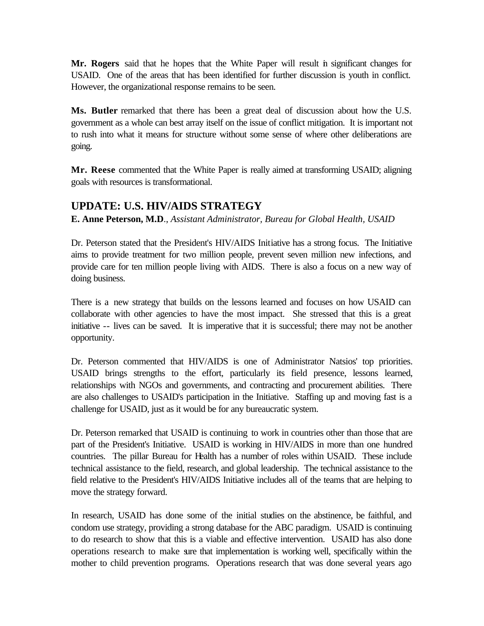**Mr. Rogers** said that he hopes that the White Paper will result in significant changes for USAID. One of the areas that has been identified for further discussion is youth in conflict. However, the organizational response remains to be seen.

**Ms. Butler** remarked that there has been a great deal of discussion about how the U.S. government as a whole can best array itself on the issue of conflict mitigation. It is important not to rush into what it means for structure without some sense of where other deliberations are going.

**Mr. Reese** commented that the White Paper is really aimed at transforming USAID; aligning goals with resources is transformational.

## **UPDATE: U.S. HIV/AIDS STRATEGY**

**E. Anne Peterson, M.D**., *Assistant Administrator, Bureau for Global Health, USAID*

Dr. Peterson stated that the President's HIV/AIDS Initiative has a strong focus. The Initiative aims to provide treatment for two million people, prevent seven million new infections, and provide care for ten million people living with AIDS. There is also a focus on a new way of doing business.

There is a new strategy that builds on the lessons learned and focuses on how USAID can collaborate with other agencies to have the most impact. She stressed that this is a great initiative -- lives can be saved. It is imperative that it is successful; there may not be another opportunity.

Dr. Peterson commented that HIV/AIDS is one of Administrator Natsios' top priorities. USAID brings strengths to the effort, particularly its field presence, lessons learned, relationships with NGOs and governments, and contracting and procurement abilities. There are also challenges to USAID's participation in the Initiative. Staffing up and moving fast is a challenge for USAID, just as it would be for any bureaucratic system.

Dr. Peterson remarked that USAID is continuing to work in countries other than those that are part of the President's Initiative. USAID is working in HIV/AIDS in more than one hundred countries. The pillar Bureau for Health has a number of roles within USAID. These include technical assistance to the field, research, and global leadership. The technical assistance to the field relative to the President's HIV/AIDS Initiative includes all of the teams that are helping to move the strategy forward.

In research, USAID has done some of the initial studies on the abstinence, be faithful, and condom use strategy, providing a strong database for the ABC paradigm. USAID is continuing to do research to show that this is a viable and effective intervention. USAID has also done operations research to make sure that implementation is working well, specifically within the mother to child prevention programs. Operations research that was done several years ago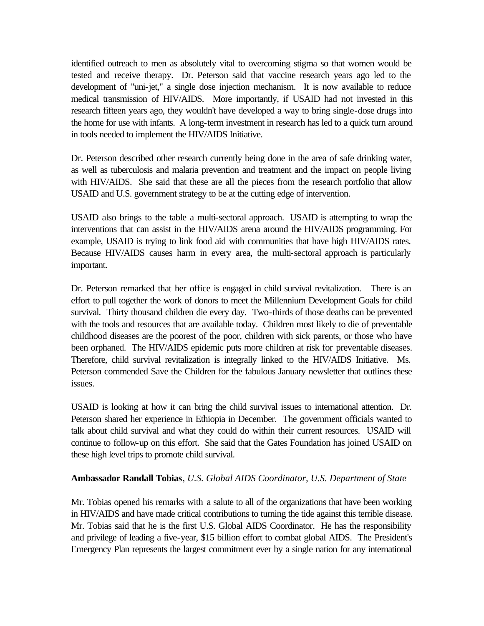identified outreach to men as absolutely vital to overcoming stigma so that women would be tested and receive therapy. Dr. Peterson said that vaccine research years ago led to the development of "uni-jet," a single dose injection mechanism. It is now available to reduce medical transmission of HIV/AIDS. More importantly, if USAID had not invested in this research fifteen years ago, they wouldn't have developed a way to bring single-dose drugs into the home for use with infants. A long-term investment in research has led to a quick turn around in tools needed to implement the HIV/AIDS Initiative.

Dr. Peterson described other research currently being done in the area of safe drinking water, as well as tuberculosis and malaria prevention and treatment and the impact on people living with HIV/AIDS. She said that these are all the pieces from the research portfolio that allow USAID and U.S. government strategy to be at the cutting edge of intervention.

USAID also brings to the table a multi-sectoral approach. USAID is attempting to wrap the interventions that can assist in the HIV/AIDS arena around the HIV/AIDS programming. For example, USAID is trying to link food aid with communities that have high HIV/AIDS rates. Because HIV/AIDS causes harm in every area, the multi-sectoral approach is particularly important.

Dr. Peterson remarked that her office is engaged in child survival revitalization. There is an effort to pull together the work of donors to meet the Millennium Development Goals for child survival. Thirty thousand children die every day. Two-thirds of those deaths can be prevented with the tools and resources that are available today. Children most likely to die of preventable childhood diseases are the poorest of the poor, children with sick parents, or those who have been orphaned. The HIV/AIDS epidemic puts more children at risk for preventable diseases. Therefore, child survival revitalization is integrally linked to the HIV/AIDS Initiative. Ms. Peterson commended Save the Children for the fabulous January newsletter that outlines these issues.

USAID is looking at how it can bring the child survival issues to international attention. Dr. Peterson shared her experience in Ethiopia in December. The government officials wanted to talk about child survival and what they could do within their current resources. USAID will continue to follow-up on this effort. She said that the Gates Foundation has joined USAID on these high level trips to promote child survival.

#### **Ambassador Randall Tobias**, *U.S. Global AIDS Coordinator, U.S. Department of State*

Mr. Tobias opened his remarks with a salute to all of the organizations that have been working in HIV/AIDS and have made critical contributions to turning the tide against this terrible disease. Mr. Tobias said that he is the first U.S. Global AIDS Coordinator. He has the responsibility and privilege of leading a five-year, \$15 billion effort to combat global AIDS. The President's Emergency Plan represents the largest commitment ever by a single nation for any international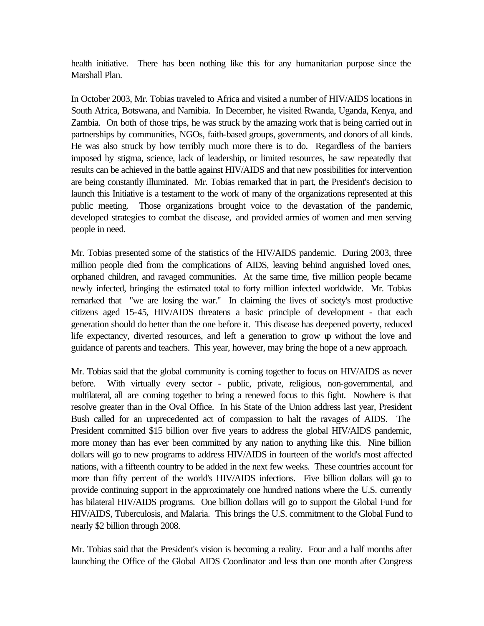health initiative. There has been nothing like this for any humanitarian purpose since the Marshall Plan.

In October 2003, Mr. Tobias traveled to Africa and visited a number of HIV/AIDS locations in South Africa, Botswana, and Namibia. In December, he visited Rwanda, Uganda, Kenya, and Zambia. On both of those trips, he was struck by the amazing work that is being carried out in partnerships by communities, NGOs, faith-based groups, governments, and donors of all kinds. He was also struck by how terribly much more there is to do. Regardless of the barriers imposed by stigma, science, lack of leadership, or limited resources, he saw repeatedly that results can be achieved in the battle against HIV/AIDS and that new possibilities for intervention are being constantly illuminated. Mr. Tobias remarked that in part, the President's decision to launch this Initiative is a testament to the work of many of the organizations represented at this public meeting. Those organizations brought voice to the devastation of the pandemic, developed strategies to combat the disease, and provided armies of women and men serving people in need.

Mr. Tobias presented some of the statistics of the HIV/AIDS pandemic. During 2003, three million people died from the complications of AIDS, leaving behind anguished loved ones, orphaned children, and ravaged communities. At the same time, five million people became newly infected, bringing the estimated total to forty million infected worldwide. Mr. Tobias remarked that "we are losing the war." In claiming the lives of society's most productive citizens aged 15-45, HIV/AIDS threatens a basic principle of development - that each generation should do better than the one before it. This disease has deepened poverty, reduced life expectancy, diverted resources, and left a generation to grow up without the love and guidance of parents and teachers. This year, however, may bring the hope of a new approach.

Mr. Tobias said that the global community is coming together to focus on HIV/AIDS as never before. With virtually every sector - public, private, religious, non-governmental, and multilateral, all are coming together to bring a renewed focus to this fight. Nowhere is that resolve greater than in the Oval Office. In his State of the Union address last year, President Bush called for an unprecedented act of compassion to halt the ravages of AIDS. The President committed \$15 billion over five years to address the global HIV/AIDS pandemic, more money than has ever been committed by any nation to anything like this. Nine billion dollars will go to new programs to address HIV/AIDS in fourteen of the world's most affected nations, with a fifteenth country to be added in the next few weeks. These countries account for more than fifty percent of the world's HIV/AIDS infections. Five billion dollars will go to provide continuing support in the approximately one hundred nations where the U.S. currently has bilateral HIV/AIDS programs. One billion dollars will go to support the Global Fund for HIV/AIDS, Tuberculosis, and Malaria. This brings the U.S. commitment to the Global Fund to nearly \$2 billion through 2008.

Mr. Tobias said that the President's vision is becoming a reality. Four and a half months after launching the Office of the Global AIDS Coordinator and less than one month after Congress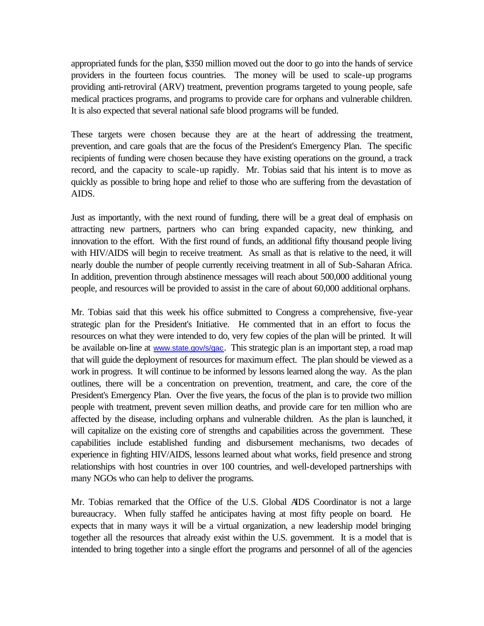appropriated funds for the plan, \$350 million moved out the door to go into the hands of service providers in the fourteen focus countries. The money will be used to scale-up programs providing anti-retroviral (ARV) treatment, prevention programs targeted to young people, safe medical practices programs, and programs to provide care for orphans and vulnerable children. It is also expected that several national safe blood programs will be funded.

These targets were chosen because they are at the heart of addressing the treatment, prevention, and care goals that are the focus of the President's Emergency Plan. The specific recipients of funding were chosen because they have existing operations on the ground, a track record, and the capacity to scale-up rapidly. Mr. Tobias said that his intent is to move as quickly as possible to bring hope and relief to those who are suffering from the devastation of AIDS.

Just as importantly, with the next round of funding, there will be a great deal of emphasis on attracting new partners, partners who can bring expanded capacity, new thinking, and innovation to the effort. With the first round of funds, an additional fifty thousand people living with HIV/AIDS will begin to receive treatment. As small as that is relative to the need, it will nearly double the number of people currently receiving treatment in all of Sub-Saharan Africa. In addition, prevention through abstinence messages will reach about 500,000 additional young people, and resources will be provided to assist in the care of about 60,000 additional orphans.

Mr. Tobias said that this week his office submitted to Congress a comprehensive, five-year strategic plan for the President's Initiative. He commented that in an effort to focus the resources on what they were intended to do, very few copies of the plan will be printed. It will be available on-line at www.state.gov/s/gac. This strategic plan is an important step, a road map that will guide the deployment of resources for maximum effect. The plan should be viewed as a work in progress. It will continue to be informed by lessons learned along the way. As the plan outlines, there will be a concentration on prevention, treatment, and care, the core of the President's Emergency Plan. Over the five years, the focus of the plan is to provide two million people with treatment, prevent seven million deaths, and provide care for ten million who are affected by the disease, including orphans and vulnerable children. As the plan is launched, it will capitalize on the existing core of strengths and capabilities across the government. These capabilities include established funding and disbursement mechanisms, two decades of experience in fighting HIV/AIDS, lessons learned about what works, field presence and strong relationships with host countries in over 100 countries, and well-developed partnerships with many NGOs who can help to deliver the programs.

Mr. Tobias remarked that the Office of the U.S. Global AIDS Coordinator is not a large bureaucracy. When fully staffed he anticipates having at most fifty people on board. He expects that in many ways it will be a virtual organization, a new leadership model bringing together all the resources that already exist within the U.S. government. It is a model that is intended to bring together into a single effort the programs and personnel of all of the agencies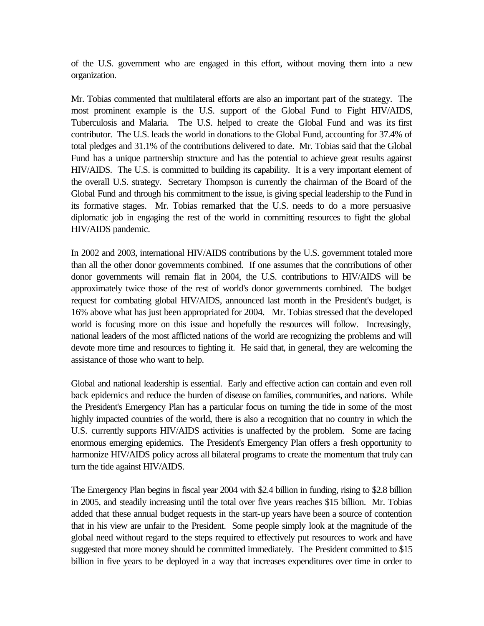of the U.S. government who are engaged in this effort, without moving them into a new organization.

Mr. Tobias commented that multilateral efforts are also an important part of the strategy. The most prominent example is the U.S. support of the Global Fund to Fight HIV/AIDS, Tuberculosis and Malaria. The U.S. helped to create the Global Fund and was its first contributor. The U.S. leads the world in donations to the Global Fund, accounting for 37.4% of total pledges and 31.1% of the contributions delivered to date. Mr. Tobias said that the Global Fund has a unique partnership structure and has the potential to achieve great results against HIV/AIDS. The U.S. is committed to building its capability. It is a very important element of the overall U.S. strategy. Secretary Thompson is currently the chairman of the Board of the Global Fund and through his commitment to the issue, is giving special leadership to the Fund in its formative stages. Mr. Tobias remarked that the U.S. needs to do a more persuasive diplomatic job in engaging the rest of the world in committing resources to fight the global HIV/AIDS pandemic.

In 2002 and 2003, international HIV/AIDS contributions by the U.S. government totaled more than all the other donor governments combined. If one assumes that the contributions of other donor governments will remain flat in 2004, the U.S. contributions to HIV/AIDS will be approximately twice those of the rest of world's donor governments combined. The budget request for combating global HIV/AIDS, announced last month in the President's budget, is 16% above what has just been appropriated for 2004. Mr. Tobias stressed that the developed world is focusing more on this issue and hopefully the resources will follow. Increasingly, national leaders of the most afflicted nations of the world are recognizing the problems and will devote more time and resources to fighting it. He said that, in general, they are welcoming the assistance of those who want to help.

Global and national leadership is essential. Early and effective action can contain and even roll back epidemics and reduce the burden of disease on families, communities, and nations. While the President's Emergency Plan has a particular focus on turning the tide in some of the most highly impacted countries of the world, there is also a recognition that no country in which the U.S. currently supports HIV/AIDS activities is unaffected by the problem. Some are facing enormous emerging epidemics. The President's Emergency Plan offers a fresh opportunity to harmonize HIV/AIDS policy across all bilateral programs to create the momentum that truly can turn the tide against HIV/AIDS.

The Emergency Plan begins in fiscal year 2004 with \$2.4 billion in funding, rising to \$2.8 billion in 2005, and steadily increasing until the total over five years reaches \$15 billion. Mr. Tobias added that these annual budget requests in the start-up years have been a source of contention that in his view are unfair to the President. Some people simply look at the magnitude of the global need without regard to the steps required to effectively put resources to work and have suggested that more money should be committed immediately. The President committed to \$15 billion in five years to be deployed in a way that increases expenditures over time in order to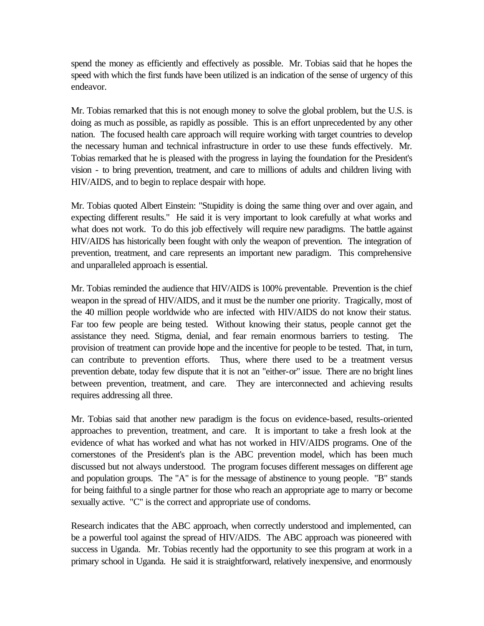spend the money as efficiently and effectively as possible. Mr. Tobias said that he hopes the speed with which the first funds have been utilized is an indication of the sense of urgency of this endeavor.

Mr. Tobias remarked that this is not enough money to solve the global problem, but the U.S. is doing as much as possible, as rapidly as possible. This is an effort unprecedented by any other nation. The focused health care approach will require working with target countries to develop the necessary human and technical infrastructure in order to use these funds effectively. Mr. Tobias remarked that he is pleased with the progress in laying the foundation for the President's vision - to bring prevention, treatment, and care to millions of adults and children living with HIV/AIDS, and to begin to replace despair with hope.

Mr. Tobias quoted Albert Einstein: "Stupidity is doing the same thing over and over again, and expecting different results." He said it is very important to look carefully at what works and what does not work. To do this job effectively will require new paradigms. The battle against HIV/AIDS has historically been fought with only the weapon of prevention. The integration of prevention, treatment, and care represents an important new paradigm. This comprehensive and unparalleled approach is essential.

Mr. Tobias reminded the audience that HIV/AIDS is 100% preventable. Prevention is the chief weapon in the spread of HIV/AIDS, and it must be the number one priority. Tragically, most of the 40 million people worldwide who are infected with HIV/AIDS do not know their status. Far too few people are being tested. Without knowing their status, people cannot get the assistance they need. Stigma, denial, and fear remain enormous barriers to testing. The provision of treatment can provide hope and the incentive for people to be tested. That, in turn, can contribute to prevention efforts. Thus, where there used to be a treatment versus prevention debate, today few dispute that it is not an "either-or" issue. There are no bright lines between prevention, treatment, and care. They are interconnected and achieving results requires addressing all three.

Mr. Tobias said that another new paradigm is the focus on evidence-based, results-oriented approaches to prevention, treatment, and care. It is important to take a fresh look at the evidence of what has worked and what has not worked in HIV/AIDS programs. One of the cornerstones of the President's plan is the ABC prevention model, which has been much discussed but not always understood. The program focuses different messages on different age and population groups. The "A" is for the message of abstinence to young people. "B" stands for being faithful to a single partner for those who reach an appropriate age to marry or become sexually active. "C" is the correct and appropriate use of condoms.

Research indicates that the ABC approach, when correctly understood and implemented, can be a powerful tool against the spread of HIV/AIDS. The ABC approach was pioneered with success in Uganda. Mr. Tobias recently had the opportunity to see this program at work in a primary school in Uganda. He said it is straightforward, relatively inexpensive, and enormously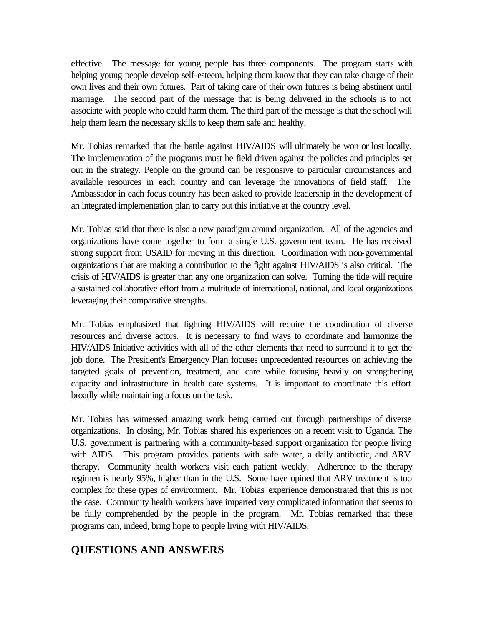effective. The message for young people has three components. The program starts with helping young people develop self-esteem, helping them know that they can take charge of their own lives and their own futures. Part of taking care of their own futures is being abstinent until marriage. The second part of the message that is being delivered in the schools is to not associate with people who could harm them. The third part of the message is that the school will help them learn the necessary skills to keep them safe and healthy.

Mr. Tobias remarked that the battle against HIV/AIDS will ultimately be won or lost locally. The implementation of the programs must be field driven against the policies and principles set out in the strategy. People on the ground can be responsive to particular circumstances and available resources in each country and can leverage the innovations of field staff. The Ambassador in each focus country has been asked to provide leadership in the development of an integrated implementation plan to carry out this initiative at the country level.

Mr. Tobias said that there is also a new paradigm around organization. All of the agencies and organizations have come together to form a single U.S. government team. He has received strong support from USAID for moving in this direction. Coordination with non-governmental organizations that are making a contribution to the fight against HIV/AIDS is also critical. The crisis of HIV/AIDS is greater than any one organization can solve. Turning the tide will require a sustained collaborative effort from a multitude of international, national, and local organizations leveraging their comparative strengths.

Mr. Tobias emphasized that fighting HIV/AIDS will require the coordination of diverse resources and diverse actors. It is necessary to find ways to coordinate and harmonize the HIV/AIDS Initiative activities with all of the other elements that need to surround it to get the job done. The President's Emergency Plan focuses unprecedented resources on achieving the targeted goals of prevention, treatment, and care while focusing heavily on strengthening capacity and infrastructure in health care systems. It is important to coordinate this effort broadly while maintaining a focus on the task.

Mr. Tobias has witnessed amazing work being carried out through partnerships of diverse organizations. In closing, Mr. Tobias shared his experiences on a recent visit to Uganda. The U.S. government is partnering with a community-based support organization for people living with AIDS. This program provides patients with safe water, a daily antibiotic, and ARV therapy. Community health workers visit each patient weekly. Adherence to the therapy regimen is nearly 95%, higher than in the U.S. Some have opined that ARV treatment is too complex for these types of environment. Mr. Tobias' experience demonstrated that this is not the case. Community health workers have imparted very complicated information that seems to be fully comprehended by the people in the program. Mr. Tobias remarked that these programs can, indeed, bring hope to people living with HIV/AIDS.

# **QUESTIONS AND ANSWERS**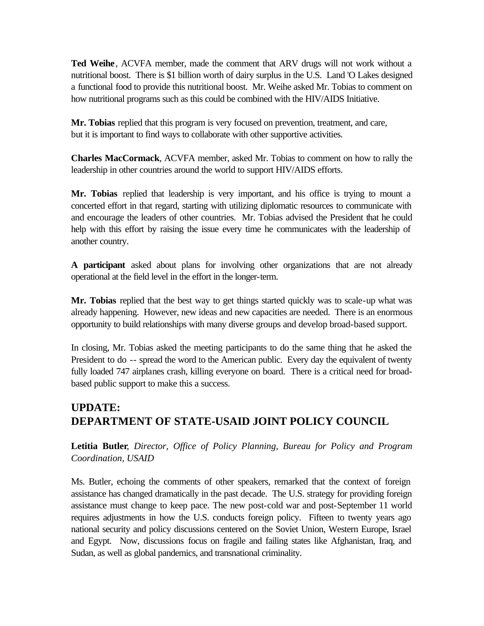**Ted Weihe** , ACVFA member, made the comment that ARV drugs will not work without a nutritional boost. There is \$1 billion worth of dairy surplus in the U.S. Land 'O Lakes designed a functional food to provide this nutritional boost. Mr. Weihe asked Mr. Tobias to comment on how nutritional programs such as this could be combined with the HIV/AIDS Initiative.

**Mr. Tobias** replied that this program is very focused on prevention, treatment, and care, but it is important to find ways to collaborate with other supportive activities.

**Charles MacCormack**, ACVFA member, asked Mr. Tobias to comment on how to rally the leadership in other countries around the world to support HIV/AIDS efforts.

**Mr. Tobias** replied that leadership is very important, and his office is trying to mount a concerted effort in that regard, starting with utilizing diplomatic resources to communicate with and encourage the leaders of other countries. Mr. Tobias advised the President that he could help with this effort by raising the issue every time he communicates with the leadership of another country.

**A participant** asked about plans for involving other organizations that are not already operational at the field level in the effort in the longer-term.

**Mr. Tobias** replied that the best way to get things started quickly was to scale-up what was already happening. However, new ideas and new capacities are needed. There is an enormous opportunity to build relationships with many diverse groups and develop broad-based support.

In closing, Mr. Tobias asked the meeting participants to do the same thing that he asked the President to do -- spread the word to the American public. Every day the equivalent of twenty fully loaded 747 airplanes crash, killing everyone on board. There is a critical need for broadbased public support to make this a success.

# **UPDATE: DEPARTMENT OF STATE-USAID JOINT POLICY COUNCIL**

**Letitia Butler**, *Director, Office of Policy Planning, Bureau for Policy and Program Coordination, USAID* 

Ms. Butler, echoing the comments of other speakers, remarked that the context of foreign assistance has changed dramatically in the past decade. The U.S. strategy for providing foreign assistance must change to keep pace. The new post-cold war and post-September 11 world requires adjustments in how the U.S. conducts foreign policy. Fifteen to twenty years ago national security and policy discussions centered on the Soviet Union, Western Europe, Israel and Egypt. Now, discussions focus on fragile and failing states like Afghanistan, Iraq, and Sudan, as well as global pandemics, and transnational criminality.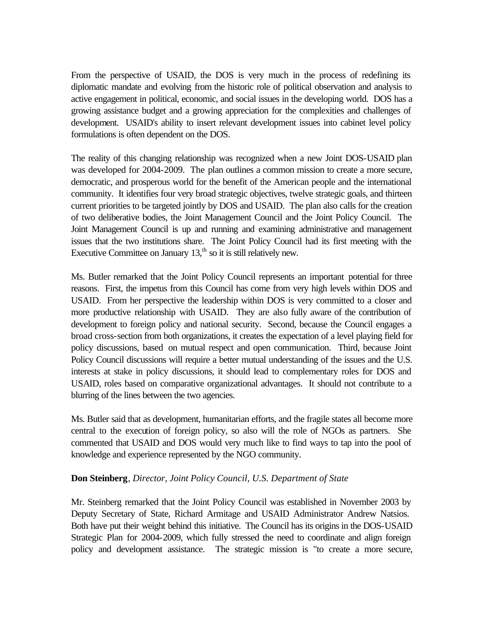From the perspective of USAID, the DOS is very much in the process of redefining its diplomatic mandate and evolving from the historic role of political observation and analysis to active engagement in political, economic, and social issues in the developing world. DOS has a growing assistance budget and a growing appreciation for the complexities and challenges of development. USAID's ability to insert relevant development issues into cabinet level policy formulations is often dependent on the DOS.

The reality of this changing relationship was recognized when a new Joint DOS-USAID plan was developed for 2004-2009. The plan outlines a common mission to create a more secure, democratic, and prosperous world for the benefit of the American people and the international community. It identifies four very broad strategic objectives, twelve strategic goals, and thirteen current priorities to be targeted jointly by DOS and USAID. The plan also calls for the creation of two deliberative bodies, the Joint Management Council and the Joint Policy Council. The Joint Management Council is up and running and examining administrative and management issues that the two institutions share. The Joint Policy Council had its first meeting with the Executive Committee on January  $13$ ,<sup>th</sup> so it is still relatively new.

Ms. Butler remarked that the Joint Policy Council represents an important potential for three reasons. First, the impetus from this Council has come from very high levels within DOS and USAID. From her perspective the leadership within DOS is very committed to a closer and more productive relationship with USAID. They are also fully aware of the contribution of development to foreign policy and national security. Second, because the Council engages a broad cross-section from both organizations, it creates the expectation of a level playing field for policy discussions, based on mutual respect and open communication. Third, because Joint Policy Council discussions will require a better mutual understanding of the issues and the U.S. interests at stake in policy discussions, it should lead to complementary roles for DOS and USAID, roles based on comparative organizational advantages. It should not contribute to a blurring of the lines between the two agencies.

Ms. Butler said that as development, humanitarian efforts, and the fragile states all become more central to the execution of foreign policy, so also will the role of NGOs as partners. She commented that USAID and DOS would very much like to find ways to tap into the pool of knowledge and experience represented by the NGO community.

#### **Don Steinberg**, *Director, Joint Policy Council, U.S. Department of State*

Mr. Steinberg remarked that the Joint Policy Council was established in November 2003 by Deputy Secretary of State, Richard Armitage and USAID Administrator Andrew Natsios. Both have put their weight behind this initiative. The Council has its origins in the DOS-USAID Strategic Plan for 2004-2009, which fully stressed the need to coordinate and align foreign policy and development assistance. The strategic mission is "to create a more secure,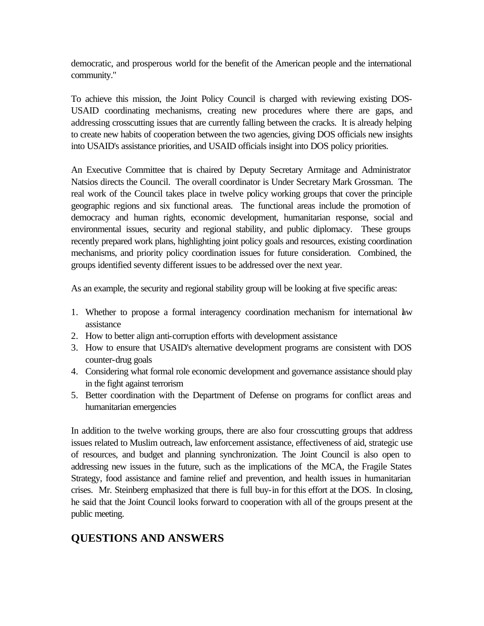democratic, and prosperous world for the benefit of the American people and the international community."

To achieve this mission, the Joint Policy Council is charged with reviewing existing DOS-USAID coordinating mechanisms, creating new procedures where there are gaps, and addressing crosscutting issues that are currently falling between the cracks. It is already helping to create new habits of cooperation between the two agencies, giving DOS officials new insights into USAID's assistance priorities, and USAID officials insight into DOS policy priorities.

An Executive Committee that is chaired by Deputy Secretary Armitage and Administrator Natsios directs the Council. The overall coordinator is Under Secretary Mark Grossman. The real work of the Council takes place in twelve policy working groups that cover the principle geographic regions and six functional areas. The functional areas include the promotion of democracy and human rights, economic development, humanitarian response, social and environmental issues, security and regional stability, and public diplomacy. These groups recently prepared work plans, highlighting joint policy goals and resources, existing coordination mechanisms, and priority policy coordination issues for future consideration. Combined, the groups identified seventy different issues to be addressed over the next year.

As an example, the security and regional stability group will be looking at five specific areas:

- 1. Whether to propose a formal interagency coordination mechanism for international law assistance
- 2. How to better align anti-corruption efforts with development assistance
- 3. How to ensure that USAID's alternative development programs are consistent with DOS counter-drug goals
- 4. Considering what formal role economic development and governance assistance should play in the fight against terrorism
- 5. Better coordination with the Department of Defense on programs for conflict areas and humanitarian emergencies

In addition to the twelve working groups, there are also four crosscutting groups that address issues related to Muslim outreach, law enforcement assistance, effectiveness of aid, strategic use of resources, and budget and planning synchronization. The Joint Council is also open to addressing new issues in the future, such as the implications of the MCA, the Fragile States Strategy, food assistance and famine relief and prevention, and health issues in humanitarian crises. Mr. Steinberg emphasized that there is full buy-in for this effort at the DOS. In closing, he said that the Joint Council looks forward to cooperation with all of the groups present at the public meeting.

# **QUESTIONS AND ANSWERS**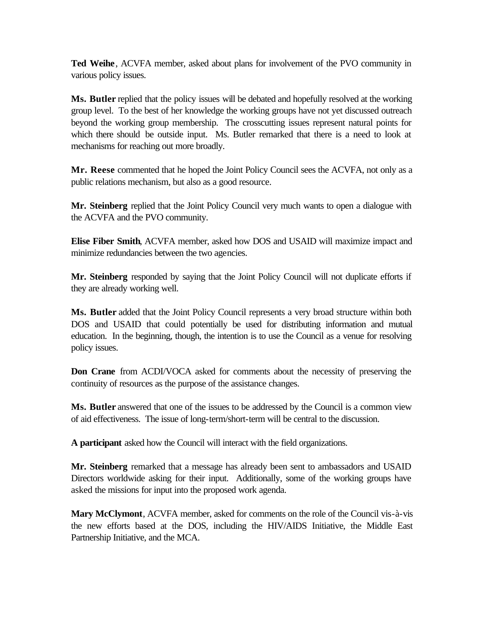**Ted Weihe** , ACVFA member, asked about plans for involvement of the PVO community in various policy issues.

**Ms. Butler** replied that the policy issues will be debated and hopefully resolved at the working group level. To the best of her knowledge the working groups have not yet discussed outreach beyond the working group membership. The crosscutting issues represent natural points for which there should be outside input. Ms. Butler remarked that there is a need to look at mechanisms for reaching out more broadly.

**Mr. Reese** commented that he hoped the Joint Policy Council sees the ACVFA, not only as a public relations mechanism, but also as a good resource.

**Mr. Steinberg** replied that the Joint Policy Council very much wants to open a dialogue with the ACVFA and the PVO community.

**Elise Fiber Smith**, ACVFA member, asked how DOS and USAID will maximize impact and minimize redundancies between the two agencies.

**Mr. Steinberg** responded by saying that the Joint Policy Council will not duplicate efforts if they are already working well.

**Ms. Butler** added that the Joint Policy Council represents a very broad structure within both DOS and USAID that could potentially be used for distributing information and mutual education. In the beginning, though, the intention is to use the Council as a venue for resolving policy issues.

**Don Crane** from ACDI/VOCA asked for comments about the necessity of preserving the continuity of resources as the purpose of the assistance changes.

**Ms. Butler** answered that one of the issues to be addressed by the Council is a common view of aid effectiveness. The issue of long-term/short-term will be central to the discussion.

**A participant** asked how the Council will interact with the field organizations.

**Mr. Steinberg** remarked that a message has already been sent to ambassadors and USAID Directors worldwide asking for their input. Additionally, some of the working groups have asked the missions for input into the proposed work agenda.

**Mary McClymont**, ACVFA member, asked for comments on the role of the Council vis-à-vis the new efforts based at the DOS, including the HIV/AIDS Initiative, the Middle East Partnership Initiative, and the MCA.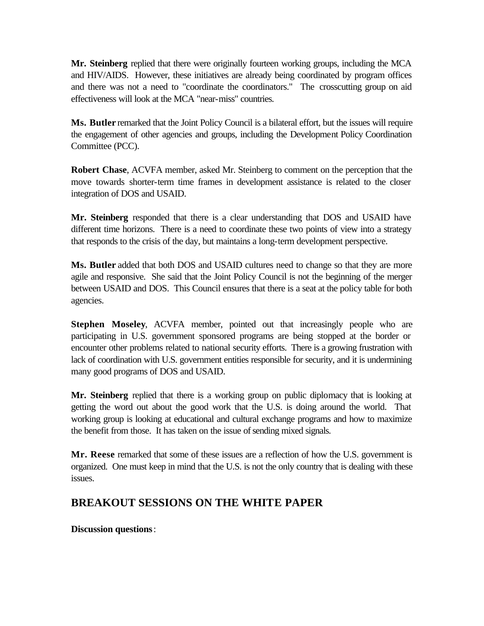**Mr. Steinberg** replied that there were originally fourteen working groups, including the MCA and HIV/AIDS. However, these initiatives are already being coordinated by program offices and there was not a need to "coordinate the coordinators." The crosscutting group on aid effectiveness will look at the MCA "near-miss" countries.

**Ms. Butler** remarked that the Joint Policy Council is a bilateral effort, but the issues will require the engagement of other agencies and groups, including the Development Policy Coordination Committee (PCC).

**Robert Chase**, ACVFA member, asked Mr. Steinberg to comment on the perception that the move towards shorter-term time frames in development assistance is related to the closer integration of DOS and USAID.

**Mr. Steinberg** responded that there is a clear understanding that DOS and USAID have different time horizons. There is a need to coordinate these two points of view into a strategy that responds to the crisis of the day, but maintains a long-term development perspective.

**Ms. Butler** added that both DOS and USAID cultures need to change so that they are more agile and responsive. She said that the Joint Policy Council is not the beginning of the merger between USAID and DOS. This Council ensures that there is a seat at the policy table for both agencies.

**Stephen Moseley**, ACVFA member, pointed out that increasingly people who are participating in U.S. government sponsored programs are being stopped at the border or encounter other problems related to national security efforts. There is a growing frustration with lack of coordination with U.S. government entities responsible for security, and it is undermining many good programs of DOS and USAID.

**Mr. Steinberg** replied that there is a working group on public diplomacy that is looking at getting the word out about the good work that the U.S. is doing around the world. That working group is looking at educational and cultural exchange programs and how to maximize the benefit from those. It has taken on the issue of sending mixed signals.

**Mr. Reese** remarked that some of these issues are a reflection of how the U.S. government is organized. One must keep in mind that the U.S. is not the only country that is dealing with these issues.

# **BREAKOUT SESSIONS ON THE WHITE PAPER**

## **Discussion questions** :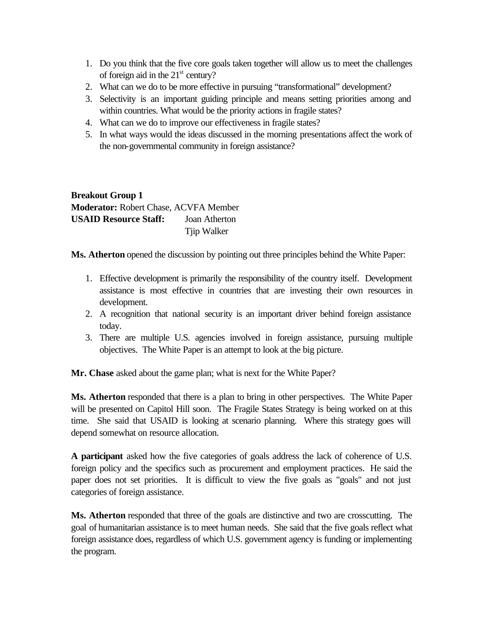- 1. Do you think that the five core goals taken together will allow us to meet the challenges of foreign aid in the  $21<sup>st</sup>$  century?
- 2. What can we do to be more effective in pursuing "transformational" development?
- 3. Selectivity is an important guiding principle and means setting priorities among and within countries. What would be the priority actions in fragile states?
- 4. What can we do to improve our effectiveness in fragile states?
- 5. In what ways would the ideas discussed in the morning presentations affect the work of the non-governmental community in foreign assistance?

**Breakout Group 1 Moderator:** Robert Chase, ACVFA Member **USAID Resource Staff:** Joan Atherton Tjip Walker

**Ms. Atherton** opened the discussion by pointing out three principles behind the White Paper:

- 1. Effective development is primarily the responsibility of the country itself. Development assistance is most effective in countries that are investing their own resources in development.
- 2. A recognition that national security is an important driver behind foreign assistance today.
- 3. There are multiple U.S. agencies involved in foreign assistance, pursuing multiple objectives. The White Paper is an attempt to look at the big picture.

**Mr. Chase** asked about the game plan; what is next for the White Paper?

**Ms. Atherton** responded that there is a plan to bring in other perspectives. The White Paper will be presented on Capitol Hill soon. The Fragile States Strategy is being worked on at this time. She said that USAID is looking at scenario planning. Where this strategy goes will depend somewhat on resource allocation.

**A participant** asked how the five categories of goals address the lack of coherence of U.S. foreign policy and the specifics such as procurement and employment practices. He said the paper does not set priorities. It is difficult to view the five goals as "goals" and not just categories of foreign assistance.

**Ms. Atherton** responded that three of the goals are distinctive and two are crosscutting. The goal of humanitarian assistance is to meet human needs. She said that the five goals reflect what foreign assistance does, regardless of which U.S. government agency is funding or implementing the program.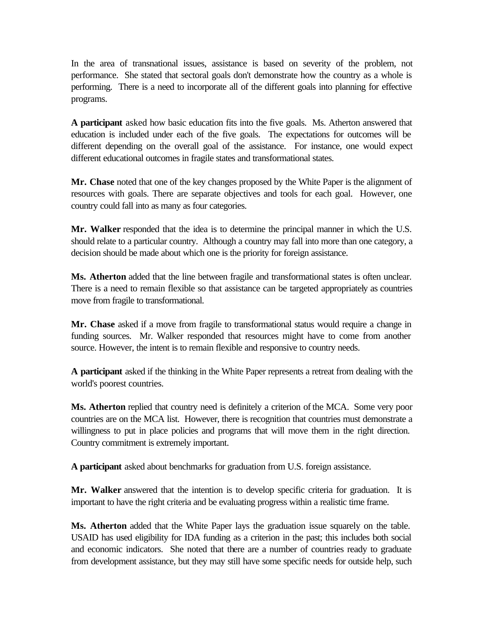In the area of transnational issues, assistance is based on severity of the problem, not performance. She stated that sectoral goals don't demonstrate how the country as a whole is performing. There is a need to incorporate all of the different goals into planning for effective programs.

**A participant** asked how basic education fits into the five goals. Ms. Atherton answered that education is included under each of the five goals. The expectations for outcomes will be different depending on the overall goal of the assistance. For instance, one would expect different educational outcomes in fragile states and transformational states.

**Mr. Chase** noted that one of the key changes proposed by the White Paper is the alignment of resources with goals. There are separate objectives and tools for each goal. However, one country could fall into as many as four categories.

**Mr. Walker** responded that the idea is to determine the principal manner in which the U.S. should relate to a particular country. Although a country may fall into more than one category, a decision should be made about which one is the priority for foreign assistance.

**Ms. Atherton** added that the line between fragile and transformational states is often unclear. There is a need to remain flexible so that assistance can be targeted appropriately as countries move from fragile to transformational.

**Mr. Chase** asked if a move from fragile to transformational status would require a change in funding sources. Mr. Walker responded that resources might have to come from another source. However, the intent is to remain flexible and responsive to country needs.

**A participant** asked if the thinking in the White Paper represents a retreat from dealing with the world's poorest countries.

**Ms. Atherton** replied that country need is definitely a criterion of the MCA. Some very poor countries are on the MCA list. However, there is recognition that countries must demonstrate a willingness to put in place policies and programs that will move them in the right direction. Country commitment is extremely important.

**A participant** asked about benchmarks for graduation from U.S. foreign assistance.

**Mr. Walker** answered that the intention is to develop specific criteria for graduation. It is important to have the right criteria and be evaluating progress within a realistic time frame.

**Ms. Atherton** added that the White Paper lays the graduation issue squarely on the table. USAID has used eligibility for IDA funding as a criterion in the past; this includes both social and economic indicators. She noted that there are a number of countries ready to graduate from development assistance, but they may still have some specific needs for outside help, such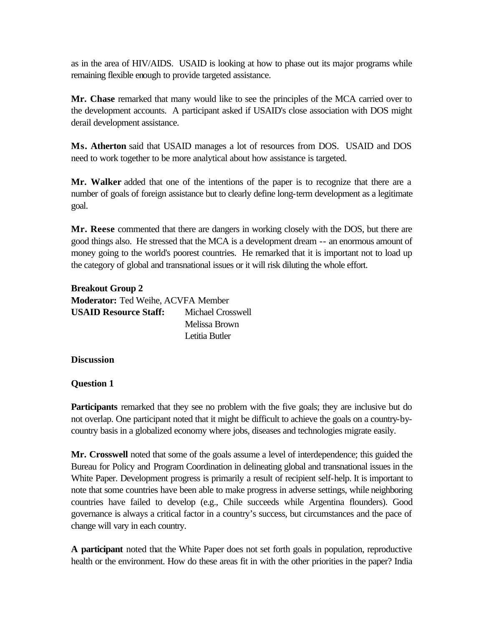as in the area of HIV/AIDS. USAID is looking at how to phase out its major programs while remaining flexible enough to provide targeted assistance.

**Mr. Chase** remarked that many would like to see the principles of the MCA carried over to the development accounts. A participant asked if USAID's close association with DOS might derail development assistance.

**Ms. Atherton** said that USAID manages a lot of resources from DOS. USAID and DOS need to work together to be more analytical about how assistance is targeted.

**Mr. Walker** added that one of the intentions of the paper is to recognize that there are a number of goals of foreign assistance but to clearly define long-term development as a legitimate goal.

**Mr. Reese** commented that there are dangers in working closely with the DOS, but there are good things also. He stressed that the MCA is a development dream -- an enormous amount of money going to the world's poorest countries. He remarked that it is important not to load up the category of global and transnational issues or it will risk diluting the whole effort.

| <b>Breakout Group 2</b>                   |                   |  |  |
|-------------------------------------------|-------------------|--|--|
| <b>Moderator:</b> Ted Weihe, ACVFA Member |                   |  |  |
| <b>USAID Resource Staff:</b>              | Michael Crosswell |  |  |
|                                           | Melissa Brown     |  |  |
|                                           | Letitia Butler    |  |  |

#### **Discussion**

## **Question 1**

**Participants** remarked that they see no problem with the five goals; they are inclusive but do not overlap. One participant noted that it might be difficult to achieve the goals on a country-bycountry basis in a globalized economy where jobs, diseases and technologies migrate easily.

**Mr. Crosswell** noted that some of the goals assume a level of interdependence; this guided the Bureau for Policy and Program Coordination in delineating global and transnational issues in the White Paper. Development progress is primarily a result of recipient self-help. It is important to note that some countries have been able to make progress in adverse settings, while neighboring countries have failed to develop (e.g., Chile succeeds while Argentina flounders). Good governance is always a critical factor in a country's success, but circumstances and the pace of change will vary in each country.

**A participant** noted that the White Paper does not set forth goals in population, reproductive health or the environment. How do these areas fit in with the other priorities in the paper? India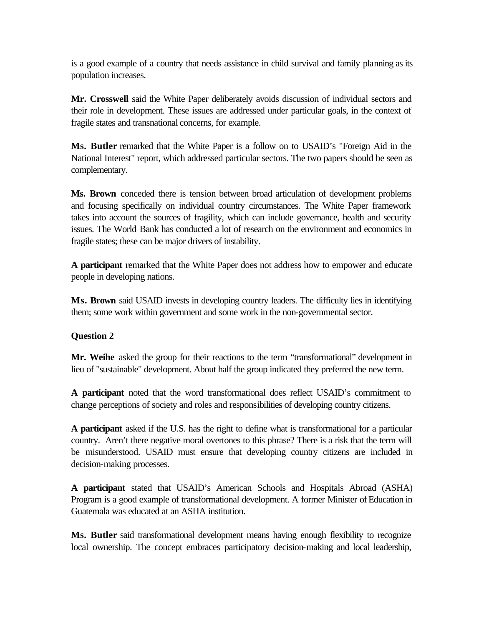is a good example of a country that needs assistance in child survival and family planning as its population increases.

**Mr. Crosswell** said the White Paper deliberately avoids discussion of individual sectors and their role in development. These issues are addressed under particular goals, in the context of fragile states and transnational concerns, for example.

**Ms. Butler** remarked that the White Paper is a follow on to USAID's "Foreign Aid in the National Interest" report, which addressed particular sectors. The two papers should be seen as complementary.

**Ms. Brown** conceded there is tension between broad articulation of development problems and focusing specifically on individual country circumstances. The White Paper framework takes into account the sources of fragility, which can include governance, health and security issues. The World Bank has conducted a lot of research on the environment and economics in fragile states; these can be major drivers of instability.

**A participant** remarked that the White Paper does not address how to empower and educate people in developing nations.

**Ms. Brown** said USAID invests in developing country leaders. The difficulty lies in identifying them; some work within government and some work in the non-governmental sector.

## **Question 2**

**Mr. Weihe** asked the group for their reactions to the term "transformational" development in lieu of "sustainable" development. About half the group indicated they preferred the new term.

**A participant** noted that the word transformational does reflect USAID's commitment to change perceptions of society and roles and responsibilities of developing country citizens.

**A participant** asked if the U.S. has the right to define what is transformational for a particular country. Aren't there negative moral overtones to this phrase? There is a risk that the term will be misunderstood. USAID must ensure that developing country citizens are included in decision-making processes.

**A participant** stated that USAID's American Schools and Hospitals Abroad (ASHA) Program is a good example of transformational development. A former Minister of Education in Guatemala was educated at an ASHA institution.

**Ms. Butler** said transformational development means having enough flexibility to recognize local ownership. The concept embraces participatory decision-making and local leadership,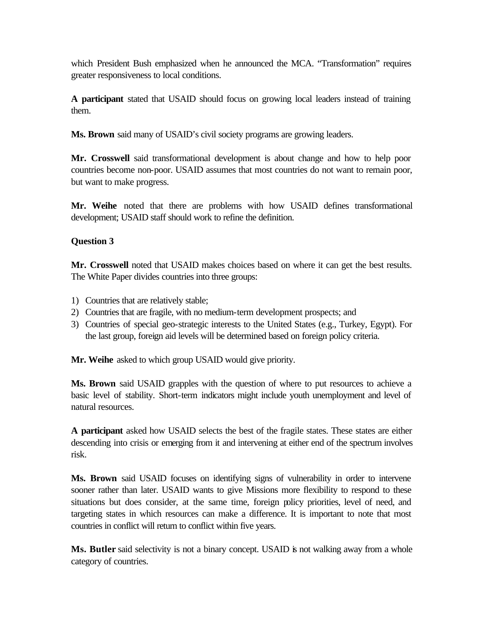which President Bush emphasized when he announced the MCA. "Transformation" requires greater responsiveness to local conditions.

**A participant** stated that USAID should focus on growing local leaders instead of training them.

**Ms. Brown** said many of USAID's civil society programs are growing leaders.

**Mr. Crosswell** said transformational development is about change and how to help poor countries become non-poor. USAID assumes that most countries do not want to remain poor, but want to make progress.

**Mr. Weihe** noted that there are problems with how USAID defines transformational development; USAID staff should work to refine the definition.

## **Question 3**

**Mr. Crosswell** noted that USAID makes choices based on where it can get the best results. The White Paper divides countries into three groups:

- 1) Countries that are relatively stable;
- 2) Countries that are fragile, with no medium-term development prospects; and
- 3) Countries of special geo-strategic interests to the United States (e.g., Turkey, Egypt). For the last group, foreign aid levels will be determined based on foreign policy criteria.

**Mr. Weihe** asked to which group USAID would give priority.

**Ms. Brown** said USAID grapples with the question of where to put resources to achieve a basic level of stability. Short-term indicators might include youth unemployment and level of natural resources.

**A participant** asked how USAID selects the best of the fragile states. These states are either descending into crisis or emerging from it and intervening at either end of the spectrum involves risk.

**Ms. Brown** said USAID focuses on identifying signs of vulnerability in order to intervene sooner rather than later. USAID wants to give Missions more flexibility to respond to these situations but does consider, at the same time, foreign policy priorities, level of need, and targeting states in which resources can make a difference. It is important to note that most countries in conflict will return to conflict within five years.

Ms. Butler said selectivity is not a binary concept. USAID is not walking away from a whole category of countries.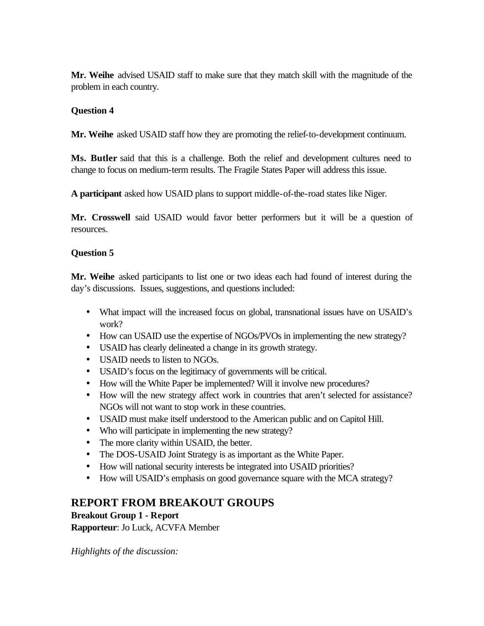**Mr. Weihe** advised USAID staff to make sure that they match skill with the magnitude of the problem in each country.

## **Question 4**

**Mr. Weihe** asked USAID staff how they are promoting the relief-to-development continuum.

**Ms. Butler** said that this is a challenge. Both the relief and development cultures need to change to focus on medium-term results. The Fragile States Paper will address this issue.

**A participant** asked how USAID plans to support middle-of-the-road states like Niger.

**Mr. Crosswell** said USAID would favor better performers but it will be a question of resources.

## **Question 5**

**Mr. Weihe** asked participants to list one or two ideas each had found of interest during the day's discussions. Issues, suggestions, and questions included:

- What impact will the increased focus on global, transnational issues have on USAID's work?
- How can USAID use the expertise of NGOs/PVOs in implementing the new strategy?
- USAID has clearly delineated a change in its growth strategy.
- USAID needs to listen to NGOs.
- USAID's focus on the legitimacy of governments will be critical.
- How will the White Paper be implemented? Will it involve new procedures?
- How will the new strategy affect work in countries that aren't selected for assistance? NGOs will not want to stop work in these countries.
- USAID must make itself understood to the American public and on Capitol Hill.
- Who will participate in implementing the new strategy?
- The more clarity within USAID, the better.
- The DOS-USAID Joint Strategy is as important as the White Paper.
- How will national security interests be integrated into USAID priorities?
- How will USAID's emphasis on good governance square with the MCA strategy?

## **REPORT FROM BREAKOUT GROUPS**

**Breakout Group 1 - Report** 

**Rapporteur**: Jo Luck, ACVFA Member

*Highlights of the discussion:*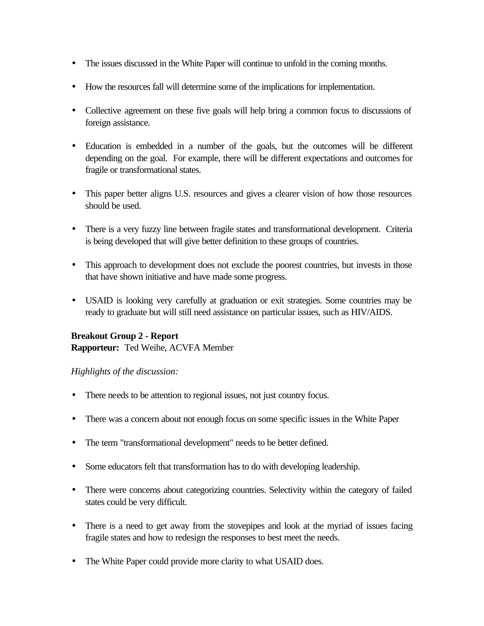- The issues discussed in the White Paper will continue to unfold in the coming months.
- How the resources fall will determine some of the implications for implementation.
- Collective agreement on these five goals will help bring a common focus to discussions of foreign assistance.
- Education is embedded in a number of the goals, but the outcomes will be different depending on the goal. For example, there will be different expectations and outcomes for fragile or transformational states.
- This paper better aligns U.S. resources and gives a clearer vision of how those resources should be used.
- There is a very fuzzy line between fragile states and transformational development. Criteria is being developed that will give better definition to these groups of countries.
- This approach to development does not exclude the poorest countries, but invests in those that have shown initiative and have made some progress.
- USAID is looking very carefully at graduation or exit strategies. Some countries may be ready to graduate but will still need assistance on particular issues, such as HIV/AIDS.

# **Breakout Group 2 - Report**

**Rapporteur:** Ted Weihe, ACVFA Member

## *Highlights of the discussion:*

- There needs to be attention to regional issues, not just country focus.
- There was a concern about not enough focus on some specific issues in the White Paper
- The term "transformational development" needs to be better defined.
- Some educators felt that transformation has to do with developing leadership.
- There were concerns about categorizing countries. Selectivity within the category of failed states could be very difficult.
- There is a need to get away from the stovepipes and look at the myriad of issues facing fragile states and how to redesign the responses to best meet the needs.
- The White Paper could provide more clarity to what USAID does.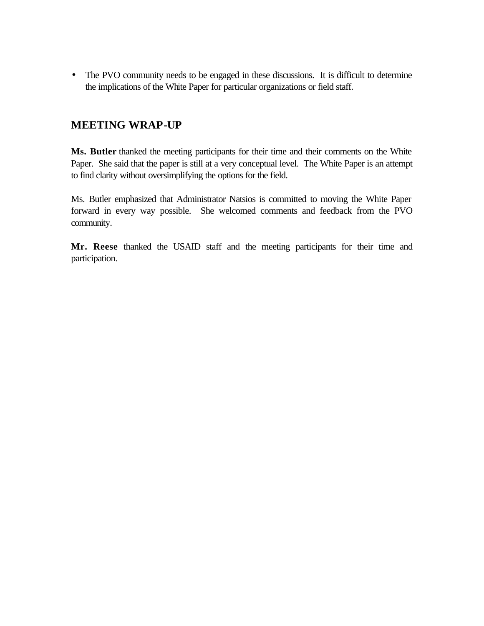• The PVO community needs to be engaged in these discussions. It is difficult to determine the implications of the White Paper for particular organizations or field staff.

# **MEETING WRAP-UP**

**Ms. Butler** thanked the meeting participants for their time and their comments on the White Paper. She said that the paper is still at a very conceptual level. The White Paper is an attempt to find clarity without oversimplifying the options for the field.

Ms. Butler emphasized that Administrator Natsios is committed to moving the White Paper forward in every way possible. She welcomed comments and feedback from the PVO community.

**Mr. Reese** thanked the USAID staff and the meeting participants for their time and participation.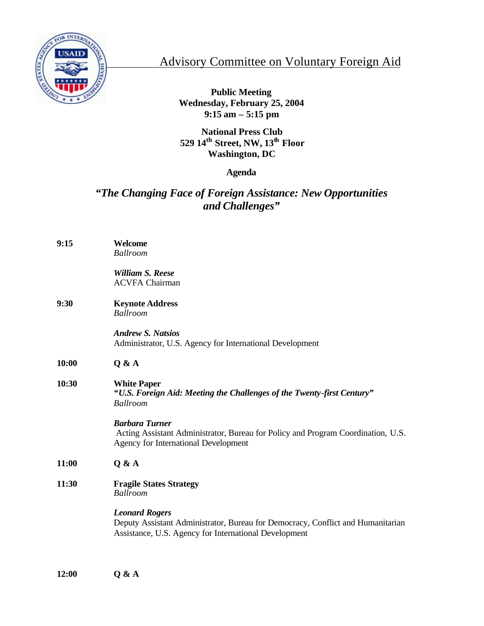

# Advisory Committee on Voluntary Foreign Aid

**Public Meeting Wednesday, February 25, 2004 9:15 am – 5:15 pm** 

**National Press Club 529 14th Street, NW, 13th Floor Washington, DC** 

# **Agenda**

# *"The Changing Face of Foreign Assistance: New Opportunities and Challenges"*

| 9:15  | Welcome<br><b>Ballroom</b>                                                                                                                                        |  |  |
|-------|-------------------------------------------------------------------------------------------------------------------------------------------------------------------|--|--|
|       | <b>William S. Reese</b><br><b>ACVFA Chairman</b>                                                                                                                  |  |  |
| 9:30  | <b>Keynote Address</b><br><b>Ballroom</b>                                                                                                                         |  |  |
|       | <b>Andrew S. Natsios</b><br>Administrator, U.S. Agency for International Development                                                                              |  |  |
| 10:00 | Q & A                                                                                                                                                             |  |  |
| 10:30 | <b>White Paper</b><br>"U.S. Foreign Aid: Meeting the Challenges of the Twenty-first Century"<br><b>Ballroom</b>                                                   |  |  |
|       | <b>Barbara Turner</b><br>Acting Assistant Administrator, Bureau for Policy and Program Coordination, U.S.<br><b>Agency for International Development</b>          |  |  |
| 11:00 | Q & A                                                                                                                                                             |  |  |
| 11:30 | <b>Fragile States Strategy</b><br><b>Ballroom</b>                                                                                                                 |  |  |
|       | <b>Leonard Rogers</b><br>Deputy Assistant Administrator, Bureau for Democracy, Conflict and Humanitarian<br>Assistance, U.S. Agency for International Development |  |  |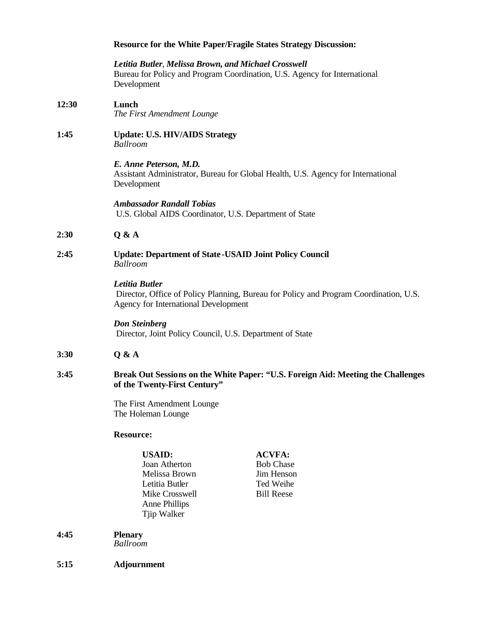|       | <b>Resource for the White Paper/Fragile States Strategy Discussion:</b>                                                                          |                                                                                   |  |
|-------|--------------------------------------------------------------------------------------------------------------------------------------------------|-----------------------------------------------------------------------------------|--|
|       | Letitia Butler, Melissa Brown, and Michael Crosswell<br>Bureau for Policy and Program Coordination, U.S. Agency for International<br>Development |                                                                                   |  |
| 12:30 | Lunch<br>The First Amendment Lounge                                                                                                              |                                                                                   |  |
| 1:45  | <b>Update: U.S. HIV/AIDS Strategy</b><br><b>Ballroom</b>                                                                                         |                                                                                   |  |
|       | E. Anne Peterson, M.D.<br>Assistant Administrator, Bureau for Global Health, U.S. Agency for International<br>Development                        |                                                                                   |  |
|       | <b>Ambassador Randall Tobias</b><br>U.S. Global AIDS Coordinator, U.S. Department of State                                                       |                                                                                   |  |
| 2:30  | Q & A                                                                                                                                            |                                                                                   |  |
| 2:45  | <b>Update: Department of State-USAID Joint Policy Council</b><br>Ballroom                                                                        |                                                                                   |  |
|       | Letitia Butler<br>Director, Office of Policy Planning, Bureau for Policy and Program Coordination, U.S.<br>Agency for International Development  |                                                                                   |  |
|       | <b>Don Steinberg</b><br>Director, Joint Policy Council, U.S. Department of State                                                                 |                                                                                   |  |
| 3:30  | Q & A                                                                                                                                            |                                                                                   |  |
| 3:45  | Break Out Sessions on the White Paper: "U.S. Foreign Aid: Meeting the Challenges<br>of the Twenty-First Century"                                 |                                                                                   |  |
|       | The First Amendment Lounge<br>The Holeman Lounge                                                                                                 |                                                                                   |  |
|       | <b>Resource:</b>                                                                                                                                 |                                                                                   |  |
|       | <b>USAID:</b><br>Joan Atherton<br>Melissa Brown<br>Letitia Butler<br>Mike Crosswell<br><b>Anne Phillips</b><br>Tjip Walker                       | <b>ACVFA:</b><br><b>Bob Chase</b><br>Jim Henson<br>Ted Weihe<br><b>Bill Reese</b> |  |

- **4:45 Plenary**  *Ballroom*
- **5:15 Adjournment**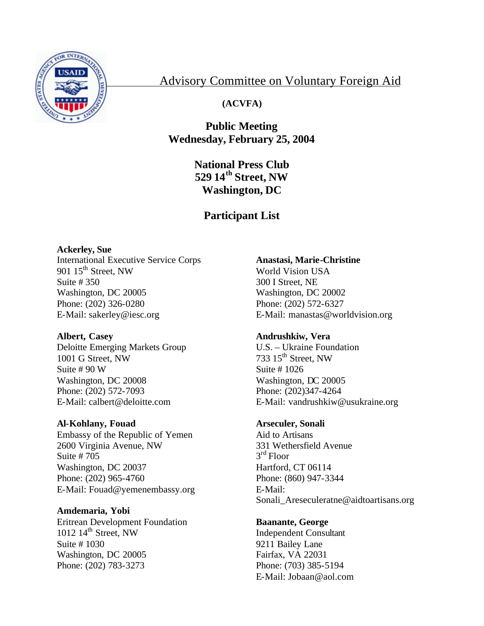

# Advisory Committee on Voluntary Foreign Aid

# **(ACVFA)**

# **Public Meeting Wednesday, February 25, 2004**

**National Press Club 529 14th Street, NW Washington, DC** 

# **Participant List**

# **Ackerley, Sue**

International Executive Service Corps 901  $15<sup>th</sup>$  Street, NW Suite # 350 Washington, DC 20005 Phone: (202) 326-0280 E-Mail: sakerley@iesc.org

## **Albert, Casey**

Deloitte Emerging Markets Group 1001 G Street, NW Suite # 90 W Washington, DC 20008 Phone: (202) 572-7093 E-Mail: calbert@deloitte.com

## **Al-Kohlany, Fouad**

Embassy of the Republic of Yemen 2600 Virginia Avenue, NW Suite # 705 Washington, DC 20037 Phone: (202) 965-4760 E-Mail: Fouad@yemenembassy.org

## **Amdemaria, Yobi**

Eritrean Development Foundation  $1012$   $14^{\text{th}}$  Street, NW Suite # 1030 Washington, DC 20005 Phone: (202) 783-3273

# **Anastasi, Marie-Christine**

World Vision USA 300 I Street, NE Washington, DC 20002 Phone: (202) 572-6327 E-Mail: manastas@worldvision.org

## **Andrushkiw, Vera**

U.S. – Ukraine Foundation 733  $15<sup>th</sup>$  Street, NW Suite # 1026 Washington, DC 20005 Phone: (202)347-4264 E-Mail: vandrushkiw@usukraine.org

## **Arseculer, Sonali**

Aid to Artisans 331 Wethersfield Avenue 3rd Floor Hartford, CT 06114 Phone: (860) 947-3344 E-Mail: Sonali\_Areseculeratne@aidtoartisans.org

## **Baanante, George**

Independent Consultant 9211 Bailey Lane Fairfax, VA 22031 Phone: (703) 385-5194 E-Mail: Jobaan@aol.com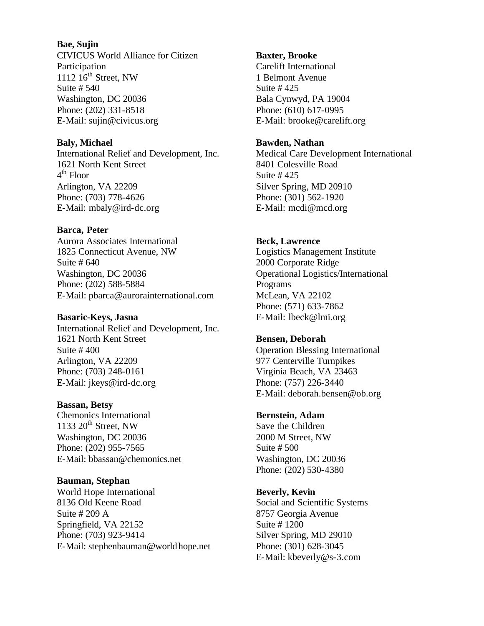**Bae, Sujin**  CIVICUS World Alliance for Citizen Participation 1112  $16^{th}$  Street, NW Suite # 540 Washington, DC 20036 Phone: (202) 331-8518 E-Mail: sujin@civicus.org

#### **Baly, Michael**

International Relief and Development, Inc. 1621 North Kent Street  $4<sup>th</sup>$  Floor Arlington, VA 22209 Phone: (703) 778-4626 E-Mail: mbaly@ird-dc.org

## **Barca, Peter**

Aurora Associates International 1825 Connecticut Avenue, NW Suite # 640 Washington, DC 20036 Phone: (202) 588-5884 E-Mail: pbarca@aurorainternational.com

### **Basaric-Keys, Jasna**

International Relief and Development, Inc. 1621 North Kent Street Suite # 400 Arlington, VA 22209 Phone: (703) 248-0161 E-Mail: jkeys@ird-dc.org

#### **Bassan, Betsy**

Chemonics International 1133  $20<sup>th</sup>$  Street, NW Washington, DC 20036 Phone: (202) 955-7565 E-Mail: bbassan@chemonics.net

#### **Bauman, Stephan**

World Hope International 8136 Old Keene Road Suite # 209 A Springfield, VA 22152 Phone: (703) 923-9414 E-Mail: stephenbauman@worldhope.net

#### **Baxter, Brooke**

Carelift International 1 Belmont Avenue Suite # 425 Bala Cynwyd, PA 19004 Phone: (610) 617-0995 E-Mail: brooke@carelift.org

#### **Bawden, Nathan**

Medical Care Development International 8401 Colesville Road Suite # 425 Silver Spring, MD 20910 Phone: (301) 562-1920 E-Mail: mcdi@mcd.org

## **Beck, Lawrence**

Logistics Management Institute 2000 Corporate Ridge Operational Logistics/International Programs McLean, VA 22102 Phone: (571) 633-7862 E-Mail: lbeck@lmi.org

# **Bensen, Deborah**

Operation Blessing International 977 Centerville Turnpikes Virginia Beach, VA 23463 Phone: (757) 226-3440 E-Mail: deborah.bensen@ob.org

## **Bernstein, Adam**

Save the Children 2000 M Street, NW Suite # 500 Washington, DC 20036 Phone: (202) 530-4380

# **Beverly, Kevin**

Social and Scientific Systems 8757 Georgia Avenue Suite # 1200 Silver Spring, MD 29010 Phone: (301) 628-3045 E-Mail: kbeverly@s-3.com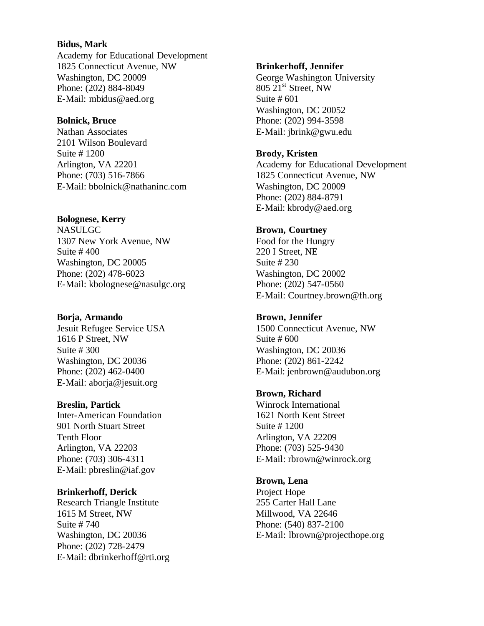## **Bidus, Mark**

Academy for Educational Development 1825 Connecticut Avenue, NW Washington, DC 20009 Phone: (202) 884-8049 E-Mail: mbidus@aed.org

#### **Bolnick, Bruce**

Nathan Associates 2101 Wilson Boulevard Suite # 1200 Arlington, VA 22201 Phone: (703) 516-7866 E-Mail: bbolnick@nathaninc.com

## **Bolognese, Kerry**

NASULGC 1307 New York Avenue, NW Suite # 400 Washington, DC 20005 Phone: (202) 478-6023 E-Mail: kbolognese@nasulgc.org

## **Borja, Armando**

Jesuit Refugee Service USA 1616 P Street, NW Suite # 300 Washington, DC 20036 Phone: (202) 462-0400 E-Mail: aborja@jesuit.org

## **Breslin, Partick**

Inter-American Foundation 901 North Stuart Street Tenth Floor Arlington, VA 22203 Phone: (703) 306-4311 E-Mail: pbreslin@iaf.gov

## **Brinkerhoff, Derick**

Research Triangle Institute 1615 M Street, NW Suite # 740 Washington, DC 20036 Phone: (202) 728-2479 E-Mail: dbrinkerhoff@rti.org

#### **Brinkerhoff, Jennifer**

George Washington University 805 21<sup>st</sup> Street, NW Suite # 601 Washington, DC 20052 Phone: (202) 994-3598 E-Mail: jbrink@gwu.edu

## **Brody, Kristen**

Academy for Educational Development 1825 Connecticut Avenue, NW Washington, DC 20009 Phone: (202) 884-8791 E-Mail: kbrody@aed.org

# **Brown, Courtney**

Food for the Hungry 220 I Street, NE Suite # 230 Washington, DC 20002 Phone: (202) 547-0560 E-Mail: Courtney.brown@fh.org

# **Brown, Jennifer**

1500 Connecticut Avenue, NW Suite # 600 Washington, DC 20036 Phone: (202) 861-2242 E-Mail: jenbrown@audubon.org

## **Brown, Richard**

Winrock International 1621 North Kent Street Suite # 1200 Arlington, VA 22209 Phone: (703) 525-9430 E-Mail: rbrown@winrock.org

## **Brown, Lena**

Project Hope 255 Carter Hall Lane Millwood, VA 22646 Phone: (540) 837-2100 E-Mail: lbrown@projecthope.org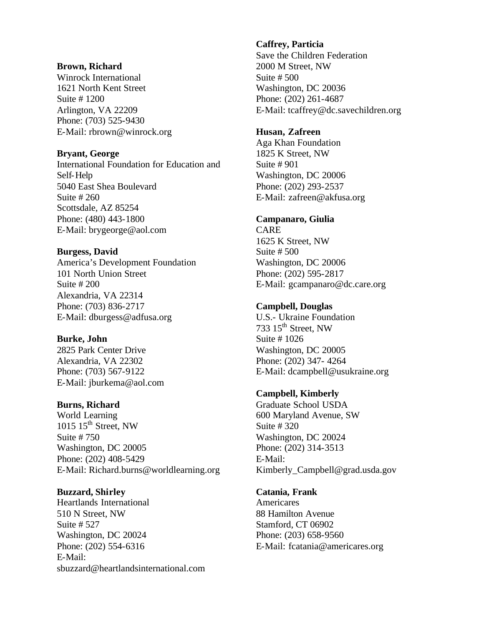#### **Brown, Richard**

Winrock International 1621 North Kent Street Suite # 1200 Arlington, VA 22209 Phone: (703) 525-9430 E-Mail: rbrown@winrock.org

## **Bryant, George**

International Foundation for Education and Self-Help 5040 East Shea Boulevard Suite # 260 Scottsdale, AZ 85254 Phone: (480) 443-1800 E-Mail: brygeorge@aol.com

# **Burgess, David**

America's Development Foundation 101 North Union Street Suite # 200 Alexandria, VA 22314 Phone: (703) 836-2717 E-Mail: dburgess@adfusa.org

# **Burke, John**

2825 Park Center Drive Alexandria, VA 22302 Phone: (703) 567-9122 E-Mail: jburkema@aol.com

## **Burns, Richard**

World Learning  $1015$  15<sup>th</sup> Street, NW Suite # 750 Washington, DC 20005 Phone: (202) 408-5429 E-Mail: Richard.burns@worldlearning.org

## **Buzzard, Shirley**

Heartlands International 510 N Street, NW Suite # 527 Washington, DC 20024 Phone: (202) 554-6316 E-Mail: sbuzzard@heartlandsinternational.com

## **Caffrey, Particia**

Save the Children Federation 2000 M Street, NW Suite # 500 Washington, DC 20036 Phone: (202) 261-4687 E-Mail: tcaffrey@dc.savechildren.org

## **Husan, Zafreen**

Aga Khan Foundation 1825 K Street, NW Suite # 901 Washington, DC 20006 Phone: (202) 293-2537 E-Mail: zafreen@akfusa.org

# **Campanaro, Giulia**

CARE 1625 K Street, NW Suite # 500 Washington, DC 20006 Phone: (202) 595-2817 E-Mail: gcampanaro@dc.care.org

# **Campbell, Douglas**

U.S.- Ukraine Foundation 733  $15<sup>th</sup>$  Street, NW Suite # 1026 Washington, DC 20005 Phone: (202) 347- 4264 E-Mail: dcampbell@usukraine.org

# **Campbell, Kimberly**

Graduate School USDA 600 Maryland Avenue, SW Suite # 320 Washington, DC 20024 Phone: (202) 314-3513 E-Mail: Kimberly Campbell@grad.usda.gov

## **Catania, Frank**

Americares 88 Hamilton Avenue Stamford, CT 06902 Phone: (203) 658-9560 E-Mail: fcatania@americares.org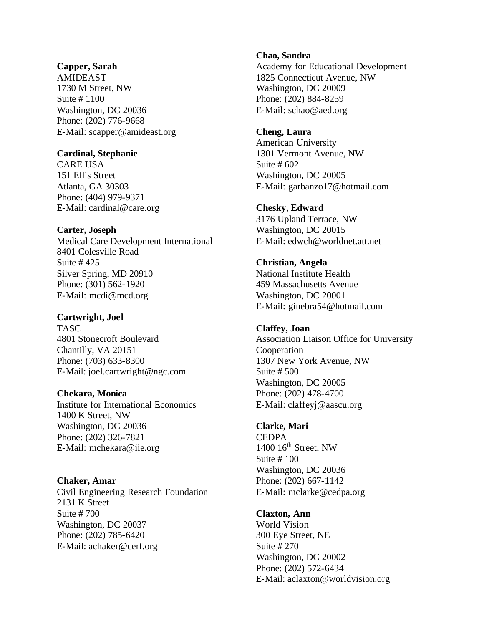#### **Capper, Sarah**

AMIDEAST 1730 M Street, NW Suite # 1100 Washington, DC 20036 Phone: (202) 776-9668 E-Mail: scapper@amideast.org

## **Cardinal, Stephanie**

CARE USA 151 Ellis Street Atlanta, GA 30303 Phone: (404) 979-9371 E-Mail: cardinal@care.org

## **Carter, Joseph**

Medical Care Development International 8401 Colesville Road Suite # 425 Silver Spring, MD 20910 Phone: (301) 562-1920 E-Mail: mcdi@mcd.org

## **Cartwright, Joel**

**TASC** 4801 Stonecroft Boulevard Chantilly, VA 20151 Phone: (703) 633-8300 E-Mail: joel.cartwright@ngc.com

**Chekara, Monica**  Institute for International Economics 1400 K Street, NW Washington, DC 20036 Phone: (202) 326-7821 E-Mail: mchekara@iie.org

## **Chaker, Amar**

Civil Engineering Research Foundation 2131 K Street Suite # 700 Washington, DC 20037 Phone: (202) 785-6420 E-Mail: achaker@cerf.org

#### **Chao, Sandra**

Academy for Educational Development 1825 Connecticut Avenue, NW Washington, DC 20009 Phone: (202) 884-8259 E-Mail: schao@aed.org

# **Cheng, Laura**

American University 1301 Vermont Avenue, NW Suite # 602 Washington, DC 20005 E-Mail: garbanzo17@hotmail.com

#### **Chesky, Edward**

3176 Upland Terrace, NW Washington, DC 20015 E-Mail: edwch@worldnet.att.net

**Christian, Angela**  National Institute Health 459 Massachusetts Avenue Washington, DC 20001 E-Mail: ginebra54@hotmail.com

# **Claffey, Joan**

Association Liaison Office for University Cooperation 1307 New York Avenue, NW Suite # 500 Washington, DC 20005 Phone: (202) 478-4700 E-Mail: claffeyj@aascu.org

## **Clarke, Mari**

**CEDPA**  $1400$   $16<sup>th</sup>$  Street, NW Suite # 100 Washington, DC 20036 Phone: (202) 667-1142 E-Mail: mclarke@cedpa.org

#### **Claxton, Ann**

World Vision 300 Eye Street, NE Suite # 270 Washington, DC 20002 Phone: (202) 572-6434 E-Mail: aclaxton@worldvision.org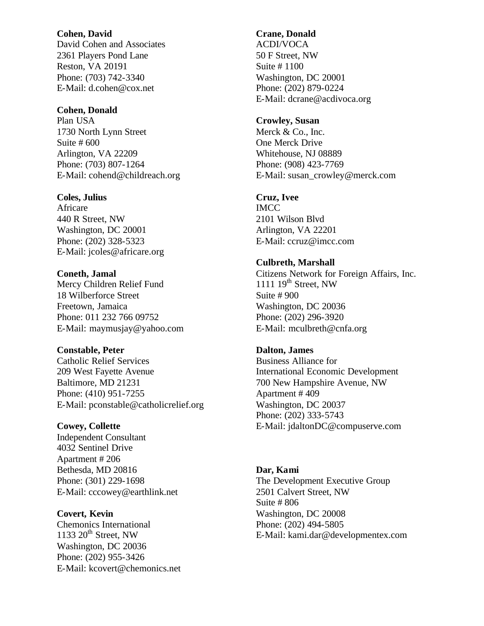#### **Cohen, David**

David Cohen and Associates 2361 Players Pond Lane Reston, VA 20191 Phone: (703) 742-3340 E-Mail: d.cohen@cox.net

# **Cohen, Donald**

Plan USA 1730 North Lynn Street Suite # 600 Arlington, VA 22209 Phone: (703) 807-1264 E-Mail: cohend@childreach.org

# **Coles, Julius**

Africare 440 R Street, NW Washington, DC 20001 Phone: (202) 328-5323 E-Mail: jcoles@africare.org

## **Coneth, Jamal**

Mercy Children Relief Fund 18 Wilberforce Street Freetown, Jamaica Phone: 011 232 766 09752 E-Mail: maymusjay@yahoo.com

#### **Constable, Peter**

Catholic Relief Services 209 West Fayette Avenue Baltimore, MD 21231 Phone: (410) 951-7255 E-Mail: pconstable@catholicrelief.org

## **Cowey, Collette**

Independent Consultant 4032 Sentinel Drive Apartment # 206 Bethesda, MD 20816 Phone: (301) 229-1698 E-Mail: cccowey@earthlink.net

## **Covert, Kevin**

Chemonics International 1133  $20<sup>th</sup>$  Street, NW Washington, DC 20036 Phone: (202) 955-3426 E-Mail: kcovert@chemonics.net

## **Crane, Donald**

ACDI/VOCA 50 F Street, NW Suite # 1100 Washington, DC 20001 Phone: (202) 879-0224 E-Mail: dcrane@acdivoca.org

## **Crowley, Susan**

Merck & Co., Inc. One Merck Drive Whitehouse, NJ 08889 Phone: (908) 423-7769 E-Mail: susan\_crowley@merck.com

## **Cruz, Ivee**

IMCC 2101 Wilson Blvd Arlington, VA 22201 E-Mail: ccruz@imcc.com

## **Culbreth, Marshall**

Citizens Network for Foreign Affairs, Inc. 1111  $19^{th}$  Street, NW Suite # 900 Washington, DC 20036 Phone: (202) 296-3920 E-Mail: mculbreth@cnfa.org

# **Dalton, James**

Business Alliance for International Economic Development 700 New Hampshire Avenue, NW Apartment # 409 Washington, DC 20037 Phone: (202) 333-5743 E-Mail: jdaltonDC@compuserve.com

## **Dar, Kami**  The Development Executive Group 2501 Calvert Street, NW Suite # 806 Washington, DC 20008 Phone: (202) 494-5805 E-Mail: kami.dar@developmentex.com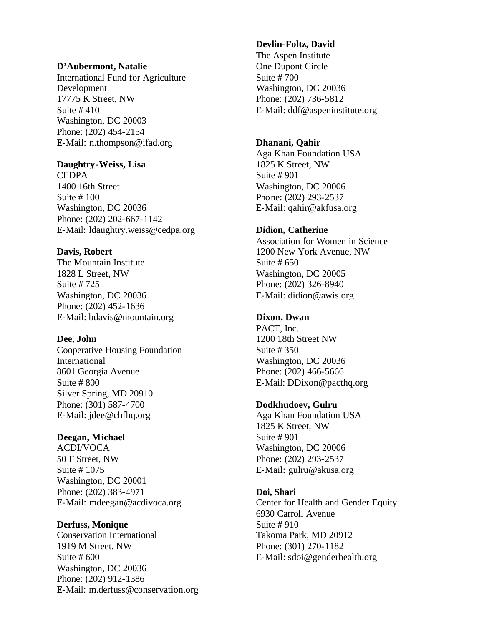#### **D'Aubermont, Natalie**

International Fund for Agriculture Development 17775 K Street, NW Suite # 410 Washington, DC 20003 Phone: (202) 454-2154 E-Mail: n.thompson@ifad.org

## **Daughtry-Weiss, Lisa**

**CEDPA** 1400 16th Street Suite # 100 Washington, DC 20036 Phone: (202) 202-667-1142 E-Mail: ldaughtry.weiss@cedpa.org

## **Davis, Robert**

The Mountain Institute 1828 L Street, NW Suite # 725 Washington, DC 20036 Phone: (202) 452-1636 E-Mail: bdavis@mountain.org

## **Dee, John**

Cooperative Housing Foundation International 8601 Georgia Avenue Suite # 800 Silver Spring, MD 20910 Phone: (301) 587-4700 E-Mail: jdee@chfhq.org

## **Deegan, Michael**

ACDI/VOCA 50 F Street, NW Suite # 1075 Washington, DC 20001 Phone: (202) 383-4971 E-Mail: mdeegan@acdivoca.org

#### **Derfuss, Monique**

Conservation International 1919 M Street, NW Suite # 600 Washington, DC 20036 Phone: (202) 912-1386 E-Mail: m.derfuss@conservation.org

#### **Devlin-Foltz, David**

The Aspen Institute One Dupont Circle Suite # 700 Washington, DC 20036 Phone: (202) 736-5812 E-Mail: ddf@aspeninstitute.org

#### **Dhanani, Qahir**

Aga Khan Foundation USA 1825 K Street, NW Suite # 901 Washington, DC 20006 Phone: (202) 293-2537 E-Mail: qahir@akfusa.org

## **Didion, Catherine**

Association for Women in Science 1200 New York Avenue, NW Suite # 650 Washington, DC 20005 Phone: (202) 326-8940 E-Mail: didion@awis.org

# **Dixon, Dwan**

PACT, Inc. 1200 18th Street NW Suite # 350 Washington, DC 20036 Phone: (202) 466-5666 E-Mail: DDixon@pacthq.org

## **Dodkhudoev, Gulru**

Aga Khan Foundation USA 1825 K Street, NW Suite # 901 Washington, DC 20006 Phone: (202) 293-2537 E-Mail: gulru@akusa.org

#### **Doi, Shari**

Center for Health and Gender Equity 6930 Carroll Avenue Suite # 910 Takoma Park, MD 20912 Phone: (301) 270-1182 E-Mail: sdoi@genderhealth.org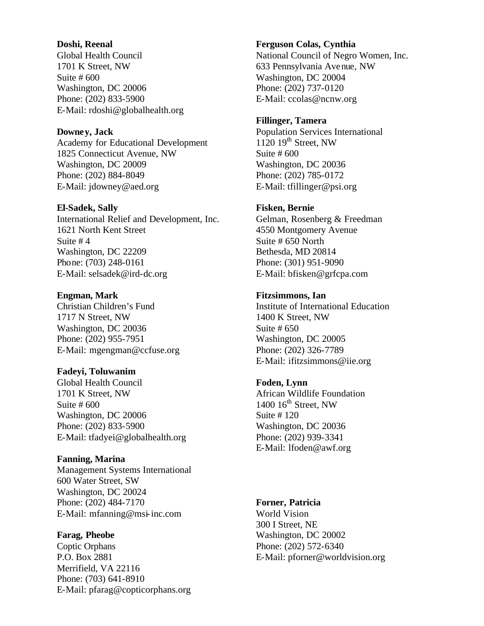#### **Doshi, Reenal**

Global Health Council 1701 K Street, NW Suite # 600 Washington, DC 20006 Phone: (202) 833-5900 E-Mail: rdoshi@globalhealth.org

## **Downey, Jack**

Academy for Educational Development 1825 Connecticut Avenue, NW Washington, DC 20009 Phone: (202) 884-8049 E-Mail: jdowney@aed.org

#### **El-Sadek, Sally**

International Relief and Development, Inc. 1621 North Kent Street Suite # 4 Washington, DC 22209 Phone: (703) 248-0161 E-Mail: selsadek@ird-dc.org

## **Engman, Mark**

Christian Children's Fund 1717 N Street, NW Washington, DC 20036 Phone: (202) 955-7951 E-Mail: mgengman@ccfuse.org

## **Fadeyi, Toluwanim**

Global Health Council 1701 K Street, NW Suite # 600 Washington, DC 20006 Phone: (202) 833-5900 E-Mail: tfadyei@globalhealth.org

#### **Fanning, Marina**

Management Systems International 600 Water Street, SW Washington, DC 20024 Phone: (202) 484-7170 E-Mail: mfanning@msi-inc.com

#### **Farag, Pheobe**

Coptic Orphans P.O. Box 2881 Merrifield, VA 22116 Phone: (703) 641-8910 E-Mail: pfarag@copticorphans.org

#### **Ferguson Colas, Cynthia**

National Council of Negro Women, Inc. 633 Pennsylvania Avenue, NW Washington, DC 20004 Phone: (202) 737-0120 E-Mail: ccolas@ncnw.org

#### **Fillinger, Tamera**

Population Services International  $1120$   $19<sup>th</sup>$  Street, NW Suite # 600 Washington, DC 20036 Phone: (202) 785-0172 E-Mail: tfillinger@psi.org

## **Fisken, Bernie**

Gelman, Rosenberg & Freedman 4550 Montgomery Avenue Suite # 650 North Bethesda, MD 20814 Phone: (301) 951-9090 E-Mail: bfisken@grfcpa.com

## **Fitzsimmons, Ian**

Institute of International Education 1400 K Street, NW Suite # 650 Washington, DC 20005 Phone: (202) 326-7789 E-Mail: ifitzsimmons@iie.org

## **Foden, Lynn**

African Wildlife Foundation  $1400$   $16<sup>th</sup>$  Street, NW Suite # 120 Washington, DC 20036 Phone: (202) 939-3341 E-Mail: lfoden@awf.org

## **Forner, Patricia**

World Vision 300 I Street, NE Washington, DC 20002 Phone: (202) 572-6340 E-Mail: pforner@worldvision.org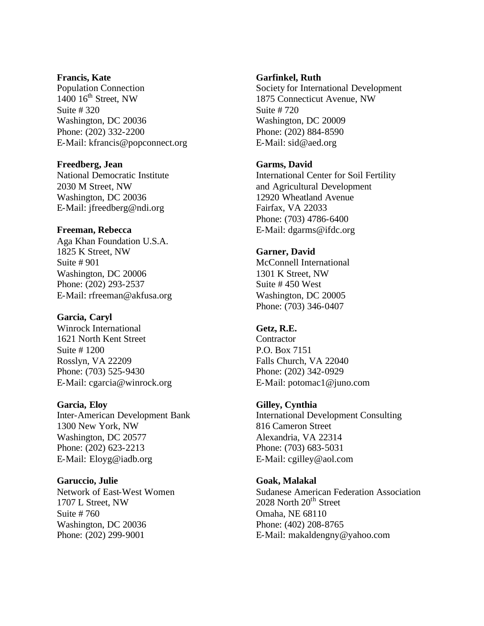#### **Francis, Kate**

Population Connection  $1400$   $16<sup>th</sup>$  Street, NW Suite # 320 Washington, DC 20036 Phone: (202) 332-2200 E-Mail: kfrancis@popconnect.org

#### **Freedberg, Jean**

National Democratic Institute 2030 M Street, NW Washington, DC 20036 E-Mail: jfreedberg@ndi.org

## **Freeman, Rebecca**

Aga Khan Foundation U.S.A. 1825 K Street, NW Suite # 901 Washington, DC 20006 Phone: (202) 293-2537 E-Mail: rfreeman@akfusa.org

## **Garcia, Caryl**

Winrock International 1621 North Kent Street Suite # 1200 Rosslyn, VA 22209 Phone: (703) 525-9430 E-Mail: cgarcia@winrock.org

# **Garcia, Eloy**

Inter-American Development Bank 1300 New York, NW Washington, DC 20577 Phone: (202) 623-2213 E-Mail: Eloyg@iadb.org

## **Garuccio, Julie**

Network of East-West Women 1707 L Street, NW Suite # 760 Washington, DC 20036 Phone: (202) 299-9001

## **Garfinkel, Ruth**

Society for International Development 1875 Connecticut Avenue, NW Suite # 720 Washington, DC 20009 Phone: (202) 884-8590 E-Mail: sid@aed.org

## **Garms, David**

International Center for Soil Fertility and Agricultural Development 12920 Wheatland Avenue Fairfax, VA 22033 Phone: (703) 4786-6400 E-Mail: dgarms@ifdc.org

## **Garner, David**

McConnell International 1301 K Street, NW Suite # 450 West Washington, DC 20005 Phone: (703) 346-0407

# **Getz, R.E.**

**Contractor** P.O. Box 7151 Falls Church, VA 22040 Phone: (202) 342-0929 E-Mail: potomac1@juno.com

#### **Gilley, Cynthia**

International Development Consulting 816 Cameron Street Alexandria, VA 22314 Phone: (703) 683-5031 E-Mail: cgilley@aol.com

## **Goak, Malakal**

Sudanese American Federation Association  $2028$  North  $20<sup>th</sup>$  Street Omaha, NE 68110 Phone: (402) 208-8765 E-Mail: makaldengny@yahoo.com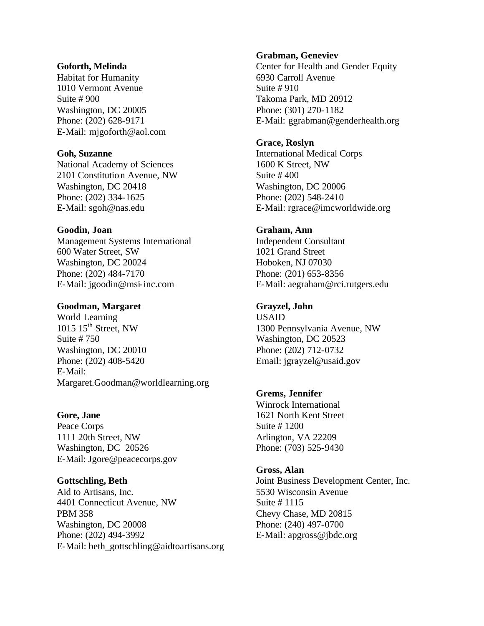#### **Goforth, Melinda**

Habitat for Humanity 1010 Vermont Avenue Suite # 900 Washington, DC 20005 Phone: (202) 628-9171 E-Mail: mjgoforth@aol.com

## **Goh, Suzanne**

National Academy of Sciences 2101 Constitutio n Avenue, NW Washington, DC 20418 Phone: (202) 334-1625 E-Mail: sgoh@nas.edu

## **Goodin, Joan**

Management Systems International 600 Water Street, SW Washington, DC 20024 Phone: (202) 484-7170 E-Mail: jgoodin@msi-inc.com

## **Goodman, Margaret**

World Learning  $1015$   $15<sup>th</sup>$  Street, NW Suite # 750 Washington, DC 20010 Phone: (202) 408-5420 E-Mail: Margaret.Goodman@worldlearning.org

## **Gore, Jane**

Peace Corps 1111 20th Street, NW Washington, DC 20526 E-Mail: Jgore@peacecorps.gov

## **Gottschling, Beth**

Aid to Artisans, Inc. 4401 Connecticut Avenue, NW PBM 358 Washington, DC 20008 Phone: (202) 494-3992 E-Mail: beth\_gottschling@aidtoartisans.org

#### **Grabman, Geneviev**

Center for Health and Gender Equity 6930 Carroll Avenue Suite # 910 Takoma Park, MD 20912 Phone: (301) 270-1182 E-Mail: ggrabman@genderhealth.org

## **Grace, Roslyn**

International Medical Corps 1600 K Street, NW Suite # 400 Washington, DC 20006 Phone: (202) 548-2410 E-Mail: rgrace@imcworldwide.org

## **Graham, Ann**

Independent Consultant 1021 Grand Street Hoboken, NJ 07030 Phone: (201) 653-8356 E-Mail: aegraham@rci.rutgers.edu

## **Grayzel, John**

USAID 1300 Pennsylvania Avenue, NW Washington, DC 20523 Phone: (202) 712-0732 Email: jgrayzel@usaid.gov

## **Grems, Jennifer**

Winrock International 1621 North Kent Street Suite # 1200 Arlington, VA 22209 Phone: (703) 525-9430

## **Gross, Alan**

Joint Business Development Center, Inc. 5530 Wisconsin Avenue Suite # 1115 Chevy Chase, MD 20815 Phone: (240) 497-0700 E-Mail: apgross@jbdc.org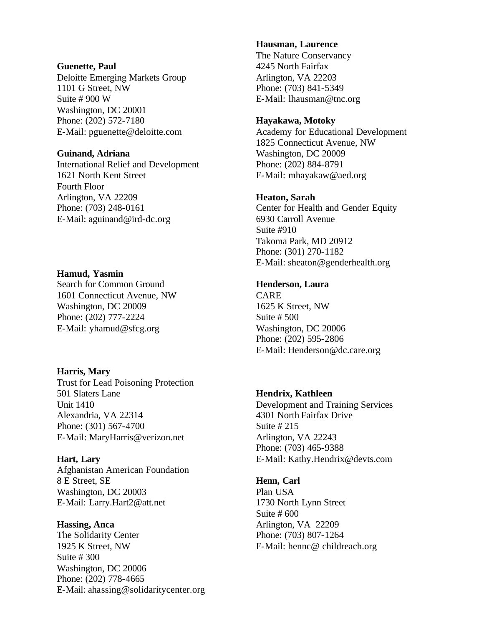#### **Guenette, Paul**

Deloitte Emerging Markets Group 1101 G Street, NW Suite # 900 W Washington, DC 20001 Phone: (202) 572-7180 E-Mail: pguenette@deloitte.com

#### **Guinand, Adriana**

International Relief and Development 1621 North Kent Street Fourth Floor Arlington, VA 22209 Phone: (703) 248-0161 E-Mail: aguinand@ird-dc.org

## **Hamud, Yasmin**

Search for Common Ground 1601 Connecticut Avenue, NW Washington, DC 20009 Phone: (202) 777-2224 E-Mail: yhamud@sfcg.org

#### **Harris, Mary**

Trust for Lead Poisoning Protection 501 Slaters Lane Unit 1410 Alexandria, VA 22314 Phone: (301) 567-4700 E-Mail: MaryHarris@verizon.net

#### **Hart, Lary**

Afghanistan American Foundation 8 E Street, SE Washington, DC 20003 E-Mail: Larry.Hart2@att.net

#### **Hassing, Anca**

The Solidarity Center 1925 K Street, NW Suite # 300 Washington, DC 20006 Phone: (202) 778-4665 E-Mail: ahassing@solidaritycenter.org

#### **Hausman, Laurence**

The Nature Conservancy 4245 North Fairfax Arlington, VA 22203 Phone: (703) 841-5349 E-Mail: lhausman@tnc.org

#### **Hayakawa, Motoky**

Academy for Educational Development 1825 Connecticut Avenue, NW Washington, DC 20009 Phone: (202) 884-8791 E-Mail: mhayakaw@aed.org

## **Heaton, Sarah**

Center for Health and Gender Equity 6930 Carroll Avenue Suite #910 Takoma Park, MD 20912 Phone: (301) 270-1182 E-Mail: sheaton@genderhealth.org

# **Henderson, Laura**

CARE 1625 K Street, NW Suite # 500 Washington, DC 20006 Phone: (202) 595-2806 E-Mail: Henderson@dc.care.org

## **Hendrix, Kathleen**

Development and Training Services 4301 North Fairfax Drive Suite # 215 Arlington, VA 22243 Phone: (703) 465-9388 E-Mail: Kathy.Hendrix@devts.com

## **Henn, Carl**

Plan USA 1730 North Lynn Street Suite # 600 Arlington, VA 22209 Phone: (703) 807-1264 E-Mail: hennc@ childreach.org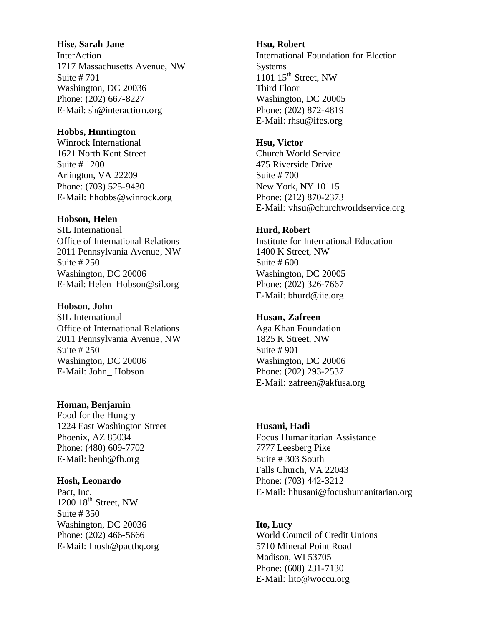## **Hise, Sarah Jane**

InterAction 1717 Massachusetts Avenue, NW Suite # 701 Washington, DC 20036 Phone: (202) 667-8227 E-Mail: sh@interactio n.org

# **Hobbs, Huntington**

Winrock International 1621 North Kent Street Suite # 1200 Arlington, VA 22209 Phone: (703) 525-9430 E-Mail: hhobbs@winrock.org

# **Hobson, Helen**

SIL International Office of International Relations 2011 Pennsylvania Avenue, NW Suite # 250 Washington, DC 20006 E-Mail: Helen\_Hobson@sil.org

## **Hobson, John**

SIL International Office of International Relations 2011 Pennsylvania Avenue, NW Suite # 250 Washington, DC 20006 E-Mail: John\_ Hobson

**Homan, Benjamin**  Food for the Hungry 1224 East Washington Street Phoenix, AZ 85034 Phone: (480) 609-7702 E-Mail: benh@fh.org

## **Hosh, Leonardo**

Pact, Inc.  $1200$   $18<sup>th</sup>$  Street, NW Suite # 350 Washington, DC 20036 Phone: (202) 466-5666 E-Mail: lhosh@pacthq.org

# **Hsu, Robert**

International Foundation for Election **Systems**  $1101$   $15<sup>th</sup>$  Street, NW Third Floor Washington, DC 20005 Phone: (202) 872-4819 E-Mail: rhsu@ifes.org

## **Hsu, Victor**

Church World Service 475 Riverside Drive Suite # 700 New York, NY 10115 Phone: (212) 870-2373 E-Mail: vhsu@churchworldservice.org

# **Hurd, Robert**

Institute for International Education 1400 K Street, NW Suite # 600 Washington, DC 20005 Phone: (202) 326-7667 E-Mail: bhurd@iie.org

# **Husan, Zafreen**

Aga Khan Foundation 1825 K Street, NW Suite # 901 Washington, DC 20006 Phone: (202) 293-2537 E-Mail: zafreen@akfusa.org

## **Husani, Hadi**

Focus Humanitarian Assistance 7777 Leesberg Pike Suite # 303 South Falls Church, VA 22043 Phone: (703) 442-3212 E-Mail: hhusani@focushumanitarian.org

# **Ito, Lucy**

World Council of Credit Unions 5710 Mineral Point Road Madison, WI 53705 Phone: (608) 231-7130 E-Mail: lito@woccu.org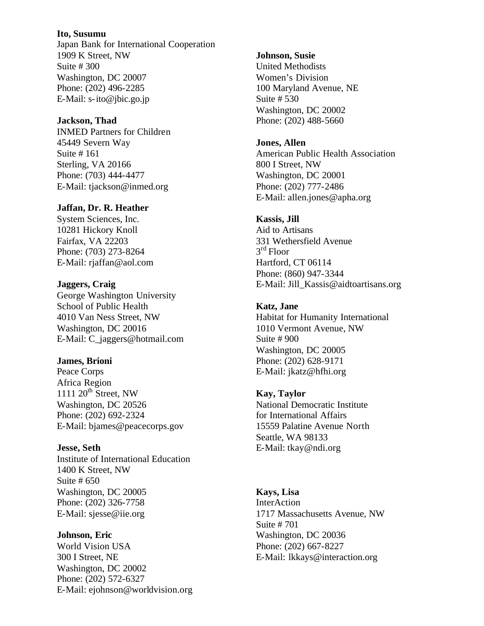#### **Ito, Susumu**

Japan Bank for International Cooperation 1909 K Street, NW Suite # 300 Washington, DC 20007 Phone: (202) 496-2285 E-Mail: s-ito@jbic.go.jp

## **Jackson, Thad**

INMED Partners for Children 45449 Severn Way Suite # 161 Sterling, VA 20166 Phone: (703) 444-4477 E-Mail: tjackson@inmed.org

## **Jaffan, Dr. R. Heather**

System Sciences, Inc. 10281 Hickory Knoll Fairfax, VA 22203 Phone: (703) 273-8264 E-Mail: rjaffan@aol.com

## **Jaggers, Craig**

George Washington University School of Public Health 4010 Van Ness Street, NW Washington, DC 20016 E-Mail: C\_jaggers@hotmail.com

## **James, Brioni**

Peace Corps Africa Region 1111  $20<sup>th</sup>$  Street, NW Washington, DC 20526 Phone: (202) 692-2324 E-Mail: bjames@peacecorps.gov

## **Jesse, Seth**

Institute of International Education 1400 K Street, NW Suite # 650 Washington, DC 20005 Phone: (202) 326-7758 E-Mail: sjesse@iie.org

#### **Johnson, Eric**

World Vision USA 300 I Street, NE Washington, DC 20002 Phone: (202) 572-6327 E-Mail: ejohnson@worldvision.org

#### **Johnson, Susie**

United Methodists Women's Division 100 Maryland Avenue, NE Suite # 530 Washington, DC 20002 Phone: (202) 488-5660

## **Jones, Allen**

American Public Health Association 800 I Street, NW Washington, DC 20001 Phone: (202) 777-2486 E-Mail: allen.jones@apha.org

## **Kassis, Jill**

Aid to Artisans 331 Wethersfield Avenue 3<sup>rd</sup> Floor Hartford, CT 06114 Phone: (860) 947-3344 E-Mail: Jill\_Kassis@aidtoartisans.org

## **Katz, Jane**

Habitat for Humanity International 1010 Vermont Avenue, NW Suite # 900 Washington, DC 20005 Phone: (202) 628-9171 E-Mail: jkatz@hfhi.org

## **Kay, Taylor**

National Democratic Institute for International Affairs 15559 Palatine Avenue North Seattle, WA 98133 E-Mail: tkay@ndi.org

#### **Kays, Lisa**

InterAction 1717 Massachusetts Avenue, NW Suite # 701 Washington, DC 20036 Phone: (202) 667-8227 E-Mail: lkkays@interaction.org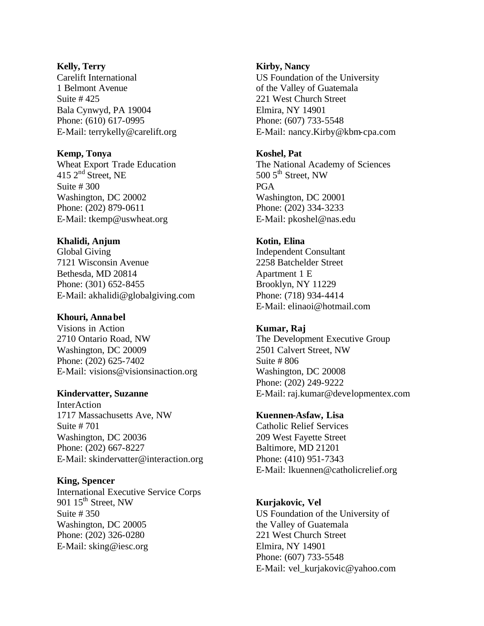#### **Kelly, Terry**

Carelift International 1 Belmont Avenue Suite # 425 Bala Cynwyd, PA 19004 Phone: (610) 617-0995 E-Mail: terrykelly@carelift.org

## **Kemp, Tonya**

Wheat Export Trade Education 415 2<sup>nd</sup> Street, NE Suite # 300 Washington, DC 20002 Phone: (202) 879-0611 E-Mail: tkemp@uswheat.org

# **Khalidi, Anjum**

Global Giving 7121 Wisconsin Avenue Bethesda, MD 20814 Phone: (301) 652-8455 E-Mail: akhalidi@globalgiving.com

# **Khouri, Anna bel**

Visions in Action 2710 Ontario Road, NW Washington, DC 20009 Phone: (202) 625-7402 E-Mail: visions@visionsinaction.org

# **Kindervatter, Suzanne**

InterAction 1717 Massachusetts Ave, NW Suite # 701 Washington, DC 20036 Phone: (202) 667-8227 E-Mail: skindervatter@interaction.org

## **King, Spencer**

International Executive Service Corps 901 15<sup>th</sup> Street, NW Suite # 350 Washington, DC 20005 Phone: (202) 326-0280 E-Mail: sking@iesc.org

# **Kirby, Nancy**

US Foundation of the University of the Valley of Guatemala 221 West Church Street Elmira, NY 14901 Phone: (607) 733-5548 E-Mail: nancy.Kirby@kbm-cpa.com

## **Koshel, Pat**

The National Academy of Sciences 500  $5<sup>th</sup>$  Street, NW PGA Washington, DC 20001 Phone: (202) 334-3233 E-Mail: pkoshel@nas.edu

# **Kotin, Elina**

Independent Consultant 2258 Batchelder Street Apartment 1 E Brooklyn, NY 11229 Phone: (718) 934-4414 E-Mail: elinaoi@hotmail.com

# **Kumar, Raj**

The Development Executive Group 2501 Calvert Street, NW Suite # 806 Washington, DC 20008 Phone: (202) 249-9222 E-Mail: raj.kumar@developmentex.com

# **Kuennen-Asfaw, Lisa**

Catholic Relief Services 209 West Fayette Street Baltimore, MD 21201 Phone: (410) 951-7343 E-Mail: lkuennen@catholicrelief.org

# **Kurjakovic, Vel**

US Foundation of the University of the Valley of Guatemala 221 West Church Street Elmira, NY 14901 Phone: (607) 733-5548 E-Mail: vel\_kurjakovic@yahoo.com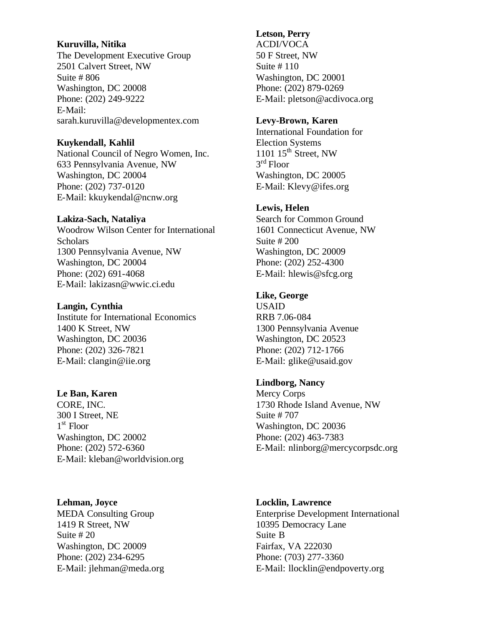## **Kuruvilla, Nitika**

The Development Executive Group 2501 Calvert Street, NW Suite # 806 Washington, DC 20008 Phone: (202) 249-9222 E-Mail: sarah.kuruvilla@developmentex.com

## **Kuykendall, Kahlil**

National Council of Negro Women, Inc. 633 Pennsylvania Avenue, NW Washington, DC 20004 Phone: (202) 737-0120 E-Mail: kkuykendal@ncnw.org

#### **Lakiza-Sach, Nataliya**

Woodrow Wilson Center for International Scholars 1300 Pennsylvania Avenue, NW Washington, DC 20004 Phone: (202) 691-4068 E-Mail: lakizasn@wwic.ci.edu

#### **Langin, Cynthia**

Institute for International Economics 1400 K Street, NW Washington, DC 20036 Phone: (202) 326-7821 E-Mail: clangin@iie.org

#### **Le Ban, Karen**

CORE, INC. 300 I Street, NE 1st Floor Washington, DC 20002 Phone: (202) 572-6360 E-Mail: kleban@worldvision.org

#### **Lehman, Joyce**

MEDA Consulting Group 1419 R Street, NW Suite # 20 Washington, DC 20009 Phone: (202) 234-6295 E-Mail: jlehman@meda.org

## **Letson, Perry**

ACDI/VOCA 50 F Street, NW Suite # 110 Washington, DC 20001 Phone: (202) 879-0269 E-Mail: pletson@acdivoca.org

#### **Levy-Brown, Karen**

International Foundation for Election Systems 1101  $15<sup>th</sup>$  Street, NW 3rd Floor Washington, DC 20005 E-Mail: Klevy@ifes.org

## **Lewis, Helen**

Search for Common Ground 1601 Connecticut Avenue, NW Suite # 200 Washington, DC 20009 Phone: (202) 252-4300 E-Mail: hlewis@sfcg.org

## **Like, George**

USAID RRB 7.06-084 1300 Pennsylvania Avenue Washington, DC 20523 Phone: (202) 712-1766 E-Mail: glike@usaid.gov

## **Lindborg, Nancy**

Mercy Corps 1730 Rhode Island Avenue, NW Suite # 707 Washington, DC 20036 Phone: (202) 463-7383 E-Mail: nlinborg@mercycorpsdc.org

#### **Locklin, Lawrence**

Enterprise Development International 10395 Democracy Lane Suite B Fairfax, VA 222030 Phone: (703) 277-3360 E-Mail: llocklin@endpoverty.org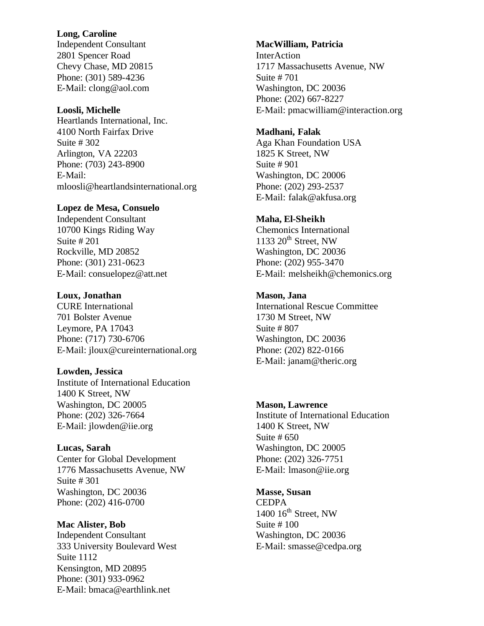#### **Long, Caroline**

Independent Consultant 2801 Spencer Road Chevy Chase, MD 20815 Phone: (301) 589-4236 E-Mail: clong@aol.com

#### **Loosli, Michelle**

Heartlands International, Inc. 4100 North Fairfax Drive Suite # 302 Arlington, VA 22203 Phone: (703) 243-8900 E-Mail: mloosli@heartlandsinternational.org

#### **Lopez de Mesa, Consuelo**

Independent Consultant 10700 Kings Riding Way Suite # 201 Rockville, MD 20852 Phone: (301) 231-0623 E-Mail: consuelopez@att.net

## **Loux, Jonathan**

CURE International 701 Bolster Avenue Leymore, PA 17043 Phone: (717) 730-6706 E-Mail: jloux@cureinternational.org

# **Lowden, Jessica**

Institute of International Education 1400 K Street, NW Washington, DC 20005 Phone: (202) 326-7664 E-Mail: jlowden@iie.org

**Lucas, Sarah**  Center for Global Development 1776 Massachusetts Avenue, NW Suite # 301 Washington, DC 20036 Phone: (202) 416-0700

**Mac Alister, Bob**  Independent Consultant 333 University Boulevard West Suite 1112 Kensington, MD 20895 Phone: (301) 933-0962 E-Mail: bmaca@earthlink.net

#### **MacWilliam, Patricia**

InterAction 1717 Massachusetts Avenue, NW Suite # 701 Washington, DC 20036 Phone: (202) 667-8227 E-Mail: pmacwilliam@interaction.org

#### **Madhani, Falak**

Aga Khan Foundation USA 1825 K Street, NW Suite # 901 Washington, DC 20006 Phone: (202) 293-2537 E-Mail: falak@akfusa.org

#### **Maha, El-Sheikh**

Chemonics International  $1133$   $20<sup>th</sup>$  Street, NW Washington, DC 20036 Phone: (202) 955-3470 E-Mail: melsheikh@chemonics.org

# **Mason, Jana**

International Rescue Committee 1730 M Street, NW Suite # 807 Washington, DC 20036 Phone: (202) 822-0166 E-Mail: janam@theric.org

## **Mason, Lawrence**

Institute of International Education 1400 K Street, NW Suite # 650 Washington, DC 20005 Phone: (202) 326-7751 E-Mail: lmason@iie.org

**Masse, Susan CEDPA**  $1400$   $16<sup>th</sup>$  Street, NW Suite # 100 Washington, DC 20036 E-Mail: smasse@cedpa.org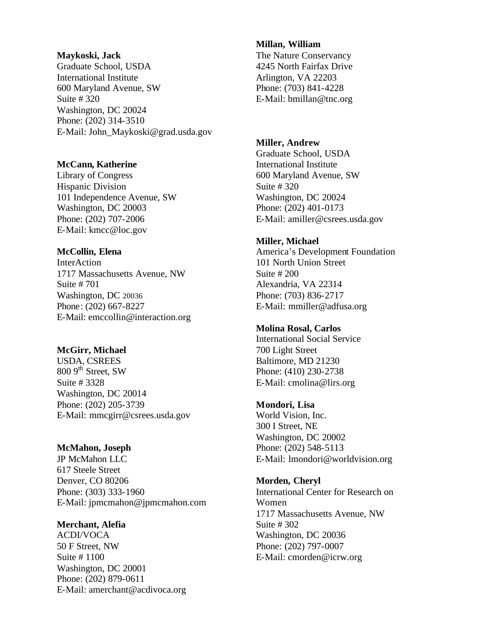#### **Maykoski, Jack**

Graduate School, USDA International Institute 600 Maryland Avenue, SW Suite # 320 Washington, DC 20024 Phone: (202) 314-3510 E-Mail: John\_Maykoski@grad.usda.gov

## **McCann, Katherine**

Library of Congress Hispanic Division 101 Independence Avenue, SW Washington, DC 20003 Phone: (202) 707-2006 E-Mail: kmcc@loc.gov

## **McCollin, Elena**

InterAction 1717 Massachusetts Avenue, NW Suite # 701 Washington, DC 20036 Phone: (202) 667-8227 E-Mail: emccollin@interaction.org

## **McGirr, Michael**

USDA, CSREES  $8009$ <sup>th</sup> Street, SW Suite # 3328 Washington, DC 20014 Phone: (202) 205-3739 E-Mail: mmcgirr@csrees.usda.gov

## **McMahon, Joseph**

JP McMahon LLC 617 Steele Street Denver, CO 80206 Phone: (303) 333-1960 E-Mail: jpmcmahon@jpmcmahon.com

## **Merchant, Alefia**

ACDI/VOCA 50 F Street, NW Suite # 1100 Washington, DC 20001 Phone: (202) 879-0611 E-Mail: amerchant@acdivoca.org

#### **Millan, William**

The Nature Conservancy 4245 North Fairfax Drive Arlington, VA 22203 Phone: (703) 841-4228 E-Mail: bmillan@tnc.org

#### **Miller, Andrew**

Graduate School, USDA International Institute 600 Maryland Avenue, SW Suite # 320 Washington, DC 20024 Phone: (202) 401-0173 E-Mail: amiller@csrees.usda.gov

## **Miller, Michael**

America's Development Foundation 101 North Union Street Suite # 200 Alexandria, VA 22314 Phone: (703) 836-2717 E-Mail: mmiller@adfusa.org

## **Molina Rosal, Carlos**

International Social Service 700 Light Street Baltimore, MD 21230 Phone: (410) 230-2738 E-Mail: cmolina@lirs.org

#### **Mondori, Lisa**

World Vision, Inc. 300 I Street, NE Washington, DC 20002 Phone: (202) 548-5113 E-Mail: lmondori@worldvision.org

#### **Morden, Cheryl**

International Center for Research on Women 1717 Massachusetts Avenue, NW Suite # 302 Washington, DC 20036 Phone: (202) 797-0007 E-Mail: cmorden@icrw.org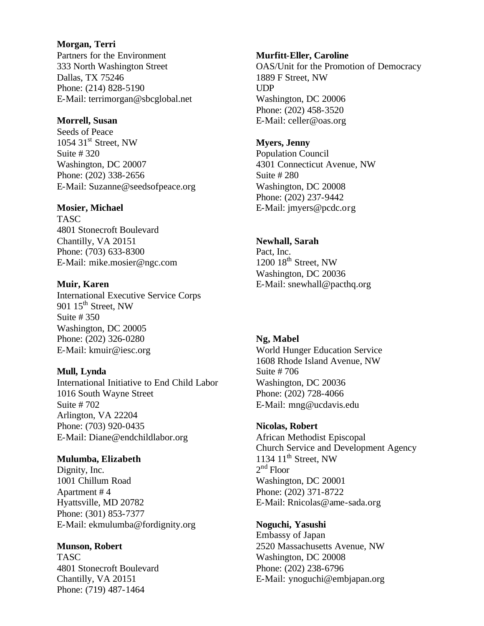#### **Morgan, Terri**

Partners for the Environment 333 North Washington Street Dallas, TX 75246 Phone: (214) 828-5190 E-Mail: terrimorgan@sbcglobal.net

#### **Morrell, Susan**

Seeds of Peace 1054 31<sup>st</sup> Street, NW Suite # 320 Washington, DC 20007 Phone: (202) 338-2656 E-Mail: Suzanne@seedsofpeace.org

## **Mosier, Michael**

TASC 4801 Stonecroft Boulevard Chantilly, VA 20151 Phone: (703) 633-8300 E-Mail: mike.mosier@ngc.com

## **Muir, Karen**

International Executive Service Corps 901  $15<sup>th</sup>$  Street, NW Suite # 350 Washington, DC 20005 Phone: (202) 326-0280 E-Mail: kmuir@iesc.org

## **Mull, Lynda**

International Initiative to End Child Labor 1016 South Wayne Street Suite # 702 Arlington, VA 22204 Phone: (703) 920-0435 E-Mail: Diane@endchildlabor.org

#### **Mulumba, Elizabeth**

Dignity, Inc. 1001 Chillum Road Apartment # 4 Hyattsville, MD 20782 Phone: (301) 853-7377 E-Mail: ekmulumba@fordignity.org

#### **Munson, Robert**

TASC 4801 Stonecroft Boulevard Chantilly, VA 20151 Phone: (719) 487-1464

#### **Murfitt-Eller, Caroline**

OAS/Unit for the Promotion of Democracy 1889 F Street, NW UDP Washington, DC 20006 Phone: (202) 458-3520 E-Mail: celler@oas.org

#### **Myers, Jenny**

Population Council 4301 Connecticut Avenue, NW Suite # 280 Washington, DC 20008 Phone: (202) 237-9442 E-Mail: jmyers@pcdc.org

# **Newhall, Sarah**

Pact, Inc.  $1200$   $18<sup>th</sup>$  Street, NW Washington, DC 20036 E-Mail: snewhall@pacthq.org

## **Ng, Mabel**

World Hunger Education Service 1608 Rhode Island Avenue, NW Suite # 706 Washington, DC 20036 Phone: (202) 728-4066 E-Mail: mng@ucdavis.edu

## **Nicolas, Robert**

African Methodist Episcopal Church Service and Development Agency 1134  $11^{th}$  Street, NW  $2<sup>nd</sup>$  Floor Washington, DC 20001 Phone: (202) 371-8722 E-Mail: Rnicolas@ame-sada.org

**Noguchi, Yasushi**  Embassy of Japan 2520 Massachusetts Avenue, NW Washington, DC 20008 Phone: (202) 238-6796 E-Mail: ynoguchi@embjapan.org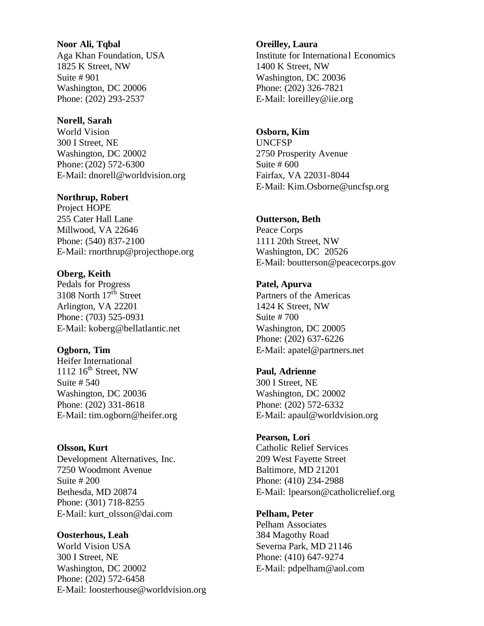# **Noor Ali, Tqbal**  Aga Khan Foundation, USA 1825 K Street, NW Suite # 901 Washington, DC 20006 Phone: (202) 293-2537

## **Norell, Sarah**

World Vision 300 I Street, NE Washington, DC 20002 Phone: (202) 572-6300 E-Mail: dnorell@worldvision.org

## **Northrup, Robert**

Project HOPE 255 Cater Hall Lane Millwood, VA 22646 Phone: (540) 837-2100 E-Mail: rnorthrup@projecthope.org

## **Oberg, Keith**

Pedals for Progress 3108 North 17<sup>th</sup> Street Arlington, VA 22201 Phone: (703) 525-0931 E-Mail: koberg@bellatlantic.net

## **Ogborn, Tim**

Heifer International 1112  $16^{th}$  Street, NW Suite # 540 Washington, DC 20036 Phone: (202) 331-8618 E-Mail: tim.ogborn@heifer.org

## **Olsson, Kurt**

Development Alternatives, Inc. 7250 Woodmont Avenue Suite # 200 Bethesda, MD 20874 Phone: (301) 718-8255 E-Mail: kurt\_olsson@dai.com

## **Oosterhous, Leah**

World Vision USA 300 I Street, NE Washington, DC 20002 Phone: (202) 572-6458 E-Mail: loosterhouse@worldvision.org

#### **Oreilley, Laura**

Institute for Internationa l Economics 1400 K Street, NW Washington, DC 20036 Phone: (202) 326-7821 E-Mail: loreilley@iie.org

# **Osborn, Kim**

UNCFSP 2750 Prosperity Avenue Suite # 600 Fairfax, VA 22031-8044 E-Mail: Kim.Osborne@uncfsp.org

## **Outterson, Beth**

Peace Corps 1111 20th Street, NW Washington, DC 20526 E-Mail: boutterson@peacecorps.gov

## **Patel, Apurva**

Partners of the Americas 1424 K Street, NW Suite # 700 Washington, DC 20005 Phone: (202) 637-6226 E-Mail: apatel@partners.net

#### **Paul, Adrienne**

300 I Street, NE Washington, DC 20002 Phone: (202) 572-6332 E-Mail: apaul@worldvision.org

#### **Pearson, Lori**

Catholic Relief Services 209 West Fayette Street Baltimore, MD 21201 Phone: (410) 234-2988 E-Mail: lpearson@catholicrelief.org

## **Pelham, Peter**

Pelham Associates 384 Magothy Road Severna Park, MD 21146 Phone: (410) 647-9274 E-Mail: pdpelham@aol.com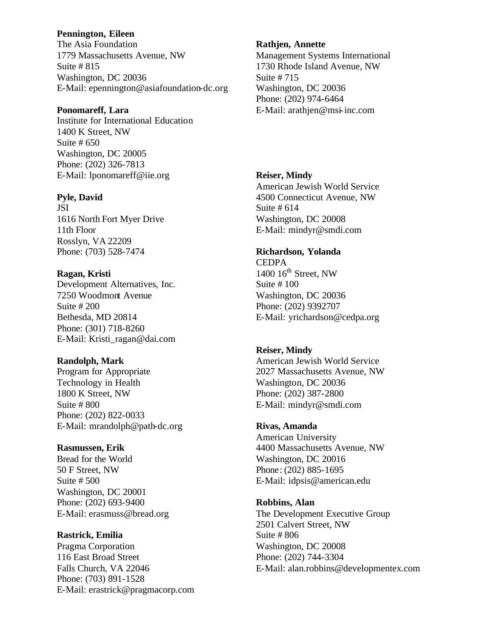## **Pennington, Eileen**

The Asia Foundation 1779 Massachusetts Avenue, NW Suite # 815 Washington, DC 20036 E-Mail: epennington@asiafoundation-dc.org

## **Ponomareff, Lara**

Institute for International Education 1400 K Street, NW Suite # 650 Washington, DC 20005 Phone: (202) 326-7813 E-Mail: lponomareff@iie.org

## **Pyle, David**

JSI 1616 North Fort Myer Drive 11th Floor Rosslyn, VA 22209 Phone: (703) 528-7474

## **Ragan, Kristi**

Development Alternatives, Inc. 7250 Woodmont Avenue Suite # 200 Bethesda, MD 20814 Phone: (301) 718-8260 E-Mail: Kristi\_ragan@dai.com

## **Randolph, Mark**

Program for Appropriate Technology in Health 1800 K Street, NW Suite # 800 Phone: (202) 822-0033 E-Mail: mrandolph@path-dc.org

# **Rasmussen, Erik**

Bread for the World 50 F Street, NW Suite # 500 Washington, DC 20001 Phone: (202) 693-9400 E-Mail: erasmuss@bread.org

#### **Rastrick, Emilia**

Pragma Corporation 116 East Broad Street Falls Church, VA 22046 Phone: (703) 891-1528 E-Mail: erastrick@pragmacorp.com

#### **Rathjen, Annette**

Management Systems International 1730 Rhode Island Avenue, NW Suite # 715 Washington, DC 20036 Phone: (202) 974-6464 E-Mail: arathjen@msi-inc.com

## **Reiser, Mindy**

American Jewish World Service 4500 Connecticut Avenue, NW Suite # 614 Washington, DC 20008 E-Mail: mindyr@smdi.com

# **Richardson, Yolanda**

**CEDPA**  $1400$   $16<sup>th</sup>$  Street, NW Suite # 100 Washington, DC 20036 Phone: (202) 9392707 E-Mail: yrichardson@cedpa.org

#### **Reiser, Mindy**

American Jewish World Service 2027 Massachusetts Avenue, NW Washington, DC 20036 Phone: (202) 387-2800 E-Mail: mindyr@smdi.com

#### **Rivas, Amanda**

American University 4400 Massachusetts Avenue, NW Washington, DC 20016 Phone: (202) 885-1695 E-Mail: idpsis@american.edu

## **Robbins, Alan**

The Development Executive Group 2501 Calvert Street, NW Suite # 806 Washington, DC 20008 Phone: (202) 744-3304 E-Mail: alan.robbins@developmentex.com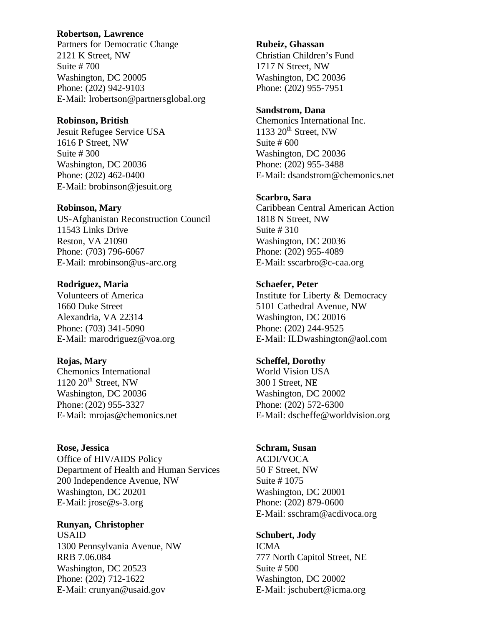## **Robertson, Lawrence**

Partners for Democratic Change 2121 K Street, NW Suite # 700 Washington, DC 20005 Phone: (202) 942-9103 E-Mail: lrobertson@partnersglobal.org

#### **Robinson, British**

Jesuit Refugee Service USA 1616 P Street, NW Suite # 300 Washington, DC 20036 Phone: (202) 462-0400 E-Mail: brobinson@jesuit.org

#### **Robinson, Mary**

US-Afghanistan Reconstruction Council 11543 Links Drive Reston, VA 21090 Phone: (703) 796-6067 E-Mail: mrobinson@us-arc.org

#### **Rodriguez, Maria**

Volunteers of America 1660 Duke Street Alexandria, VA 22314 Phone: (703) 341-5090 E-Mail: marodriguez@voa.org

#### **Rojas, Mary**

Chemonics International  $1120 \ 20$ <sup>th</sup> Street, NW Washington, DC 20036 Phone: (202) 955-3327 E-Mail: mrojas@chemonics.net

## **Rose, Jessica**  Office of HIV/AIDS Policy Department of Health and Human Services 200 Independence Avenue, NW Washington, DC 20201 E-Mail: jrose@s-3.org

#### **Runyan, Christopher**

USAID 1300 Pennsylvania Avenue, NW RRB 7.06.084 Washington, DC 20523 Phone: (202) 712-1622 E-Mail: crunyan@usaid.gov

#### **Rubeiz, Ghassan**

Christian Children's Fund 1717 N Street, NW Washington, DC 20036 Phone: (202) 955-7951

#### **Sandstrom, Dana**

Chemonics International Inc.  $1133$   $20<sup>th</sup>$  Street, NW Suite # 600 Washington, DC 20036 Phone: (202) 955-3488 E-Mail: dsandstrom@chemonics.net

#### **Scarbro, Sara**

Caribbean Central American Action 1818 N Street, NW Suite # 310 Washington, DC 20036 Phone: (202) 955-4089 E-Mail: sscarbro@c-caa.org

## **Schaefer, Peter**

Institute for Liberty & Democracy 5101 Cathedral Avenue, NW Washington, DC 20016 Phone: (202) 244-9525 E-Mail: ILDwashington@aol.com

## **Scheffel, Dorothy**

World Vision USA 300 I Street, NE Washington, DC 20002 Phone: (202) 572-6300 E-Mail: dscheffe@worldvision.org

#### **Schram, Susan**

ACDI/VOCA 50 F Street, NW Suite # 1075 Washington, DC 20001 Phone: (202) 879-0600 E-Mail: sschram@acdivoca.org

## **Schubert, Jody**

ICMA 777 North Capitol Street, NE Suite # 500 Washington, DC 20002 E-Mail: jschubert@icma.org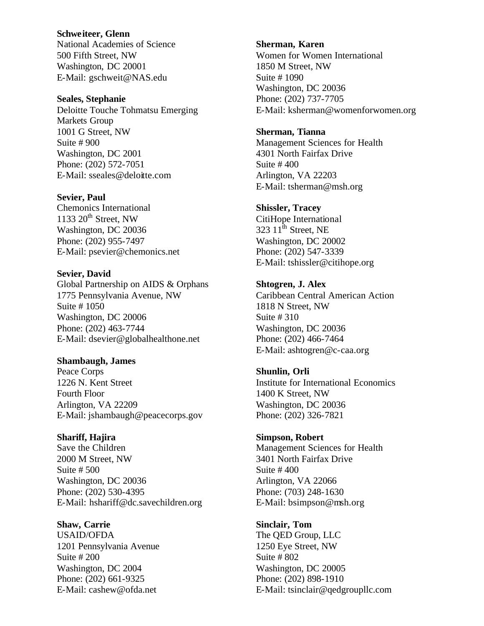#### **Schweiteer, Glenn**

National Academies of Science 500 Fifth Street, NW Washington, DC 20001 E-Mail: gschweit@NAS.edu

#### **Seales, Stephanie**

Deloitte Touche Tohmatsu Emerging Markets Group 1001 G Street, NW Suite # 900 Washington, DC 2001 Phone: (202) 572-7051 E-Mail: sseales@deloitte.com

#### **Sevier, Paul**

Chemonics International 1133  $20<sup>th</sup>$  Street, NW Washington, DC 20036 Phone: (202) 955-7497 E-Mail: psevier@chemonics.net

# **Sevier, David**

Global Partnership on AIDS & Orphans 1775 Pennsylvania Avenue, NW Suite # 1050 Washington, DC 20006 Phone: (202) 463-7744 E-Mail: dsevier@globalhealthone.net

#### **Shambaugh, James**

Peace Corps 1226 N. Kent Street Fourth Floor Arlington, VA 22209 E-Mail: jshambaugh@peacecorps.gov

#### **Shariff, Hajira**

Save the Children 2000 M Street, NW Suite # 500 Washington, DC 20036 Phone: (202) 530-4395 E-Mail: hshariff@dc.savechildren.org

#### **Shaw, Carrie**

USAID/OFDA 1201 Pennsylvania Avenue Suite # 200 Washington, DC 2004 Phone: (202) 661-9325 E-Mail: cashew@ofda.net

#### **Sherman, Karen**

Women for Women International 1850 M Street, NW Suite # 1090 Washington, DC 20036 Phone: (202) 737-7705 E-Mail: ksherman@womenforwomen.org

#### **Sherman, Tianna**

Management Sciences for Health 4301 North Fairfax Drive Suite # 400 Arlington, VA 22203 E-Mail: tsherman@msh.org

#### **Shissler, Tracey**

CitiHope International 323  $11^{\text{th}}$  Street, NE Washington, DC 20002 Phone: (202) 547-3339 E-Mail: tshissler@citihope.org

## **Shtogren, J. Alex**

Caribbean Central American Action 1818 N Street, NW Suite # 310 Washington, DC 20036 Phone: (202) 466-7464 E-Mail: ashtogren@c-caa.org

#### **Shunlin, Orli**

Institute for International Economics 1400 K Street, NW Washington, DC 20036 Phone: (202) 326-7821

#### **Simpson, Robert**

Management Sciences for Health 3401 North Fairfax Drive Suite # 400 Arlington, VA 22066 Phone: (703) 248-1630 E-Mail: bsimpson@msh.org

## **Sinclair, Tom**

The QED Group, LLC 1250 Eye Street, NW Suite # 802 Washington, DC 20005 Phone: (202) 898-1910 E-Mail: tsinclair@qedgroupllc.com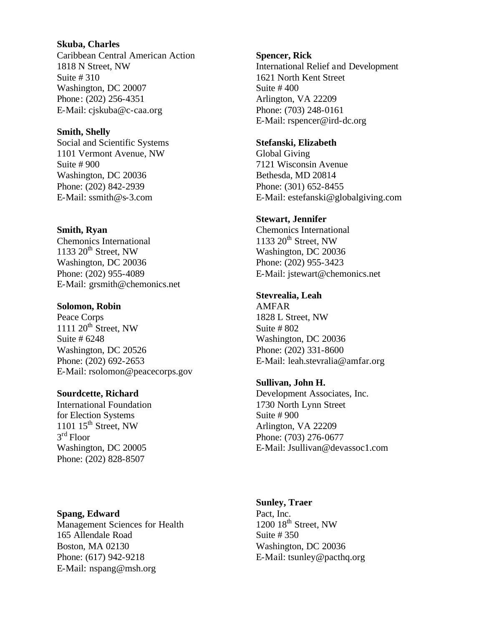#### **Skuba, Charles**

Caribbean Central American Action 1818 N Street, NW Suite # 310 Washington, DC 20007 Phone: (202) 256-4351 E-Mail: cjskuba@c-caa.org

## **Smith, Shelly**

Social and Scientific Systems 1101 Vermont Avenue, NW Suite # 900 Washington, DC 20036 Phone: (202) 842-2939 E-Mail: ssmith@s-3.com

## **Smith, Ryan**

Chemonics International 1133  $20<sup>th</sup>$  Street, NW Washington, DC 20036 Phone: (202) 955-4089 E-Mail: grsmith@chemonics.net

#### **Solomon, Robin**

Peace Corps  $111120$ <sup>th</sup> Street, NW Suite # 6248 Washington, DC 20526 Phone: (202) 692-2653 E-Mail: rsolomon@peacecorps.gov

# **Sourdcette, Richard**

International Foundation for Election Systems 1101  $15<sup>th</sup>$  Street, NW 3rd Floor Washington, DC 20005 Phone: (202) 828-8507

#### **Spencer, Rick**

International Relief and Development 1621 North Kent Street Suite # 400 Arlington, VA 22209 Phone: (703) 248-0161 E-Mail: rspencer@ird-dc.org

# **Stefanski, Elizabeth**

Global Giving 7121 Wisconsin Avenue Bethesda, MD 20814 Phone: (301) 652-8455 E-Mail: estefanski@globalgiving.com

## **Stewart, Jennifer**

Chemonics International  $1133$   $20<sup>th</sup>$  Street, NW Washington, DC 20036 Phone: (202) 955-3423 E-Mail: jstewart@chemonics.net

## **Stevrealia, Leah**

AMFAR 1828 L Street, NW Suite # 802 Washington, DC 20036 Phone: (202) 331-8600 E-Mail: leah.stevralia@amfar.org

## **Sullivan, John H.**

Development Associates, Inc. 1730 North Lynn Street Suite # 900 Arlington, VA 22209 Phone: (703) 276-0677 E-Mail: Jsullivan@devassoc1.com

# **Spang, Edward**

Management Sciences for Health 165 Allendale Road Boston, MA 02130 Phone: (617) 942-9218 E-Mail: nspang@msh.org

## **Sunley, Traer**

Pact, Inc.  $1200$   $18<sup>th</sup>$  Street, NW Suite # 350 Washington, DC 20036 E-Mail: tsunley@pacthq.org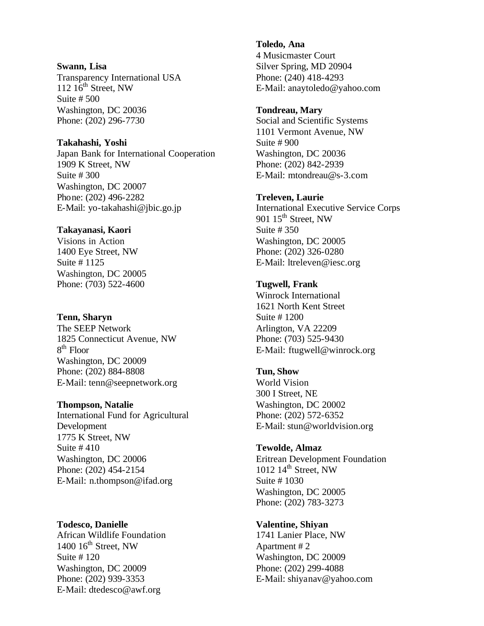#### **Swann, Lisa**

Transparency International USA  $112 \overline{16}$ <sup>th</sup> Street, NW Suite # 500 Washington, DC 20036 Phone: (202) 296-7730

## **Takahashi, Yoshi**

Japan Bank for International Cooperation 1909 K Street, NW Suite # 300 Washington, DC 20007 Phone: (202) 496-2282 E-Mail: yo-takahashi@jbic.go.jp

## **Takayanasi, Kaori**

Visions in Action 1400 Eye Street, NW Suite # 1125 Washington, DC 20005 Phone: (703) 522-4600

#### **Tenn, Sharyn**

The SEEP Network 1825 Connecticut Avenue, NW  $8<sup>th</sup>$  Floor Washington, DC 20009 Phone: (202) 884-8808 E-Mail: tenn@seepnetwork.org

#### **Thompson, Natalie**

International Fund for Agricultural Development 1775 K Street, NW Suite # 410 Washington, DC 20006 Phone: (202) 454-2154 E-Mail: n.thompson@ifad.org

**Todesco, Danielle**  African Wildlife Foundation 1400  $16^{th}$  Street, NW Suite # 120 Washington, DC 20009 Phone: (202) 939-3353 E-Mail: dtedesco@awf.org

**Toledo, Ana**  4 Musicmaster Court Silver Spring, MD 20904 Phone: (240) 418-4293 E-Mail: anaytoledo@yahoo.com

#### **Tondreau, Mary**

Social and Scientific Systems 1101 Vermont Avenue, NW Suite # 900 Washington, DC 20036 Phone: (202) 842-2939 E-Mail: mtondreau@s-3.com

## **Treleven, Laurie**

International Executive Service Corps 901  $15^{\text{th}}$  Street, NW Suite # 350 Washington, DC 20005 Phone: (202) 326-0280 E-Mail: ltreleven@iesc.org

# **Tugwell, Frank**

Winrock International 1621 North Kent Street Suite # 1200 Arlington, VA 22209 Phone: (703) 525-9430 E-Mail: ftugwell@winrock.org

# **Tun, Show**

World Vision 300 I Street, NE Washington, DC 20002 Phone: (202) 572-6352 E-Mail: stun@worldvision.org

#### **Tewolde, Almaz**

Eritrean Development Foundation 1012  $14^{th}$  Street, NW Suite # 1030 Washington, DC 20005 Phone: (202) 783-3273

## **Valentine, Shiyan**

1741 Lanier Place, NW Apartment # 2 Washington, DC 20009 Phone: (202) 299-4088 E-Mail: shiyanav@yahoo.com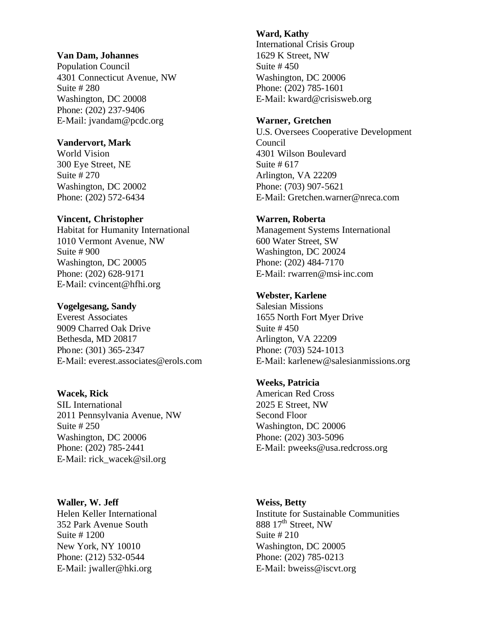#### **Van Dam, Johannes**

Population Council 4301 Connecticut Avenue, NW Suite # 280 Washington, DC 20008 Phone: (202) 237-9406 E-Mail: jvandam@pcdc.org

## **Vandervort, Mark**

World Vision 300 Eye Street, NE Suite # 270 Washington, DC 20002 Phone: (202) 572-6434

#### **Vincent, Christopher**

Habitat for Humanity International 1010 Vermont Avenue, NW Suite # 900 Washington, DC 20005 Phone: (202) 628-9171 E-Mail: cvincent@hfhi.org

#### **Vogelgesang, Sandy**

Everest Associates 9009 Charred Oak Drive Bethesda, MD 20817 Phone: (301) 365-2347 E-Mail: everest.associates@erols.com

#### **Wacek, Rick**

SIL International 2011 Pennsylvania Avenue, NW Suite # 250 Washington, DC 20006 Phone: (202) 785-2441 E-Mail: rick\_wacek@sil.org

#### **Waller, W. Jeff**

Helen Keller International 352 Park Avenue South Suite # 1200 New York, NY 10010 Phone: (212) 532-0544 E-Mail: jwaller@hki.org

#### **Ward, Kathy**

International Crisis Group 1629 K Street, NW Suite # 450 Washington, DC 20006 Phone: (202) 785-1601 E-Mail: kward@crisisweb.org

#### **Warner, Gretchen**

U.S. Oversees Cooperative Development Council 4301 Wilson Boulevard Suite # 617 Arlington, VA 22209 Phone: (703) 907-5621 E-Mail: Gretchen.warner@nreca.com

## **Warren, Roberta**

Management Systems International 600 Water Street, SW Washington, DC 20024 Phone: (202) 484-7170 E-Mail: rwarren@msi-inc.com

## **Webster, Karlene**

Salesian Missions 1655 North Fort Myer Drive Suite # 450 Arlington, VA 22209 Phone: (703) 524-1013 E-Mail: karlenew@salesianmissions.org

# **Weeks, Patricia**

American Red Cross 2025 E Street, NW Second Floor Washington, DC 20006 Phone: (202) 303-5096 E-Mail: pweeks@usa.redcross.org

#### **Weiss, Betty**

Institute for Sustainable Communities 888  $17<sup>th</sup>$  Street, NW Suite # 210 Washington, DC 20005 Phone: (202) 785-0213 E-Mail: bweiss@iscvt.org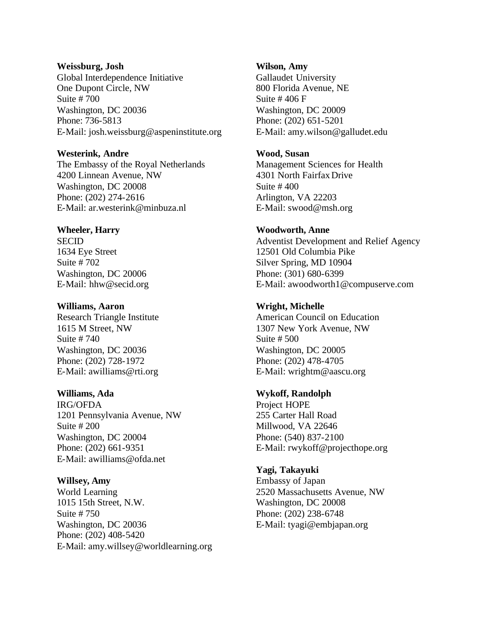## **Weissburg, Josh**

Global Interdependence Initiative One Dupont Circle, NW Suite # 700 Washington, DC 20036 Phone: 736-5813 E-Mail: josh.weissburg@aspeninstitute.org

## **Westerink, Andre**

The Embassy of the Royal Netherlands 4200 Linnean Avenue, NW Washington, DC 20008 Phone: (202) 274-2616 E-Mail: ar.westerink@minbuza.nl

## **Wheeler, Harry**

**SECID** 1634 Eye Street Suite # 702 Washington, DC 20006 E-Mail: hhw@secid.org

#### **Williams, Aaron**

Research Triangle Institute 1615 M Street, NW Suite # 740 Washington, DC 20036 Phone: (202) 728-1972 E-Mail: awilliams@rti.org

## **Williams, Ada**

IRG/OFDA 1201 Pennsylvania Avenue, NW Suite # 200 Washington, DC 20004 Phone: (202) 661-9351 E-Mail: awilliams@ofda.net

## **Willsey, Amy**

World Learning 1015 15th Street, N.W. Suite # 750 Washington, DC 20036 Phone: (202) 408-5420 E-Mail: amy.willsey@worldlearning.org

#### **Wilson, Amy**

Gallaudet University 800 Florida Avenue, NE Suite # 406 F Washington, DC 20009 Phone: (202) 651-5201 E-Mail: amy.wilson@galludet.edu

#### **Wood, Susan**

Management Sciences for Health 4301 North Fairfax Drive Suite # 400 Arlington, VA 22203 E-Mail: swood@msh.org

## **Woodworth, Anne**

Adventist Development and Relief Agency 12501 Old Columbia Pike Silver Spring, MD 10904 Phone: (301) 680-6399 E-Mail: awoodworth1@compuserve.com

## **Wright, Michelle**

American Council on Education 1307 New York Avenue, NW Suite # 500 Washington, DC 20005 Phone: (202) 478-4705 E-Mail: wrightm@aascu.org

## **Wykoff, Randolph**

Project HOPE 255 Carter Hall Road Millwood, VA 22646 Phone: (540) 837-2100 E-Mail: rwykoff@projecthope.org

## **Yagi, Takayuki**

Embassy of Japan 2520 Massachusetts Avenue, NW Washington, DC 20008 Phone: (202) 238-6748 E-Mail: tyagi@embjapan.org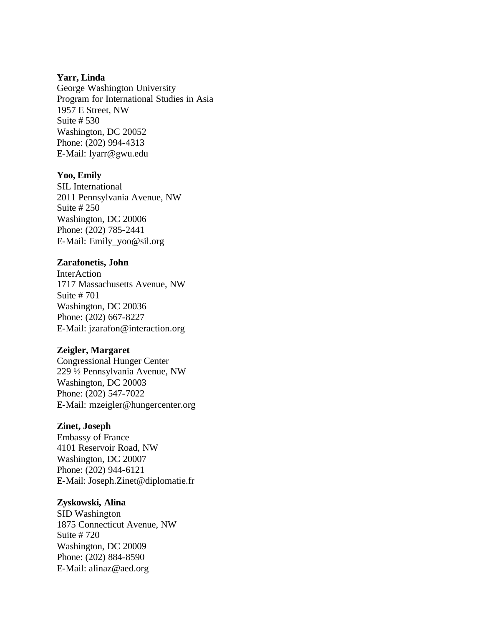#### **Yarr, Linda**

George Washington University Program for International Studies in Asia 1957 E Street, NW Suite # 530 Washington, DC 20052 Phone: (202) 994-4313 E-Mail: lyarr@gwu.edu

#### **Yoo, Emily**

SIL International 2011 Pennsylvania Avenue, NW Suite # 250 Washington, DC 20006 Phone: (202) 785-2441 E-Mail: Emily\_yoo@sil.org

#### **Zarafonetis, John**

**InterAction** 1717 Massachusetts Avenue, NW Suite # 701 Washington, DC 20036 Phone: (202) 667-8227 E-Mail: jzarafon@interaction.org

#### **Zeigler, Margaret**

Congressional Hunger Center 229 ½ Pennsylvania Avenue, NW Washington, DC 20003 Phone: (202) 547-7022 E-Mail: mzeigler@hungercenter.org

## **Zinet, Joseph**

Embassy of France 4101 Reservoir Road, NW Washington, DC 20007 Phone: (202) 944-6121 E-Mail: Joseph.Zinet@diplomatie.fr

#### **Zyskowski, Alina**

SID Washington 1875 Connecticut Avenue, NW Suite # 720 Washington, DC 20009 Phone: (202) 884-8590 E-Mail: alinaz@aed.org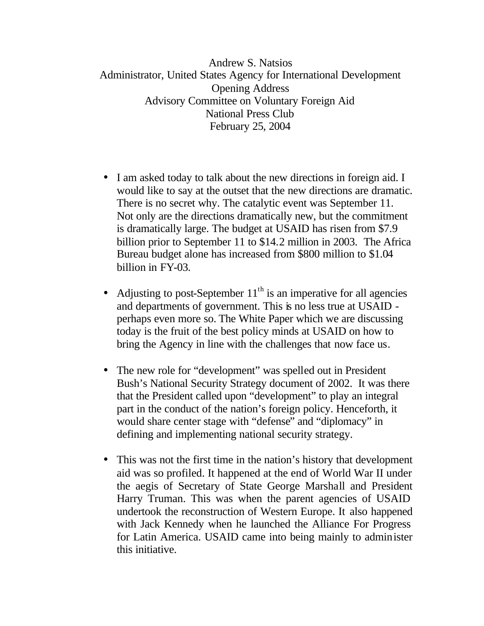Andrew S. Natsios Administrator, United States Agency for International Development Opening Address Advisory Committee on Voluntary Foreign Aid National Press Club February 25, 2004

- I am asked today to talk about the new directions in foreign aid. I would like to say at the outset that the new directions are dramatic. There is no secret why. The catalytic event was September 11. Not only are the directions dramatically new, but the commitment is dramatically large. The budget at USAID has risen from \$7.9 billion prior to September 11 to \$14.2 million in 2003. The Africa Bureau budget alone has increased from \$800 million to \$1.04 billion in FY-03.
- Adjusting to post-September  $11<sup>th</sup>$  is an imperative for all agencies and departments of government. This is no less true at USAID perhaps even more so. The White Paper which we are discussing today is the fruit of the best policy minds at USAID on how to bring the Agency in line with the challenges that now face us.
- The new role for "development" was spelled out in President Bush's National Security Strategy document of 2002. It was there that the President called upon "development" to play an integral part in the conduct of the nation's foreign policy. Henceforth, it would share center stage with "defense" and "diplomacy" in defining and implementing national security strategy.
- This was not the first time in the nation's history that development aid was so profiled. It happened at the end of World War II under the aegis of Secretary of State George Marshall and President Harry Truman. This was when the parent agencies of USAID undertook the reconstruction of Western Europe. It also happened with Jack Kennedy when he launched the Alliance For Progress for Latin America. USAID came into being mainly to administer this initiative.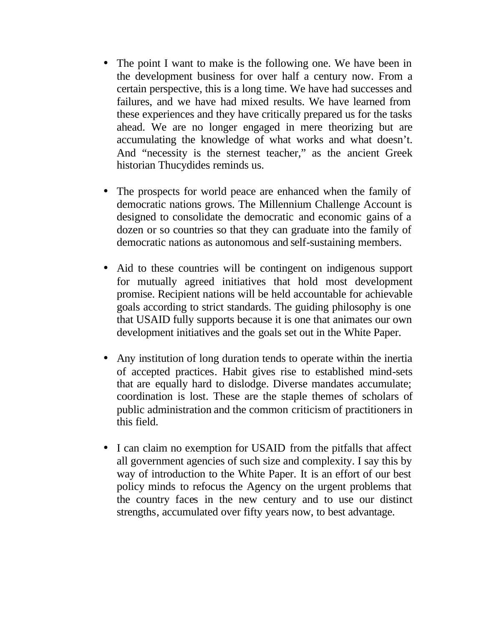- The point I want to make is the following one. We have been in the development business for over half a century now. From a certain perspective, this is a long time. We have had successes and failures, and we have had mixed results. We have learned from these experiences and they have critically prepared us for the tasks ahead. We are no longer engaged in mere theorizing but are accumulating the knowledge of what works and what doesn't. And "necessity is the sternest teacher," as the ancient Greek historian Thucydides reminds us.
- The prospects for world peace are enhanced when the family of democratic nations grows. The Millennium Challenge Account is designed to consolidate the democratic and economic gains of a dozen or so countries so that they can graduate into the family of democratic nations as autonomous and self-sustaining members.
- Aid to these countries will be contingent on indigenous support for mutually agreed initiatives that hold most development promise. Recipient nations will be held accountable for achievable goals according to strict standards. The guiding philosophy is one that USAID fully supports because it is one that animates our own development initiatives and the goals set out in the White Paper.
- Any institution of long duration tends to operate within the inertia of accepted practices. Habit gives rise to established mind-sets that are equally hard to dislodge. Diverse mandates accumulate; coordination is lost. These are the staple themes of scholars of public administration and the common criticism of practitioners in this field.
- I can claim no exemption for USAID from the pitfalls that affect all government agencies of such size and complexity. I say this by way of introduction to the White Paper. It is an effort of our best policy minds to refocus the Agency on the urgent problems that the country faces in the new century and to use our distinct strengths, accumulated over fifty years now, to best advantage.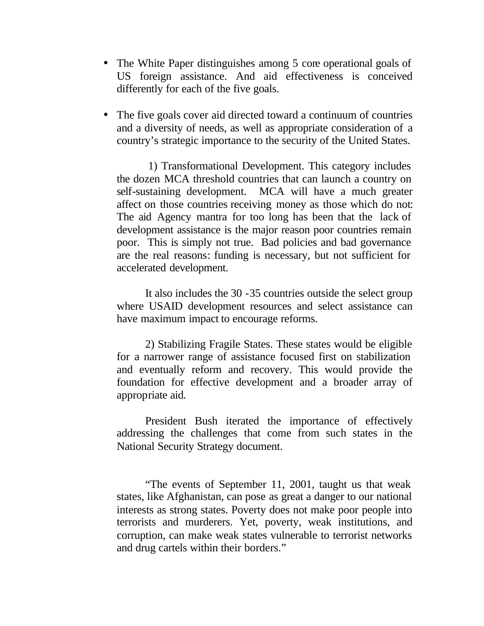- The White Paper distinguishes among 5 core operational goals of US foreign assistance. And aid effectiveness is conceived differently for each of the five goals.
- The five goals cover aid directed toward a continuum of countries and a diversity of needs, as well as appropriate consideration of a country's strategic importance to the security of the United States.

1) Transformational Development. This category includes the dozen MCA threshold countries that can launch a country on self-sustaining development. MCA will have a much greater affect on those countries receiving money as those which do not: The aid Agency mantra for too long has been that the lack of development assistance is the major reason poor countries remain poor. This is simply not true. Bad policies and bad governance are the real reasons: funding is necessary, but not sufficient for accelerated development.

It also includes the 30 -35 countries outside the select group where USAID development resources and select assistance can have maximum impact to encourage reforms.

2) Stabilizing Fragile States. These states would be eligible for a narrower range of assistance focused first on stabilization and eventually reform and recovery. This would provide the foundation for effective development and a broader array of appropriate aid.

President Bush iterated the importance of effectively addressing the challenges that come from such states in the National Security Strategy document.

"The events of September 11, 2001, taught us that weak states, like Afghanistan, can pose as great a danger to our national interests as strong states. Poverty does not make poor people into terrorists and murderers. Yet, poverty, weak institutions, and corruption, can make weak states vulnerable to terrorist networks and drug cartels within their borders."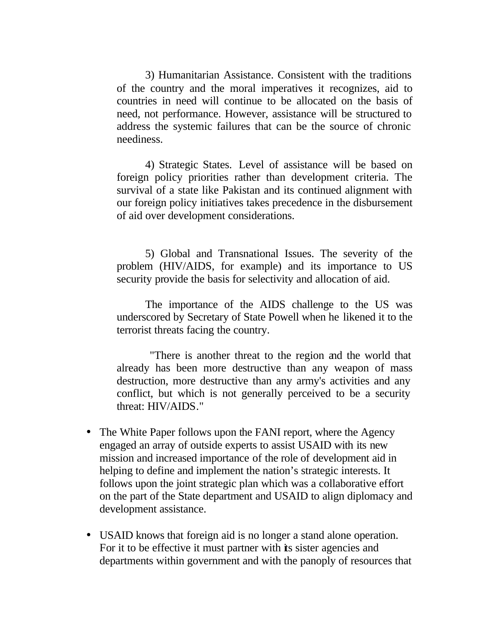3) Humanitarian Assistance. Consistent with the traditions of the country and the moral imperatives it recognizes, aid to countries in need will continue to be allocated on the basis of need, not performance. However, assistance will be structured to address the systemic failures that can be the source of chronic neediness.

4) Strategic States. Level of assistance will be based on foreign policy priorities rather than development criteria. The survival of a state like Pakistan and its continued alignment with our foreign policy initiatives takes precedence in the disbursement of aid over development considerations.

5) Global and Transnational Issues. The severity of the problem (HIV/AIDS, for example) and its importance to US security provide the basis for selectivity and allocation of aid.

The importance of the AIDS challenge to the US was underscored by Secretary of State Powell when he likened it to the terrorist threats facing the country.

"There is another threat to the region and the world that already has been more destructive than any weapon of mass destruction, more destructive than any army's activities and any conflict, but which is not generally perceived to be a security threat: HIV/AIDS."

- The White Paper follows upon the FANI report, where the Agency engaged an array of outside experts to assist USAID with its new mission and increased importance of the role of development aid in helping to define and implement the nation's strategic interests. It follows upon the joint strategic plan which was a collaborative effort on the part of the State department and USAID to align diplomacy and development assistance.
- USAID knows that foreign aid is no longer a stand alone operation. For it to be effective it must partner with its sister agencies and departments within government and with the panoply of resources that